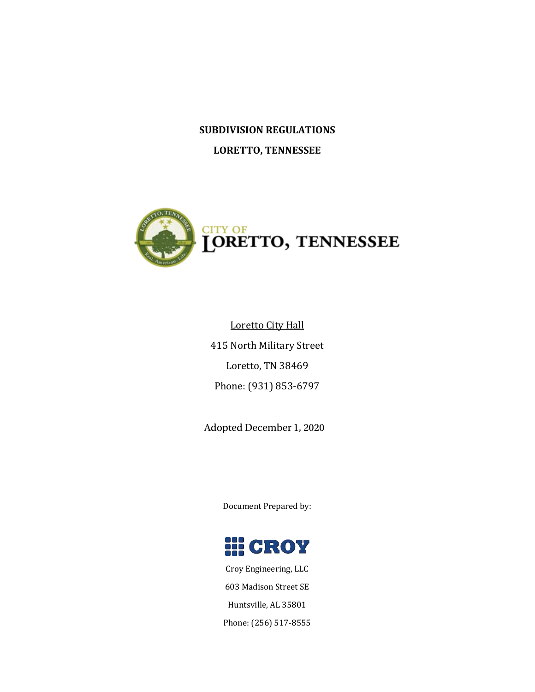# **SUBDIVISION REGULATIONS LORETTO, TENNESSEE**



Loretto City Hall 415 North Military Street Loretto, TN 38469 Phone: (931) 853-6797

Adopted December 1, 2020

Document Prepared by:



Croy Engineering, LLC 603 Madison Street SE Huntsville, AL 35801 Phone: (256) 517-8555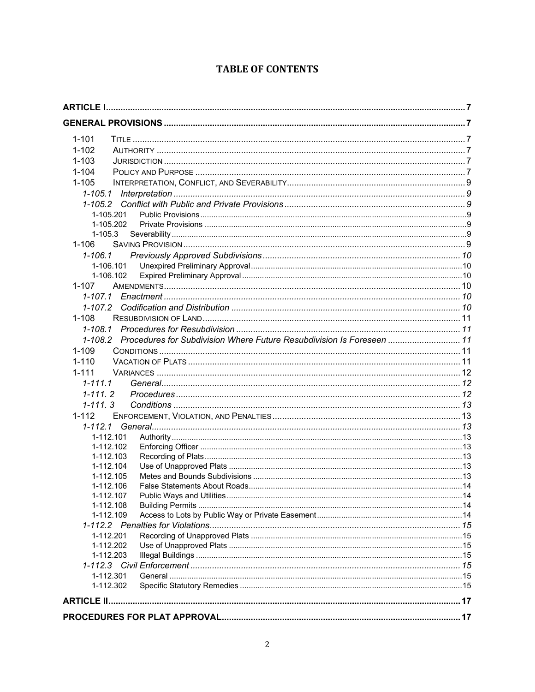# **TABLE OF CONTENTS**

| $1 - 101$                                                                     |  |
|-------------------------------------------------------------------------------|--|
| $1 - 102$                                                                     |  |
| $1 - 103$                                                                     |  |
| $1 - 104$                                                                     |  |
| $1 - 105$                                                                     |  |
|                                                                               |  |
| 1-105.1                                                                       |  |
|                                                                               |  |
| 1-105.201                                                                     |  |
| 1-105.202                                                                     |  |
| $1 - 105.3$                                                                   |  |
| $1 - 106$                                                                     |  |
| $1 - 106.1$                                                                   |  |
| 1-106.101                                                                     |  |
| 1-106.102                                                                     |  |
| $1 - 107$                                                                     |  |
| $1 - 107.1$                                                                   |  |
| 1-107.2                                                                       |  |
| $1 - 108$                                                                     |  |
| 1-108.1                                                                       |  |
| 1-108.2 Procedures for Subdivision Where Future Resubdivision Is Foreseen  11 |  |
| $1 - 109$                                                                     |  |
| $1 - 110$                                                                     |  |
| $1 - 111$                                                                     |  |
|                                                                               |  |
| $1 - 111.1$                                                                   |  |
| $1 - 111.2$                                                                   |  |
| $1 - 111.3$                                                                   |  |
| $1 - 112$                                                                     |  |
| 1-112.1                                                                       |  |
| 1-112.101                                                                     |  |
| 1-112.102                                                                     |  |
| 1-112.103                                                                     |  |
| 1-112.104                                                                     |  |
| 1-112.105                                                                     |  |
| 1-112.106                                                                     |  |
| 1-112.107                                                                     |  |
| 1-112.108                                                                     |  |
| 1-112.109                                                                     |  |
|                                                                               |  |
| 1-112.201                                                                     |  |
| 1-112.202                                                                     |  |
| 1-112.203                                                                     |  |
|                                                                               |  |
| 1-112.301                                                                     |  |
| 1-112.302                                                                     |  |
|                                                                               |  |
|                                                                               |  |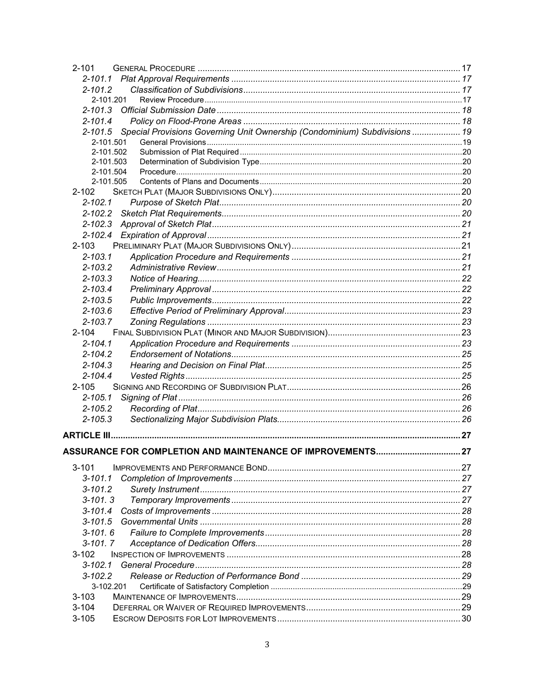| $2 - 101$                                                                                 |  |
|-------------------------------------------------------------------------------------------|--|
|                                                                                           |  |
| $2 - 101.2$                                                                               |  |
| 2-101.201                                                                                 |  |
| $2 - 101.3$                                                                               |  |
| $2 - 101.4$                                                                               |  |
| Special Provisions Governing Unit Ownership (Condominium) Subdivisions  19<br>$2 - 101.5$ |  |
| 2-101.501                                                                                 |  |
| 2-101.502                                                                                 |  |
| 2-101.503                                                                                 |  |
| 2-101.504                                                                                 |  |
| 2-101.505                                                                                 |  |
| $2 - 102$                                                                                 |  |
| $2 - 102.1$                                                                               |  |
| $2 - 102.2$                                                                               |  |
| $2 - 102.3$                                                                               |  |
| $2 - 102.4$                                                                               |  |
| $2 - 103$                                                                                 |  |
| $2 - 103.1$                                                                               |  |
| $2 - 103.2$                                                                               |  |
| $2 - 103.3$                                                                               |  |
| $2 - 103.4$                                                                               |  |
| $2 - 103.5$                                                                               |  |
| $2 - 103.6$                                                                               |  |
| $2 - 103.7$                                                                               |  |
| $2 - 104$                                                                                 |  |
| $2 - 104.1$                                                                               |  |
| $2 - 104.2$                                                                               |  |
| $2 - 104.3$                                                                               |  |
| $2 - 104.4$                                                                               |  |
| $2 - 105$                                                                                 |  |
| $2 - 105.1$                                                                               |  |
| $2 - 105.2$                                                                               |  |
| $2 - 105.3$                                                                               |  |
| ARTICLE III.                                                                              |  |
|                                                                                           |  |
|                                                                                           |  |
| $3 - 101$                                                                                 |  |
| $3 - 101.1$                                                                               |  |
| $3 - 101.2$                                                                               |  |
| $3 - 101.3$                                                                               |  |
| $3 - 101.4$                                                                               |  |
| $3 - 101.5$                                                                               |  |
| $3 - 101.6$                                                                               |  |
| $3 - 101.7$                                                                               |  |
| $3 - 102$                                                                                 |  |
| $3 - 102.1$                                                                               |  |
| $3 - 102.2$                                                                               |  |
| 3-102.201                                                                                 |  |
| $3 - 103$                                                                                 |  |
| $3 - 104$                                                                                 |  |
| $3 - 105$                                                                                 |  |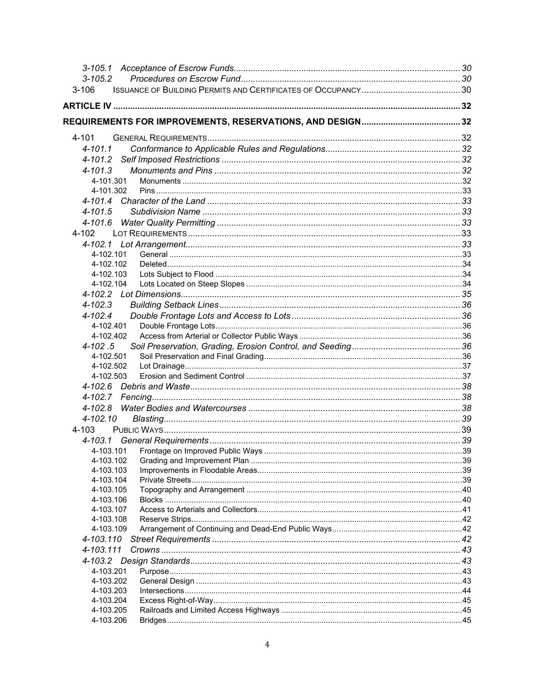| $3 - 105.2$            |  |
|------------------------|--|
| $3 - 106$              |  |
|                        |  |
|                        |  |
|                        |  |
| 4-101                  |  |
| $4 - 101.1$            |  |
|                        |  |
| $4 - 101.3$            |  |
| 4-101.301              |  |
| 4-101.302              |  |
|                        |  |
| $4 - 101.5$            |  |
|                        |  |
| 4-102                  |  |
|                        |  |
| 4-102.101              |  |
| 4-102.102              |  |
| 4-102.103              |  |
| 4-102.104              |  |
|                        |  |
| $4 - 102.3$            |  |
| $4 - 102.4$            |  |
| 4-102.401              |  |
| 4-102.402              |  |
| $4 - 102.5$            |  |
| 4-102.501              |  |
| 4-102.502              |  |
| 4-102.503              |  |
|                        |  |
|                        |  |
|                        |  |
| 4-102.10               |  |
| 4-103                  |  |
|                        |  |
| 4-103.101              |  |
| 4-103.102              |  |
| 4-103.103              |  |
| 4-103.104              |  |
| 4-103.105              |  |
| 4-103.106              |  |
| 4-103.107              |  |
| 4-103.108              |  |
| 4-103.109              |  |
| 4-103.110              |  |
| 4-103.111              |  |
|                        |  |
| 4-103.201              |  |
| 4-103.202              |  |
| 4-103.203              |  |
| 4-103.204              |  |
| 4-103.205<br>4-103.206 |  |
|                        |  |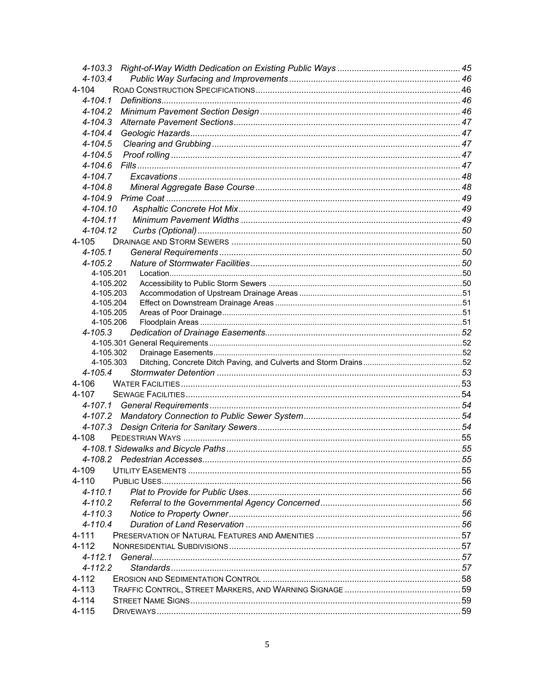| $4 - 103.4$ |  |
|-------------|--|
| $4 - 104$   |  |
| $4 - 104.1$ |  |
| $4 - 104.2$ |  |
| $4 - 104.3$ |  |
| $4 - 104.4$ |  |
| $4 - 104.5$ |  |
| $4 - 104.5$ |  |
| $4 - 104.6$ |  |
| $4 - 104.7$ |  |
| $4 - 104.8$ |  |
| 4-104.9     |  |
| 4-104.10    |  |
| 4-104.11    |  |
| 4-104.12    |  |
| 4-105       |  |
| $4 - 105.1$ |  |
| $4 - 105.2$ |  |
| 4-105.201   |  |
| 4-105.202   |  |
| 4-105.203   |  |
| 4-105.204   |  |
| 4-105.205   |  |
| 4-105.206   |  |
| $4 - 105.3$ |  |
|             |  |
| 4-105.302   |  |
| 4-105.303   |  |
| $4 - 105.4$ |  |
| 4-106       |  |
| 4-107       |  |
| 4-107.1     |  |
|             |  |
| 4-107.3     |  |
| 4-108       |  |
|             |  |
|             |  |
| 4-109       |  |
| 4-110       |  |
| $4 - 110.1$ |  |
| $4 - 110.2$ |  |
| $4 - 110.3$ |  |
| $4 - 110.4$ |  |
| 4-111       |  |
| 4-112       |  |
| 4-112.1     |  |
| $4 - 112.2$ |  |
| $4 - 112$   |  |
| $4 - 113$   |  |
| $4 - 114$   |  |
| 4-115       |  |
|             |  |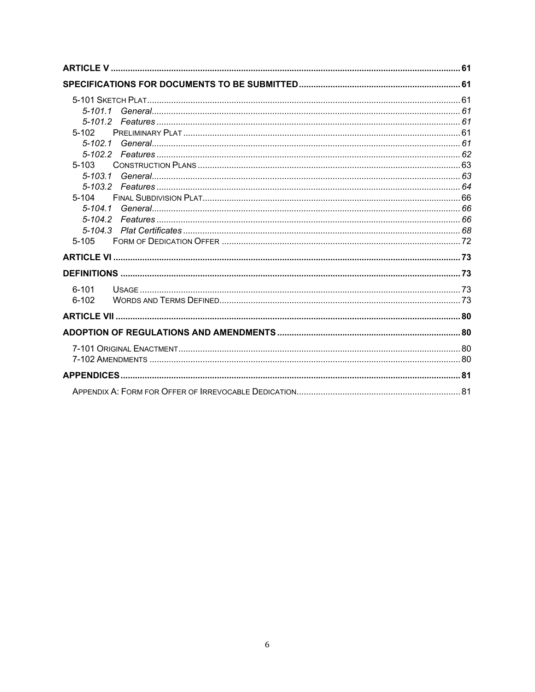| $5-102$<br>$5 - 103$<br>$5 - 103.1$<br>$5 - 104$<br>$5 - 104.1$ |  |
|-----------------------------------------------------------------|--|
| $5 - 104.2$<br>$5 - 105$                                        |  |
|                                                                 |  |
| $6 - 101$<br>$6 - 102$                                          |  |
|                                                                 |  |
|                                                                 |  |
|                                                                 |  |
|                                                                 |  |
|                                                                 |  |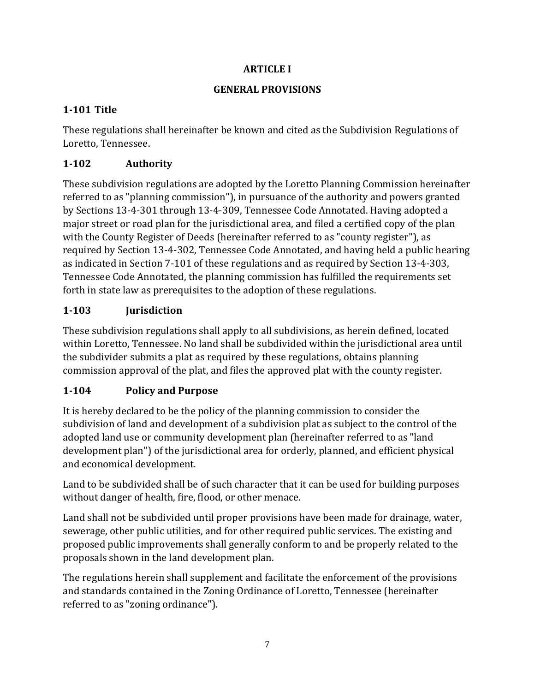#### **ARTICLE I**

#### **GENERAL PROVISIONS**

# <span id="page-6-2"></span><span id="page-6-1"></span><span id="page-6-0"></span>**1-101 Title**

These regulations shall hereinafter be known and cited as the Subdivision Regulations of Loretto, Tennessee.

# <span id="page-6-3"></span>**1-102 Authority**

These subdivision regulations are adopted by the Loretto Planning Commission hereinafter referred to as "planning commission"), in pursuance of the authority and powers granted by Sections 13-4-301 through 13-4-309, Tennessee Code Annotated. Having adopted a major street or road plan for the jurisdictional area, and filed a certified copy of the plan with the County Register of Deeds (hereinafter referred to as "county register"), as required by Section 13-4-302, Tennessee Code Annotated, and having held a public hearing as indicated in Section 7-101 of these regulations and as required by Section 13-4-303, Tennessee Code Annotated, the planning commission has fulfilled the requirements set forth in state law as prerequisites to the adoption of these regulations.

# <span id="page-6-4"></span>**1-103 Jurisdiction**

These subdivision regulations shall apply to all subdivisions, as herein defined, located within Loretto, Tennessee. No land shall be subdivided within the jurisdictional area until the subdivider submits a plat as required by these regulations, obtains planning commission approval of the plat, and files the approved plat with the county register.

# <span id="page-6-5"></span>**1-104 Policy and Purpose**

It is hereby declared to be the policy of the planning commission to consider the subdivision of land and development of a subdivision plat as subject to the control of the adopted land use or community development plan (hereinafter referred to as "land development plan") of the jurisdictional area for orderly, planned, and efficient physical and economical development.

Land to be subdivided shall be of such character that it can be used for building purposes without danger of health, fire, flood, or other menace.

Land shall not be subdivided until proper provisions have been made for drainage, water, sewerage, other public utilities, and for other required public services. The existing and proposed public improvements shall generally conform to and be properly related to the proposals shown in the land development plan.

The regulations herein shall supplement and facilitate the enforcement of the provisions and standards contained in the Zoning Ordinance of Loretto, Tennessee (hereinafter referred to as "zoning ordinance").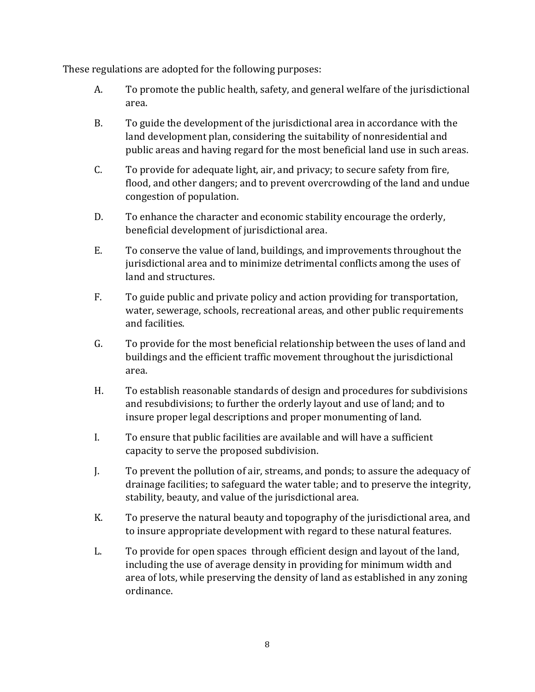These regulations are adopted for the following purposes:

- A. To promote the public health, safety, and general welfare of the jurisdictional area.
- B. To guide the development of the jurisdictional area in accordance with the land development plan, considering the suitability of nonresidential and public areas and having regard for the most beneficial land use in such areas.
- C. To provide for adequate light, air, and privacy; to secure safety from fire, flood, and other dangers; and to prevent overcrowding of the land and undue congestion of population.
- D. To enhance the character and economic stability encourage the orderly, beneficial development of jurisdictional area.
- E. To conserve the value of land, buildings, and improvements throughout the jurisdictional area and to minimize detrimental conflicts among the uses of land and structures.
- F. To guide public and private policy and action providing for transportation, water, sewerage, schools, recreational areas, and other public requirements and facilities.
- G. To provide for the most beneficial relationship between the uses of land and buildings and the efficient traffic movement throughout the jurisdictional area.
- H. To establish reasonable standards of design and procedures for subdivisions and resubdivisions; to further the orderly layout and use of land; and to insure proper legal descriptions and proper monumenting of land.
- I. To ensure that public facilities are available and will have a sufficient capacity to serve the proposed subdivision.
- J. To prevent the pollution of air, streams, and ponds; to assure the adequacy of drainage facilities; to safeguard the water table; and to preserve the integrity, stability, beauty, and value of the jurisdictional area.
- K. To preserve the natural beauty and topography of the jurisdictional area, and to insure appropriate development with regard to these natural features.
- L. To provide for open spaces through efficient design and layout of the land, including the use of average density in providing for minimum width and area of lots, while preserving the density of land as established in any zoning ordinance.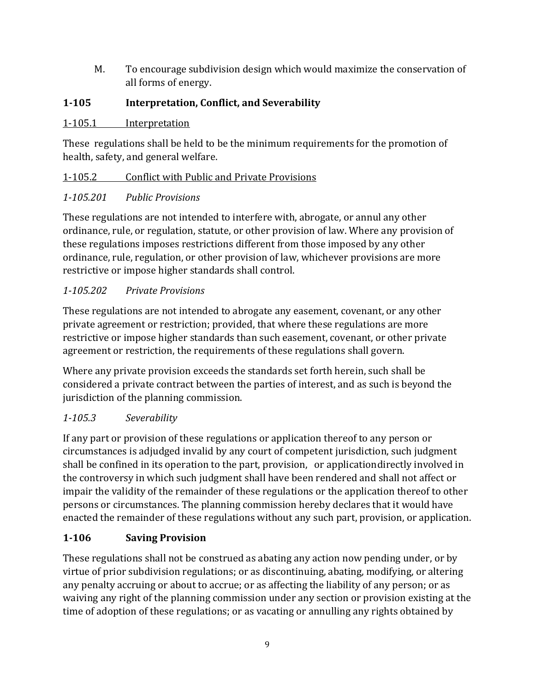M. To encourage subdivision design which would maximize the conservation of all forms of energy.

# <span id="page-8-0"></span>**1-105 Interpretation, Conflict, and Severability**

#### <span id="page-8-1"></span>1-105.1 Interpretation

These regulations shall be held to be the minimum requirements for the promotion of health, safety, and general welfare.

# <span id="page-8-2"></span>1-105.2 Conflict with Public and Private Provisions

# <span id="page-8-3"></span>*1-105.201 Public Provisions*

These regulations are not intended to interfere with, abrogate, or annul any other ordinance, rule, or regulation, statute, or other provision of law. Where any provision of these regulations imposes restrictions different from those imposed by any other ordinance, rule, regulation, or other provision of law, whichever provisions are more restrictive or impose higher standards shall control.

# <span id="page-8-4"></span>*1-105.202 Private Provisions*

These regulations are not intended to abrogate any easement, covenant, or any other private agreement or restriction; provided, that where these regulations are more restrictive or impose higher standards than such easement, covenant, or other private agreement or restriction, the requirements of these regulations shall govern.

Where any private provision exceeds the standards set forth herein, such shall be considered a private contract between the parties of interest, and as such is beyond the jurisdiction of the planning commission.

# <span id="page-8-5"></span>*1-105.3 Severability*

If any part or provision of these regulations or application thereof to any person or circumstances is adjudged invalid by any court of competent jurisdiction, such judgment shall be confined in its operation to the part, provision, or applicationdirectly involved in the controversy in which such judgment shall have been rendered and shall not affect or impair the validity of the remainder of these regulations or the application thereof to other persons or circumstances. The planning commission hereby declares that it would have enacted the remainder of these regulations without any such part, provision, or application.

# <span id="page-8-6"></span>**1-106 Saving Provision**

These regulations shall not be construed as abating any action now pending under, or by virtue of prior subdivision regulations; or as discontinuing, abating, modifying, or altering any penalty accruing or about to accrue; or as affecting the liability of any person; or as waiving any right of the planning commission under any section or provision existing at the time of adoption of these regulations; or as vacating or annulling any rights obtained by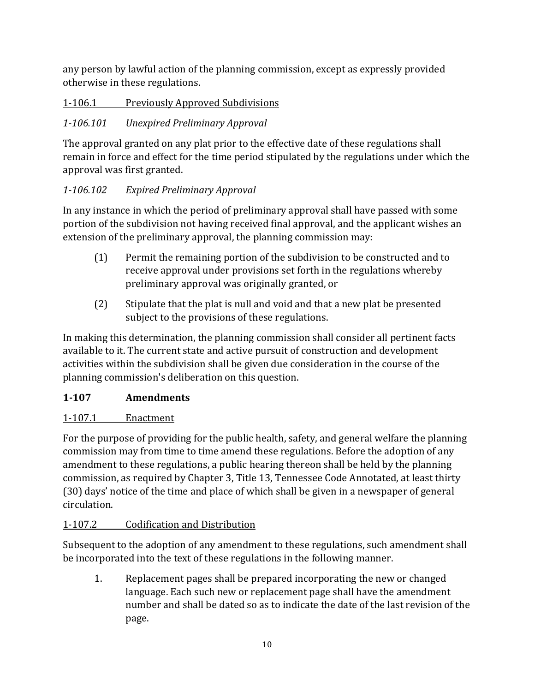any person by lawful action of the planning commission, except as expressly provided otherwise in these regulations.

<span id="page-9-0"></span>1-106.1 Previously Approved Subdivisions

# <span id="page-9-1"></span>*1-106.101 Unexpired Preliminary Approval*

The approval granted on any plat prior to the effective date of these regulations shall remain in force and effect for the time period stipulated by the regulations under which the approval was first granted.

# <span id="page-9-2"></span>*1-106.102 Expired Preliminary Approval*

In any instance in which the period of preliminary approval shall have passed with some portion of the subdivision not having received final approval, and the applicant wishes an extension of the preliminary approval, the planning commission may:

- (1) Permit the remaining portion of the subdivision to be constructed and to receive approval under provisions set forth in the regulations whereby preliminary approval was originally granted, or
- (2) Stipulate that the plat is null and void and that a new plat be presented subject to the provisions of these regulations.

In making this determination, the planning commission shall consider all pertinent facts available to it. The current state and active pursuit of construction and development activities within the subdivision shall be given due consideration in the course of the planning commission's deliberation on this question.

# <span id="page-9-3"></span>**1-107 Amendments**

# <span id="page-9-4"></span>1-107.1 Enactment

For the purpose of providing for the public health, safety, and general welfare the planning commission may from time to time amend these regulations. Before the adoption of any amendment to these regulations, a public hearing thereon shall be held by the planning commission, as required by Chapter 3, Title 13, Tennessee Code Annotated, at least thirty (30) days' notice of the time and place of which shall be given in a newspaper of general circulation.

# <span id="page-9-5"></span>1-107.2 Codification and Distribution

Subsequent to the adoption of any amendment to these regulations, such amendment shall be incorporated into the text of these regulations in the following manner.

1. Replacement pages shall be prepared incorporating the new or changed language. Each such new or replacement page shall have the amendment number and shall be dated so as to indicate the date of the last revision of the page.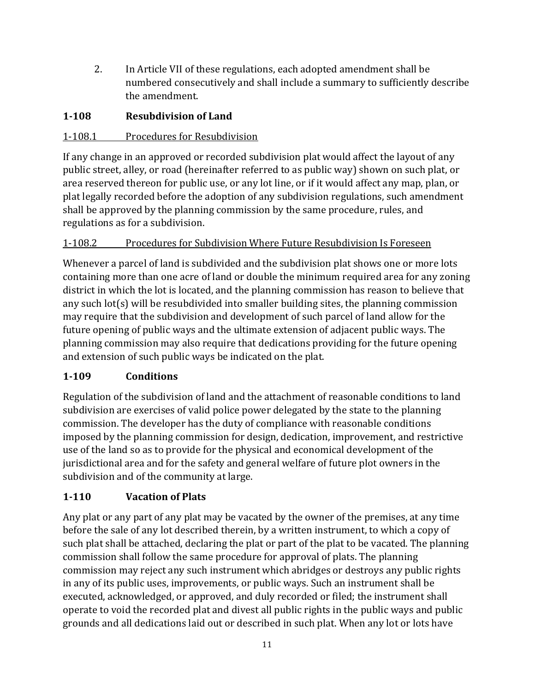2. In Article VII of these regulations, each adopted amendment shall be numbered consecutively and shall include a summary to sufficiently describe the amendment.

# <span id="page-10-0"></span>**1-108 Resubdivision of Land**

# <span id="page-10-1"></span>1-108.1 Procedures for Resubdivision

If any change in an approved or recorded subdivision plat would affect the layout of any public street, alley, or road (hereinafter referred to as public way) shown on such plat, or area reserved thereon for public use, or any lot line, or if it would affect any map, plan, or plat legally recorded before the adoption of any subdivision regulations, such amendment shall be approved by the planning commission by the same procedure, rules, and regulations as for a subdivision.

# <span id="page-10-2"></span>1-108.2 Procedures for Subdivision Where Future Resubdivision Is Foreseen

Whenever a parcel of land is subdivided and the subdivision plat shows one or more lots containing more than one acre of land or double the minimum required area for any zoning district in which the lot is located, and the planning commission has reason to believe that any such lot(s) will be resubdivided into smaller building sites, the planning commission may require that the subdivision and development of such parcel of land allow for the future opening of public ways and the ultimate extension of adjacent public ways. The planning commission may also require that dedications providing for the future opening and extension of such public ways be indicated on the plat.

# <span id="page-10-3"></span>**1-109 Conditions**

Regulation of the subdivision of land and the attachment of reasonable conditions to land subdivision are exercises of valid police power delegated by the state to the planning commission. The developer has the duty of compliance with reasonable conditions imposed by the planning commission for design, dedication, improvement, and restrictive use of the land so as to provide for the physical and economical development of the jurisdictional area and for the safety and general welfare of future plot owners in the subdivision and of the community at large.

# <span id="page-10-4"></span>**1-110 Vacation of Plats**

Any plat or any part of any plat may be vacated by the owner of the premises, at any time before the sale of any lot described therein, by a written instrument, to which a copy of such plat shall be attached, declaring the plat or part of the plat to be vacated. The planning commission shall follow the same procedure for approval of plats. The planning commission may reject any such instrument which abridges or destroys any public rights in any of its public uses, improvements, or public ways. Such an instrument shall be executed, acknowledged, or approved, and duly recorded or filed; the instrument shall operate to void the recorded plat and divest all public rights in the public ways and public grounds and all dedications laid out or described in such plat. When any lot or lots have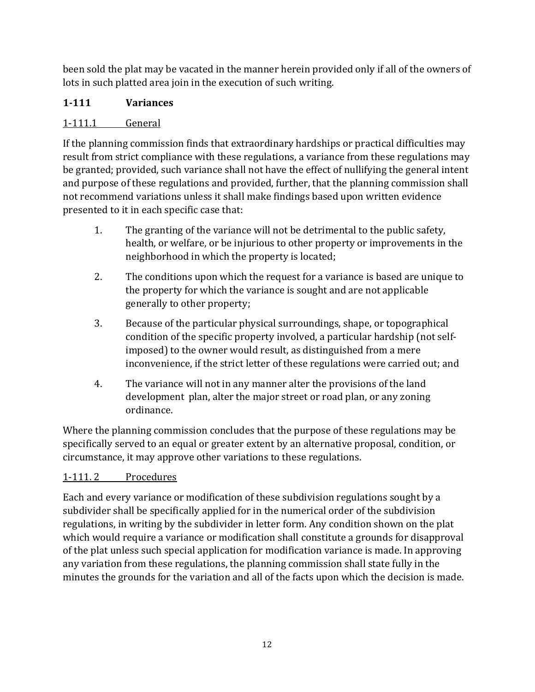been sold the plat may be vacated in the manner herein provided only if all of the owners of lots in such platted area join in the execution of such writing.

# <span id="page-11-0"></span>**1-111 Variances**

# <span id="page-11-1"></span>1-111.1 General

If the planning commission finds that extraordinary hardships or practical difficulties may result from strict compliance with these regulations, a variance from these regulations may be granted; provided, such variance shall not have the effect of nullifying the general intent and purpose of these regulations and provided, further, that the planning commission shall not recommend variations unless it shall make findings based upon written evidence presented to it in each specific case that:

- 1. The granting of the variance will not be detrimental to the public safety, health, or welfare, or be injurious to other property or improvements in the neighborhood in which the property is located;
- 2. The conditions upon which the request for a variance is based are unique to the property for which the variance is sought and are not applicable generally to other property;
- 3. Because of the particular physical surroundings, shape, or topographical condition of the specific property involved, a particular hardship (not selfimposed) to the owner would result, as distinguished from a mere inconvenience, if the strict letter of these regulations were carried out; and
- 4. The variance will not in any manner alter the provisions of the land development plan, alter the major street or road plan, or any zoning ordinance.

Where the planning commission concludes that the purpose of these regulations may be specifically served to an equal or greater extent by an alternative proposal, condition, or circumstance, it may approve other variations to these regulations.

# <span id="page-11-2"></span>1-111. 2 Procedures

Each and every variance or modification of these subdivision regulations sought by a subdivider shall be specifically applied for in the numerical order of the subdivision regulations, in writing by the subdivider in letter form. Any condition shown on the plat which would require a variance or modification shall constitute a grounds for disapproval of the plat unless such special application for modification variance is made. In approving any variation from these regulations, the planning commission shall state fully in the minutes the grounds for the variation and all of the facts upon which the decision is made.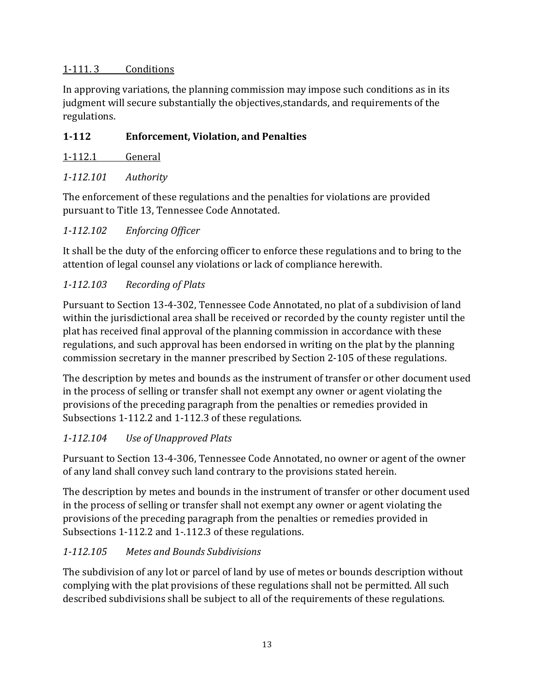#### <span id="page-12-0"></span>1-111. 3 Conditions

In approving variations, the planning commission may impose such conditions as in its judgment will secure substantially the objectives,standards, and requirements of the regulations.

## <span id="page-12-1"></span>**1-112 Enforcement, Violation, and Penalties**

<span id="page-12-2"></span>

#### <span id="page-12-3"></span>*1-112.101 Authority*

The enforcement of these regulations and the penalties for violations are provided pursuant to Title 13, Tennessee Code Annotated.

#### <span id="page-12-4"></span>*1-112.102 Enforcing Officer*

It shall be the duty of the enforcing officer to enforce these regulations and to bring to the attention of legal counsel any violations or lack of compliance herewith.

#### <span id="page-12-5"></span>*1-112.103 Recording of Plats*

Pursuant to Section 13-4-302, Tennessee Code Annotated, no plat of a subdivision of land within the jurisdictional area shall be received or recorded by the county register until the plat has received final approval of the planning commission in accordance with these regulations, and such approval has been endorsed in writing on the plat by the planning commission secretary in the manner prescribed by Section 2-105 of these regulations.

The description by metes and bounds as the instrument of transfer or other document used in the process of selling or transfer shall not exempt any owner or agent violating the provisions of the preceding paragraph from the penalties or remedies provided in Subsections 1-112.2 and 1-112.3 of these regulations.

# <span id="page-12-6"></span>*1-112.104 Use of Unapproved Plats*

Pursuant to Section 13-4-306, Tennessee Code Annotated, no owner or agent of the owner of any land shall convey such land contrary to the provisions stated herein.

The description by metes and bounds in the instrument of transfer or other document used in the process of selling or transfer shall not exempt any owner or agent violating the provisions of the preceding paragraph from the penalties or remedies provided in Subsections 1-112.2 and 1-.112.3 of these regulations.

# <span id="page-12-7"></span>*1-112.105 Metes and Bounds Subdivisions*

The subdivision of any lot or parcel of land by use of metes or bounds description without complying with the plat provisions of these regulations shall not be permitted. All such described subdivisions shall be subject to all of the requirements of these regulations.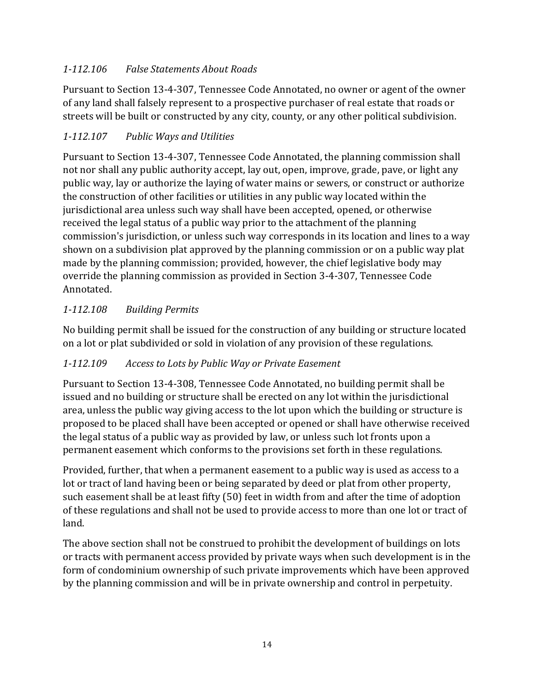# <span id="page-13-0"></span>*1-112.106 False Statements About Roads*

Pursuant to Section 13-4-307, Tennessee Code Annotated, no owner or agent of the owner of any land shall falsely represent to a prospective purchaser of real estate that roads or streets will be built or constructed by any city, county, or any other political subdivision.

# <span id="page-13-1"></span>*1-112.107 Public Ways and Utilities*

Pursuant to Section 13-4-307, Tennessee Code Annotated, the planning commission shall not nor shall any public authority accept, lay out, open, improve, grade, pave, or light any public way, lay or authorize the laying of water mains or sewers, or construct or authorize the construction of other facilities or utilities in any public way located within the jurisdictional area unless such way shall have been accepted, opened, or otherwise received the legal status of a public way prior to the attachment of the planning commission's jurisdiction, or unless such way corresponds in its location and lines to a way shown on a subdivision plat approved by the planning commission or on a public way plat made by the planning commission; provided, however, the chief legislative body may override the planning commission as provided in Section 3-4-307, Tennessee Code Annotated.

# <span id="page-13-2"></span>*1-112.108 Building Permits*

No building permit shall be issued for the construction of any building or structure located on a lot or plat subdivided or sold in violation of any provision of these regulations.

# <span id="page-13-3"></span>*1-112.109 Access to Lots by Public Way or Private Easement*

Pursuant to Section 13-4-308, Tennessee Code Annotated, no building permit shall be issued and no building or structure shall be erected on any lot within the jurisdictional area, unless the public way giving access to the lot upon which the building or structure is proposed to be placed shall have been accepted or opened or shall have otherwise received the legal status of a public way as provided by law, or unless such lot fronts upon a permanent easement which conforms to the provisions set forth in these regulations.

Provided, further, that when a permanent easement to a public way is used as access to a lot or tract of land having been or being separated by deed or plat from other property, such easement shall be at least fifty (50) feet in width from and after the time of adoption of these regulations and shall not be used to provide access to more than one lot or tract of land.

The above section shall not be construed to prohibit the development of buildings on lots or tracts with permanent access provided by private ways when such development is in the form of condominium ownership of such private improvements which have been approved by the planning commission and will be in private ownership and control in perpetuity.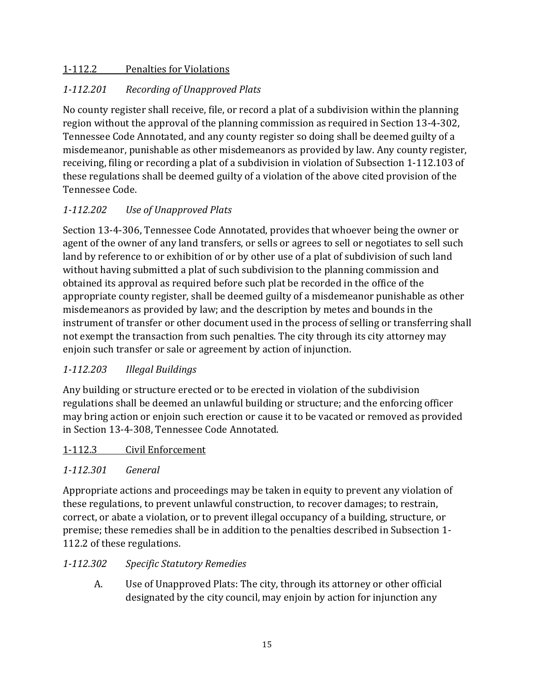#### <span id="page-14-0"></span>1-112.2 Penalties for Violations

## <span id="page-14-1"></span>*1-112.201 Recording of Unapproved Plats*

No county register shall receive, file, or record a plat of a subdivision within the planning region without the approval of the planning commission as required in Section 13-4-302, Tennessee Code Annotated, and any county register so doing shall be deemed guilty of a misdemeanor, punishable as other misdemeanors as provided by law. Any county register, receiving, filing or recording a plat of a subdivision in violation of Subsection 1-112.103 of these regulations shall be deemed guilty of a violation of the above cited provision of the Tennessee Code.

# <span id="page-14-2"></span>*1-112.202 Use of Unapproved Plats*

Section 13-4-306, Tennessee Code Annotated, provides that whoever being the owner or agent of the owner of any land transfers, or sells or agrees to sell or negotiates to sell such land by reference to or exhibition of or by other use of a plat of subdivision of such land without having submitted a plat of such subdivision to the planning commission and obtained its approval as required before such plat be recorded in the office of the appropriate county register, shall be deemed guilty of a misdemeanor punishable as other misdemeanors as provided by law; and the description by metes and bounds in the instrument of transfer or other document used in the process of selling or transferring shall not exempt the transaction from such penalties. The city through its city attorney may enjoin such transfer or sale or agreement by action of injunction.

#### <span id="page-14-3"></span>*1-112.203 Illegal Buildings*

Any building or structure erected or to be erected in violation of the subdivision regulations shall be deemed an unlawful building or structure; and the enforcing officer may bring action or enjoin such erection or cause it to be vacated or removed as provided in Section 13-4-308, Tennessee Code Annotated.

#### <span id="page-14-4"></span>1-112.3 Civil Enforcement

#### <span id="page-14-5"></span>*1-112.301 General*

Appropriate actions and proceedings may be taken in equity to prevent any violation of these regulations, to prevent unlawful construction, to recover damages; to restrain, correct, or abate a violation, or to prevent illegal occupancy of a building, structure, or premise; these remedies shall be in addition to the penalties described in Subsection 1- 112.2 of these regulations.

#### <span id="page-14-6"></span>*1-112.302 Specific Statutory Remedies*

A. Use of Unapproved Plats: The city, through its attorney or other official designated by the city council, may enjoin by action for injunction any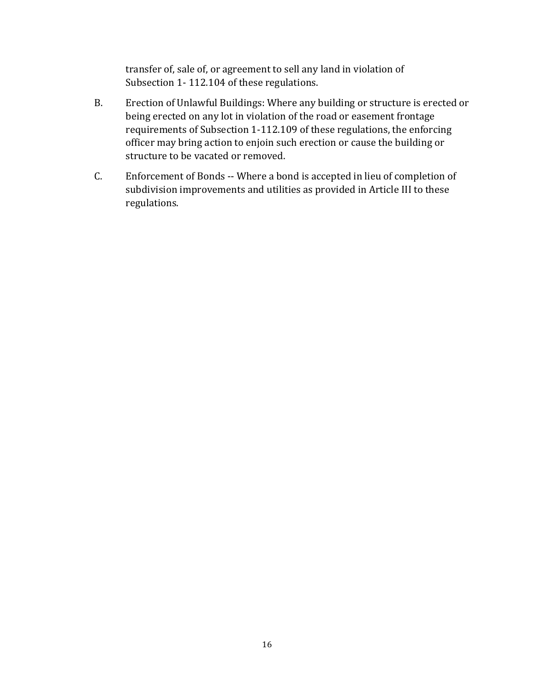transfer of, sale of, or agreement to sell any land in violation of Subsection 1- 112.104 of these regulations.

- B. Erection of Unlawful Buildings: Where any building or structure is erected or being erected on any lot in violation of the road or easement frontage requirements of Subsection 1-112.109 of these regulations, the enforcing officer may bring action to enjoin such erection or cause the building or structure to be vacated or removed.
- C. Enforcement of Bonds -- Where a bond is accepted in lieu of completion of subdivision improvements and utilities as provided in Article III to these regulations.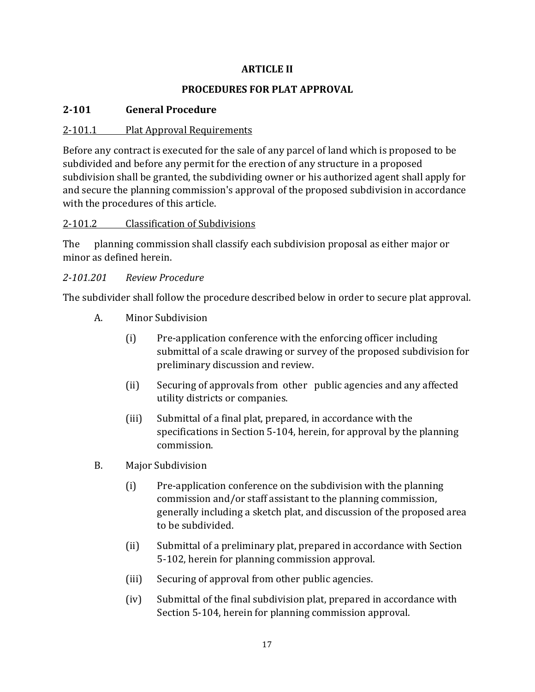#### **ARTICLE II**

#### **PROCEDURES FOR PLAT APPROVAL**

## <span id="page-16-2"></span><span id="page-16-1"></span><span id="page-16-0"></span>**2-101 General Procedure**

#### <span id="page-16-3"></span>2-101.1 Plat Approval Requirements

Before any contract is executed for the sale of any parcel of land which is proposed to be subdivided and before any permit for the erection of any structure in a proposed subdivision shall be granted, the subdividing owner or his authorized agent shall apply for and secure the planning commission's approval of the proposed subdivision in accordance with the procedures of this article.

#### <span id="page-16-4"></span>2-101.2 Classification of Subdivisions

The planning commission shall classify each subdivision proposal as either major or minor as defined herein.

#### <span id="page-16-5"></span>*2-101.201 Review Procedure*

The subdivider shall follow the procedure described below in order to secure plat approval.

- A. Minor Subdivision
	- (i) Pre-application conference with the enforcing officer including submittal of a scale drawing or survey of the proposed subdivision for preliminary discussion and review.
	- (ii) Securing of approvals from other public agencies and any affected utility districts or companies.
	- (iii) Submittal of a final plat, prepared, in accordance with the specifications in Section 5-104, herein, for approval by the planning commission.
- B. Major Subdivision
	- (i) Pre-application conference on the subdivision with the planning commission and/or staff assistant to the planning commission, generally including a sketch plat, and discussion of the proposed area to be subdivided.
	- (ii) Submittal of a preliminary plat, prepared in accordance with Section 5-102, herein for planning commission approval.
	- (iii) Securing of approval from other public agencies.
	- (iv) Submittal of the final subdivision plat, prepared in accordance with Section 5-104, herein for planning commission approval.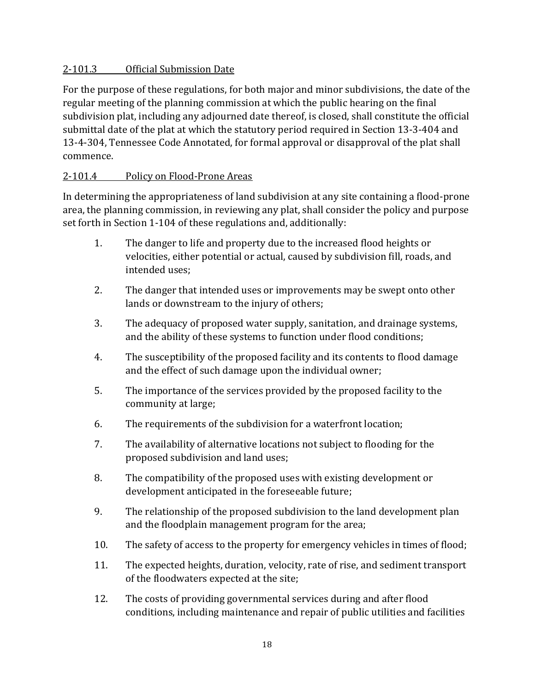#### <span id="page-17-0"></span>2-101.3 Official Submission Date

For the purpose of these regulations, for both major and minor subdivisions, the date of the regular meeting of the planning commission at which the public hearing on the final subdivision plat, including any adjourned date thereof, is closed, shall constitute the official submittal date of the plat at which the statutory period required in Section 13-3-404 and 13-4-304, Tennessee Code Annotated, for formal approval or disapproval of the plat shall commence.

#### <span id="page-17-1"></span>2-101.4 Policy on Flood-Prone Areas

In determining the appropriateness of land subdivision at any site containing a flood-prone area, the planning commission, in reviewing any plat, shall consider the policy and purpose set forth in Section 1-104 of these regulations and, additionally:

- 1. The danger to life and property due to the increased flood heights or velocities, either potential or actual, caused by subdivision fill, roads, and intended uses;
- 2. The danger that intended uses or improvements may be swept onto other lands or downstream to the injury of others;
- 3. The adequacy of proposed water supply, sanitation, and drainage systems, and the ability of these systems to function under flood conditions;
- 4. The susceptibility of the proposed facility and its contents to flood damage and the effect of such damage upon the individual owner;
- 5. The importance of the services provided by the proposed facility to the community at large;
- 6. The requirements of the subdivision for a waterfront location;
- 7. The availability of alternative locations not subject to flooding for the proposed subdivision and land uses;
- 8. The compatibility of the proposed uses with existing development or development anticipated in the foreseeable future;
- 9. The relationship of the proposed subdivision to the land development plan and the floodplain management program for the area;
- 10. The safety of access to the property for emergency vehicles in times of flood;
- 11. The expected heights, duration, velocity, rate of rise, and sediment transport of the floodwaters expected at the site;
- 12. The costs of providing governmental services during and after flood conditions, including maintenance and repair of public utilities and facilities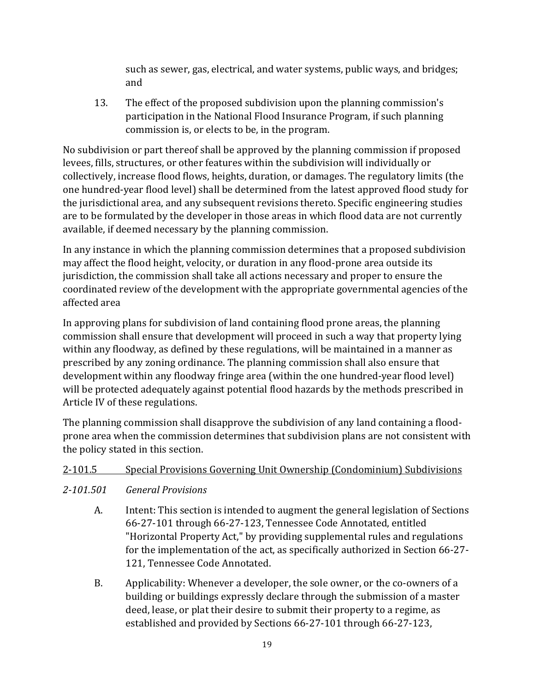such as sewer, gas, electrical, and water systems, public ways, and bridges; and

13. The effect of the proposed subdivision upon the planning commission's participation in the National Flood Insurance Program, if such planning commission is, or elects to be, in the program.

No subdivision or part thereof shall be approved by the planning commission if proposed levees, fills, structures, or other features within the subdivision will individually or collectively, increase flood flows, heights, duration, or damages. The regulatory limits (the one hundred-year flood level) shall be determined from the latest approved flood study for the jurisdictional area, and any subsequent revisions thereto. Specific engineering studies are to be formulated by the developer in those areas in which flood data are not currently available, if deemed necessary by the planning commission.

In any instance in which the planning commission determines that a proposed subdivision may affect the flood height, velocity, or duration in any flood-prone area outside its jurisdiction, the commission shall take all actions necessary and proper to ensure the coordinated review of the development with the appropriate governmental agencies of the affected area

In approving plans for subdivision of land containing flood prone areas, the planning commission shall ensure that development will proceed in such a way that property lying within any floodway, as defined by these regulations, will be maintained in a manner as prescribed by any zoning ordinance. The planning commission shall also ensure that development within any floodway fringe area (within the one hundred-year flood level) will be protected adequately against potential flood hazards by the methods prescribed in Article IV of these regulations.

The planning commission shall disapprove the subdivision of any land containing a floodprone area when the commission determines that subdivision plans are not consistent with the policy stated in this section.

# <span id="page-18-1"></span><span id="page-18-0"></span>2-101.5 Special Provisions Governing Unit Ownership (Condominium) Subdivisions *2-101.501 General Provisions*

- A. Intent: This section is intended to augment the general legislation of Sections 66-27-101 through 66-27-123, Tennessee Code Annotated, entitled "Horizontal Property Act," by providing supplemental rules and regulations for the implementation of the act, as specifically authorized in Section 66-27- 121, Tennessee Code Annotated.
- B. Applicability: Whenever a developer, the sole owner, or the co-owners of a building or buildings expressly declare through the submission of a master deed, lease, or plat their desire to submit their property to a regime, as established and provided by Sections 66-27-101 through 66-27-123,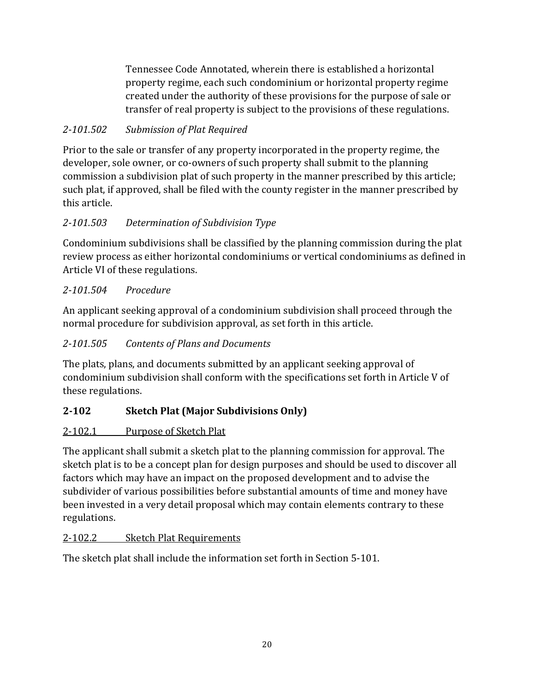Tennessee Code Annotated, wherein there is established a horizontal property regime, each such condominium or horizontal property regime created under the authority of these provisions for the purpose of sale or transfer of real property is subject to the provisions of these regulations.

# <span id="page-19-0"></span>*2-101.502 Submission of Plat Required*

Prior to the sale or transfer of any property incorporated in the property regime, the developer, sole owner, or co-owners of such property shall submit to the planning commission a subdivision plat of such property in the manner prescribed by this article; such plat, if approved, shall be filed with the county register in the manner prescribed by this article.

# <span id="page-19-1"></span>*2-101.503 Determination of Subdivision Type*

Condominium subdivisions shall be classified by the planning commission during the plat review process as either horizontal condominiums or vertical condominiums as defined in Article VI of these regulations.

# <span id="page-19-2"></span>*2-101.504 Procedure*

An applicant seeking approval of a condominium subdivision shall proceed through the normal procedure for subdivision approval, as set forth in this article.

## <span id="page-19-3"></span>*2-101.505 Contents of Plans and Documents*

The plats, plans, and documents submitted by an applicant seeking approval of condominium subdivision shall conform with the specifications set forth in Article V of these regulations.

# <span id="page-19-4"></span>**2-102 Sketch Plat (Major Subdivisions Only)**

# <span id="page-19-5"></span>2-102.1 Purpose of Sketch Plat

The applicant shall submit a sketch plat to the planning commission for approval. The sketch plat is to be a concept plan for design purposes and should be used to discover all factors which may have an impact on the proposed development and to advise the subdivider of various possibilities before substantial amounts of time and money have been invested in a very detail proposal which may contain elements contrary to these regulations.

#### <span id="page-19-6"></span>2-102.2 Sketch Plat Requirements

The sketch plat shall include the information set forth in Section 5-101.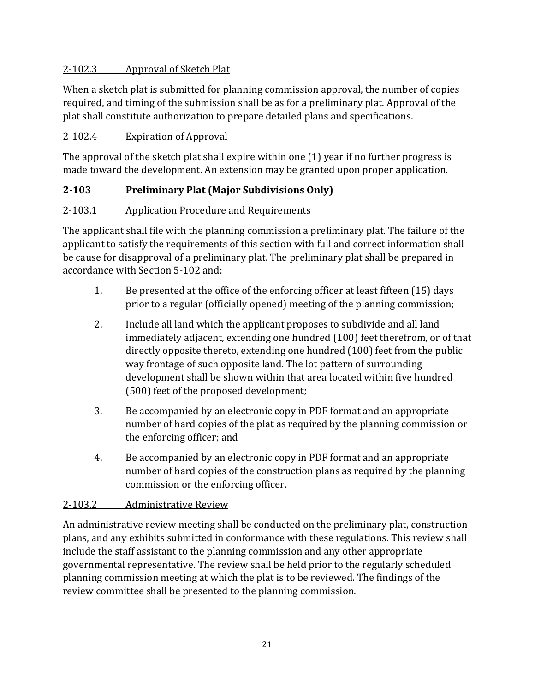#### <span id="page-20-0"></span>2-102.3 Approval of Sketch Plat

When a sketch plat is submitted for planning commission approval, the number of copies required, and timing of the submission shall be as for a preliminary plat. Approval of the plat shall constitute authorization to prepare detailed plans and specifications.

#### <span id="page-20-1"></span>2-102.4 Expiration of Approval

The approval of the sketch plat shall expire within one (1) year if no further progress is made toward the development. An extension may be granted upon proper application.

# <span id="page-20-2"></span>**2-103 Preliminary Plat (Major Subdivisions Only)**

#### <span id="page-20-3"></span>2-103.1 Application Procedure and Requirements

The applicant shall file with the planning commission a preliminary plat. The failure of the applicant to satisfy the requirements of this section with full and correct information shall be cause for disapproval of a preliminary plat. The preliminary plat shall be prepared in accordance with Section 5-102 and:

- 1. Be presented at the office of the enforcing officer at least fifteen (15) days prior to a regular (officially opened) meeting of the planning commission;
- 2. Include all land which the applicant proposes to subdivide and all land immediately adjacent, extending one hundred (100) feet therefrom, or of that directly opposite thereto, extending one hundred (100) feet from the public way frontage of such opposite land. The lot pattern of surrounding development shall be shown within that area located within five hundred (500) feet of the proposed development;
- 3. Be accompanied by an electronic copy in PDF format and an appropriate number of hard copies of the plat as required by the planning commission or the enforcing officer; and
- 4. Be accompanied by an electronic copy in PDF format and an appropriate number of hard copies of the construction plans as required by the planning commission or the enforcing officer.

#### <span id="page-20-4"></span>2-103.2 Administrative Review

An administrative review meeting shall be conducted on the preliminary plat, construction plans, and any exhibits submitted in conformance with these regulations. This review shall include the staff assistant to the planning commission and any other appropriate governmental representative. The review shall be held prior to the regularly scheduled planning commission meeting at which the plat is to be reviewed. The findings of the review committee shall be presented to the planning commission.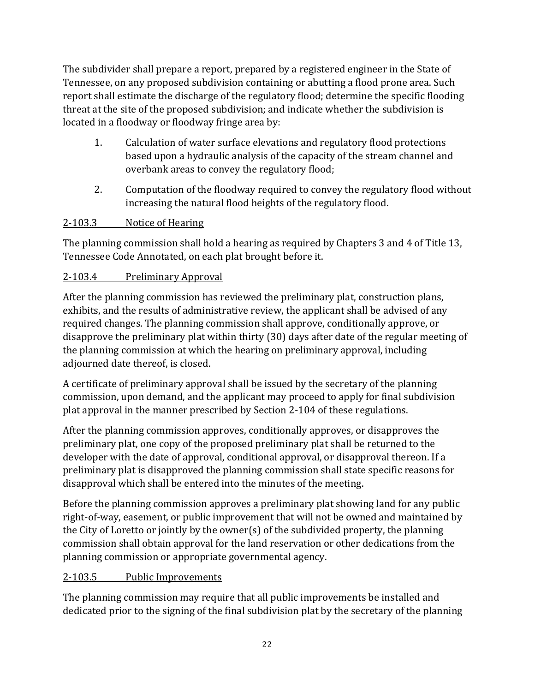The subdivider shall prepare a report, prepared by a registered engineer in the State of Tennessee, on any proposed subdivision containing or abutting a flood prone area. Such report shall estimate the discharge of the regulatory flood; determine the specific flooding threat at the site of the proposed subdivision; and indicate whether the subdivision is located in a floodway or floodway fringe area by:

- 1. Calculation of water surface elevations and regulatory flood protections based upon a hydraulic analysis of the capacity of the stream channel and overbank areas to convey the regulatory flood;
- 2. Computation of the floodway required to convey the regulatory flood without increasing the natural flood heights of the regulatory flood.

#### <span id="page-21-0"></span>2-103.3 Notice of Hearing

The planning commission shall hold a hearing as required by Chapters 3 and 4 of Title 13, Tennessee Code Annotated, on each plat brought before it.

#### <span id="page-21-1"></span>2-103.4 Preliminary Approval

After the planning commission has reviewed the preliminary plat, construction plans, exhibits, and the results of administrative review, the applicant shall be advised of any required changes. The planning commission shall approve, conditionally approve, or disapprove the preliminary plat within thirty (30) days after date of the regular meeting of the planning commission at which the hearing on preliminary approval, including adjourned date thereof, is closed.

A certificate of preliminary approval shall be issued by the secretary of the planning commission, upon demand, and the applicant may proceed to apply for final subdivision plat approval in the manner prescribed by Section 2-104 of these regulations.

After the planning commission approves, conditionally approves, or disapproves the preliminary plat, one copy of the proposed preliminary plat shall be returned to the developer with the date of approval, conditional approval, or disapproval thereon. If a preliminary plat is disapproved the planning commission shall state specific reasons for disapproval which shall be entered into the minutes of the meeting.

Before the planning commission approves a preliminary plat showing land for any public right-of-way, easement, or public improvement that will not be owned and maintained by the City of Loretto or jointly by the owner(s) of the subdivided property, the planning commission shall obtain approval for the land reservation or other dedications from the planning commission or appropriate governmental agency.

#### <span id="page-21-2"></span>2-103.5 Public Improvements

The planning commission may require that all public improvements be installed and dedicated prior to the signing of the final subdivision plat by the secretary of the planning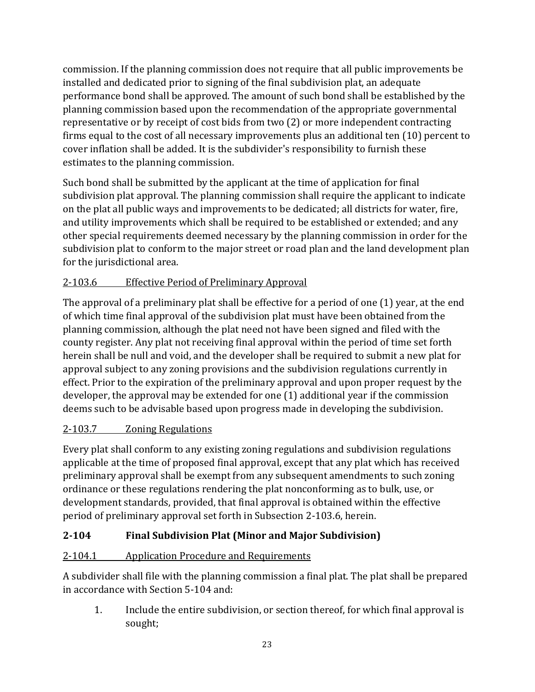commission. If the planning commission does not require that all public improvements be installed and dedicated prior to signing of the final subdivision plat, an adequate performance bond shall be approved. The amount of such bond shall be established by the planning commission based upon the recommendation of the appropriate governmental representative or by receipt of cost bids from two (2) or more independent contracting firms equal to the cost of all necessary improvements plus an additional ten (10) percent to cover inflation shall be added. It is the subdivider's responsibility to furnish these estimates to the planning commission.

Such bond shall be submitted by the applicant at the time of application for final subdivision plat approval. The planning commission shall require the applicant to indicate on the plat all public ways and improvements to be dedicated; all districts for water, fire, and utility improvements which shall be required to be established or extended; and any other special requirements deemed necessary by the planning commission in order for the subdivision plat to conform to the major street or road plan and the land development plan for the jurisdictional area.

# <span id="page-22-0"></span>2-103.6 Effective Period of Preliminary Approval

The approval of a preliminary plat shall be effective for a period of one (1) year, at the end of which time final approval of the subdivision plat must have been obtained from the planning commission, although the plat need not have been signed and filed with the county register. Any plat not receiving final approval within the period of time set forth herein shall be null and void, and the developer shall be required to submit a new plat for approval subject to any zoning provisions and the subdivision regulations currently in effect. Prior to the expiration of the preliminary approval and upon proper request by the developer, the approval may be extended for one (1) additional year if the commission deems such to be advisable based upon progress made in developing the subdivision.

# <span id="page-22-1"></span>2-103.7 Zoning Regulations

Every plat shall conform to any existing zoning regulations and subdivision regulations applicable at the time of proposed final approval, except that any plat which has received preliminary approval shall be exempt from any subsequent amendments to such zoning ordinance or these regulations rendering the plat nonconforming as to bulk, use, or development standards, provided, that final approval is obtained within the effective period of preliminary approval set forth in Subsection 2-103.6, herein.

# <span id="page-22-2"></span>**2-104 Final Subdivision Plat (Minor and Major Subdivision)**

#### <span id="page-22-3"></span>2-104.1 Application Procedure and Requirements

A subdivider shall file with the planning commission a final plat. The plat shall be prepared in accordance with Section 5-104 and:

1. Include the entire subdivision, or section thereof, for which final approval is sought;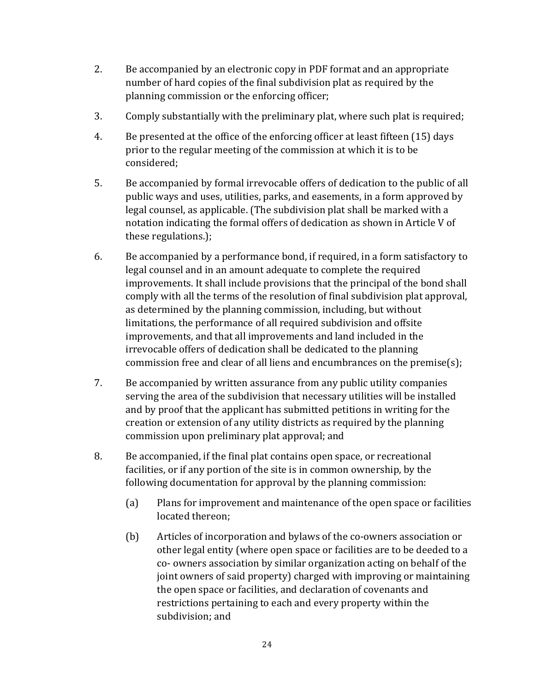- 2. Be accompanied by an electronic copy in PDF format and an appropriate number of hard copies of the final subdivision plat as required by the planning commission or the enforcing officer;
- 3. Comply substantially with the preliminary plat, where such plat is required;
- 4. Be presented at the office of the enforcing officer at least fifteen (15) days prior to the regular meeting of the commission at which it is to be considered;
- 5. Be accompanied by formal irrevocable offers of dedication to the public of all public ways and uses, utilities, parks, and easements, in a form approved by legal counsel, as applicable. (The subdivision plat shall be marked with a notation indicating the formal offers of dedication as shown in Article V of these regulations.);
- 6. Be accompanied by a performance bond, if required, in a form satisfactory to legal counsel and in an amount adequate to complete the required improvements. It shall include provisions that the principal of the bond shall comply with all the terms of the resolution of final subdivision plat approval, as determined by the planning commission, including, but without limitations, the performance of all required subdivision and offsite improvements, and that all improvements and land included in the irrevocable offers of dedication shall be dedicated to the planning commission free and clear of all liens and encumbrances on the premise(s);
- 7. Be accompanied by written assurance from any public utility companies serving the area of the subdivision that necessary utilities will be installed and by proof that the applicant has submitted petitions in writing for the creation or extension of any utility districts as required by the planning commission upon preliminary plat approval; and
- 8. Be accompanied, if the final plat contains open space, or recreational facilities, or if any portion of the site is in common ownership, by the following documentation for approval by the planning commission:
	- (a) Plans for improvement and maintenance of the open space or facilities located thereon;
	- (b) Articles of incorporation and bylaws of the co-owners association or other legal entity (where open space or facilities are to be deeded to a co- owners association by similar organization acting on behalf of the joint owners of said property) charged with improving or maintaining the open space or facilities, and declaration of covenants and restrictions pertaining to each and every property within the subdivision; and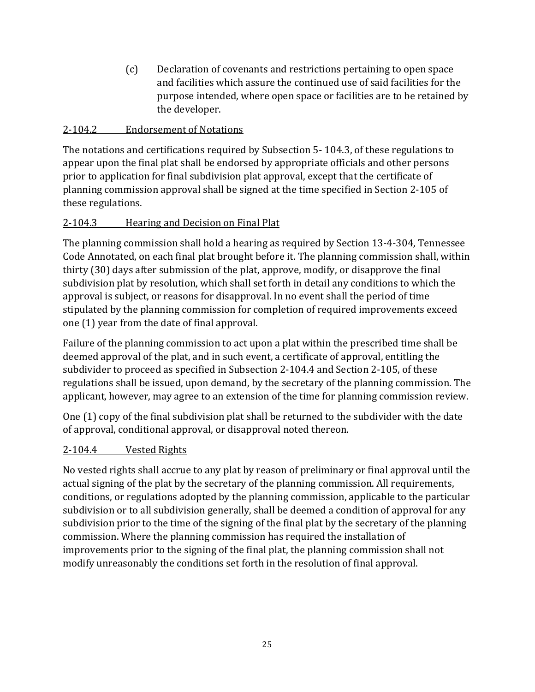(c) Declaration of covenants and restrictions pertaining to open space and facilities which assure the continued use of said facilities for the purpose intended, where open space or facilities are to be retained by the developer.

#### <span id="page-24-0"></span>2-104.2 Endorsement of Notations

The notations and certifications required by Subsection 5- 104.3, of these regulations to appear upon the final plat shall be endorsed by appropriate officials and other persons prior to application for final subdivision plat approval, except that the certificate of planning commission approval shall be signed at the time specified in Section 2-105 of these regulations.

#### <span id="page-24-1"></span>2-104.3 Hearing and Decision on Final Plat

The planning commission shall hold a hearing as required by Section 13-4-304, Tennessee Code Annotated, on each final plat brought before it. The planning commission shall, within thirty (30) days after submission of the plat, approve, modify, or disapprove the final subdivision plat by resolution, which shall set forth in detail any conditions to which the approval is subject, or reasons for disapproval. In no event shall the period of time stipulated by the planning commission for completion of required improvements exceed one (1) year from the date of final approval.

Failure of the planning commission to act upon a plat within the prescribed time shall be deemed approval of the plat, and in such event, a certificate of approval, entitling the subdivider to proceed as specified in Subsection 2-104.4 and Section 2-105, of these regulations shall be issued, upon demand, by the secretary of the planning commission. The applicant, however, may agree to an extension of the time for planning commission review.

One (1) copy of the final subdivision plat shall be returned to the subdivider with the date of approval, conditional approval, or disapproval noted thereon.

#### <span id="page-24-2"></span>2-104.4 Vested Rights

No vested rights shall accrue to any plat by reason of preliminary or final approval until the actual signing of the plat by the secretary of the planning commission. All requirements, conditions, or regulations adopted by the planning commission, applicable to the particular subdivision or to all subdivision generally, shall be deemed a condition of approval for any subdivision prior to the time of the signing of the final plat by the secretary of the planning commission. Where the planning commission has required the installation of improvements prior to the signing of the final plat, the planning commission shall not modify unreasonably the conditions set forth in the resolution of final approval.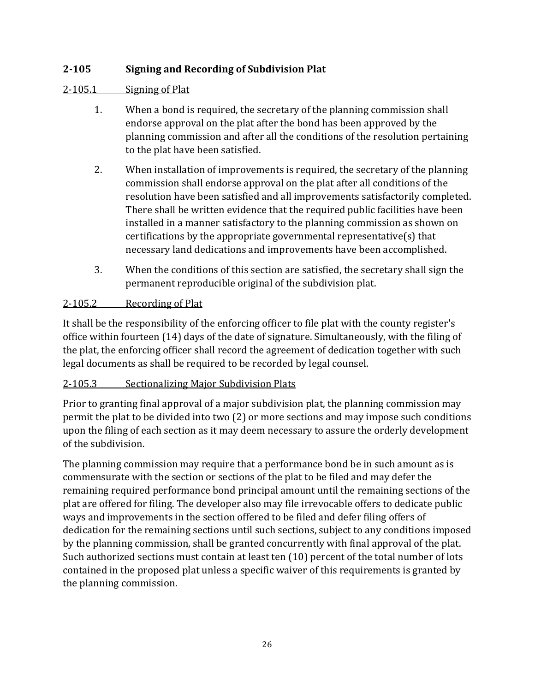# <span id="page-25-0"></span>**2-105 Signing and Recording of Subdivision Plat**

#### <span id="page-25-1"></span>2-105.1 Signing of Plat

- 1. When a bond is required, the secretary of the planning commission shall endorse approval on the plat after the bond has been approved by the planning commission and after all the conditions of the resolution pertaining to the plat have been satisfied.
- 2. When installation of improvements is required, the secretary of the planning commission shall endorse approval on the plat after all conditions of the resolution have been satisfied and all improvements satisfactorily completed. There shall be written evidence that the required public facilities have been installed in a manner satisfactory to the planning commission as shown on certifications by the appropriate governmental representative(s) that necessary land dedications and improvements have been accomplished.
- 3. When the conditions of this section are satisfied, the secretary shall sign the permanent reproducible original of the subdivision plat.

#### <span id="page-25-2"></span>2-105.2 Recording of Plat

It shall be the responsibility of the enforcing officer to file plat with the county register's office within fourteen (14) days of the date of signature. Simultaneously, with the filing of the plat, the enforcing officer shall record the agreement of dedication together with such legal documents as shall be required to be recorded by legal counsel.

#### <span id="page-25-3"></span>2-105.3 Sectionalizing Major Subdivision Plats

Prior to granting final approval of a major subdivision plat, the planning commission may permit the plat to be divided into two (2) or more sections and may impose such conditions upon the filing of each section as it may deem necessary to assure the orderly development of the subdivision.

The planning commission may require that a performance bond be in such amount as is commensurate with the section or sections of the plat to be filed and may defer the remaining required performance bond principal amount until the remaining sections of the plat are offered for filing. The developer also may file irrevocable offers to dedicate public ways and improvements in the section offered to be filed and defer filing offers of dedication for the remaining sections until such sections, subject to any conditions imposed by the planning commission, shall be granted concurrently with final approval of the plat. Such authorized sections must contain at least ten (10) percent of the total number of lots contained in the proposed plat unless a specific waiver of this requirements is granted by the planning commission.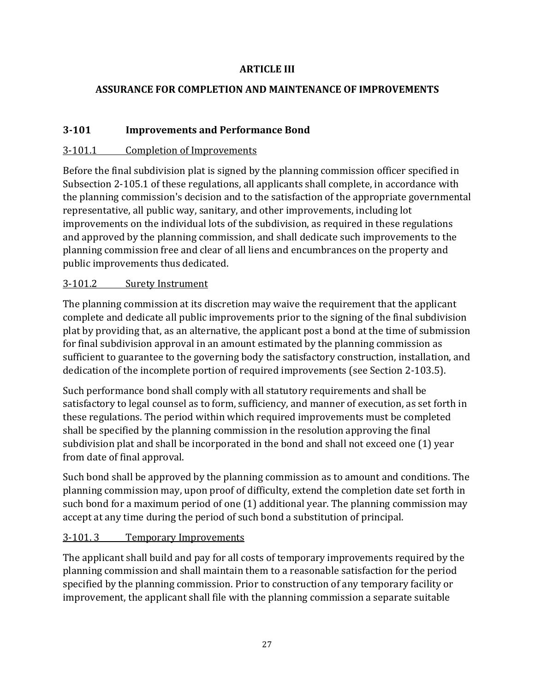#### **ARTICLE III**

#### <span id="page-26-1"></span><span id="page-26-0"></span>**ASSURANCE FOR COMPLETION AND MAINTENANCE OF IMPROVEMENTS**

#### <span id="page-26-2"></span>**3-101 Improvements and Performance Bond**

#### <span id="page-26-3"></span>3-101.1 Completion of Improvements

Before the final subdivision plat is signed by the planning commission officer specified in Subsection 2-105.1 of these regulations, all applicants shall complete, in accordance with the planning commission's decision and to the satisfaction of the appropriate governmental representative, all public way, sanitary, and other improvements, including lot improvements on the individual lots of the subdivision, as required in these regulations and approved by the planning commission, and shall dedicate such improvements to the planning commission free and clear of all liens and encumbrances on the property and public improvements thus dedicated.

#### <span id="page-26-4"></span>3-101.2 Surety Instrument

The planning commission at its discretion may waive the requirement that the applicant complete and dedicate all public improvements prior to the signing of the final subdivision plat by providing that, as an alternative, the applicant post a bond at the time of submission for final subdivision approval in an amount estimated by the planning commission as sufficient to guarantee to the governing body the satisfactory construction, installation, and dedication of the incomplete portion of required improvements (see Section 2-103.5).

Such performance bond shall comply with all statutory requirements and shall be satisfactory to legal counsel as to form, sufficiency, and manner of execution, as set forth in these regulations. The period within which required improvements must be completed shall be specified by the planning commission in the resolution approving the final subdivision plat and shall be incorporated in the bond and shall not exceed one (1) year from date of final approval.

Such bond shall be approved by the planning commission as to amount and conditions. The planning commission may, upon proof of difficulty, extend the completion date set forth in such bond for a maximum period of one (1) additional year. The planning commission may accept at any time during the period of such bond a substitution of principal.

#### <span id="page-26-5"></span>3-101. 3 Temporary Improvements

The applicant shall build and pay for all costs of temporary improvements required by the planning commission and shall maintain them to a reasonable satisfaction for the period specified by the planning commission. Prior to construction of any temporary facility or improvement, the applicant shall file with the planning commission a separate suitable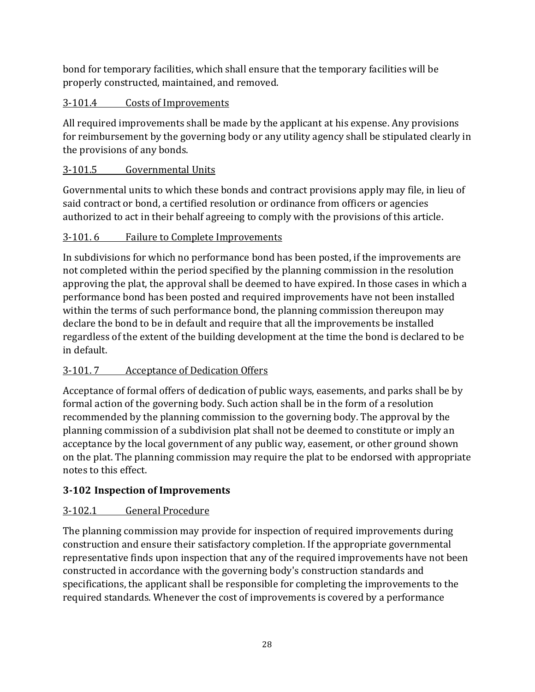bond for temporary facilities, which shall ensure that the temporary facilities will be properly constructed, maintained, and removed.

# <span id="page-27-0"></span>3-101.4 Costs of Improvements

All required improvements shall be made by the applicant at his expense. Any provisions for reimbursement by the governing body or any utility agency shall be stipulated clearly in the provisions of any bonds.

# <span id="page-27-1"></span>3-101.5 Governmental Units

Governmental units to which these bonds and contract provisions apply may file, in lieu of said contract or bond, a certified resolution or ordinance from officers or agencies authorized to act in their behalf agreeing to comply with the provisions of this article.

# <span id="page-27-2"></span>3-101. 6 Failure to Complete Improvements

In subdivisions for which no performance bond has been posted, if the improvements are not completed within the period specified by the planning commission in the resolution approving the plat, the approval shall be deemed to have expired. In those cases in which a performance bond has been posted and required improvements have not been installed within the terms of such performance bond, the planning commission thereupon may declare the bond to be in default and require that all the improvements be installed regardless of the extent of the building development at the time the bond is declared to be in default.

# <span id="page-27-3"></span>3-101. 7 Acceptance of Dedication Offers

Acceptance of formal offers of dedication of public ways, easements, and parks shall be by formal action of the governing body. Such action shall be in the form of a resolution recommended by the planning commission to the governing body. The approval by the planning commission of a subdivision plat shall not be deemed to constitute or imply an acceptance by the local government of any public way, easement, or other ground shown on the plat. The planning commission may require the plat to be endorsed with appropriate notes to this effect.

# <span id="page-27-4"></span>**3-102 Inspection of Improvements**

# <span id="page-27-5"></span>3-102.1 General Procedure

The planning commission may provide for inspection of required improvements during construction and ensure their satisfactory completion. If the appropriate governmental representative finds upon inspection that any of the required improvements have not been constructed in accordance with the governing body's construction standards and specifications, the applicant shall be responsible for completing the improvements to the required standards. Whenever the cost of improvements is covered by a performance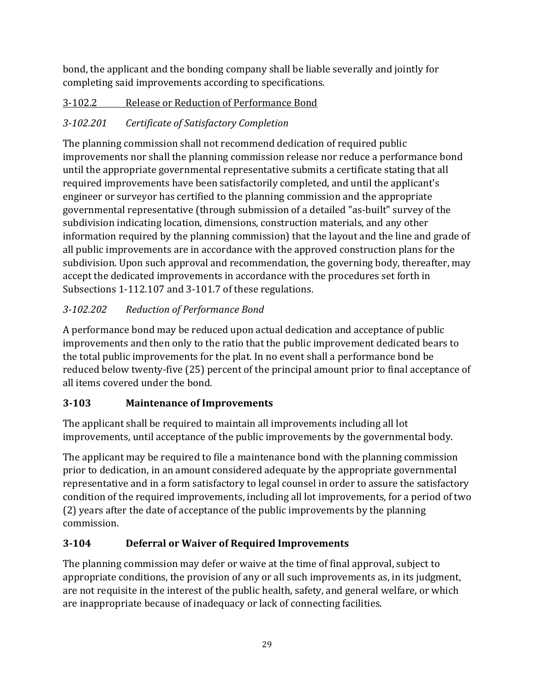bond, the applicant and the bonding company shall be liable severally and jointly for completing said improvements according to specifications.

# <span id="page-28-0"></span>3-102.2 Release or Reduction of Performance Bond

# <span id="page-28-1"></span>*3-102.201 Certificate of Satisfactory Completion*

The planning commission shall not recommend dedication of required public improvements nor shall the planning commission release nor reduce a performance bond until the appropriate governmental representative submits a certificate stating that all required improvements have been satisfactorily completed, and until the applicant's engineer or surveyor has certified to the planning commission and the appropriate governmental representative (through submission of a detailed "as-built" survey of the subdivision indicating location, dimensions, construction materials, and any other information required by the planning commission) that the layout and the line and grade of all public improvements are in accordance with the approved construction plans for the subdivision. Upon such approval and recommendation, the governing body, thereafter, may accept the dedicated improvements in accordance with the procedures set forth in Subsections 1-112.107 and 3-101.7 of these regulations.

# *3-102.202 Reduction of Performance Bond*

A performance bond may be reduced upon actual dedication and acceptance of public improvements and then only to the ratio that the public improvement dedicated bears to the total public improvements for the plat. In no event shall a performance bond be reduced below twenty-five (25) percent of the principal amount prior to final acceptance of all items covered under the bond.

# <span id="page-28-2"></span>**3-103 Maintenance of Improvements**

The applicant shall be required to maintain all improvements including all lot improvements, until acceptance of the public improvements by the governmental body.

The applicant may be required to file a maintenance bond with the planning commission prior to dedication, in an amount considered adequate by the appropriate governmental representative and in a form satisfactory to legal counsel in order to assure the satisfactory condition of the required improvements, including all lot improvements, for a period of two (2) years after the date of acceptance of the public improvements by the planning commission.

# <span id="page-28-3"></span>**3-104 Deferral or Waiver of Required Improvements**

The planning commission may defer or waive at the time of final approval, subject to appropriate conditions, the provision of any or all such improvements as, in its judgment, are not requisite in the interest of the public health, safety, and general welfare, or which are inappropriate because of inadequacy or lack of connecting facilities.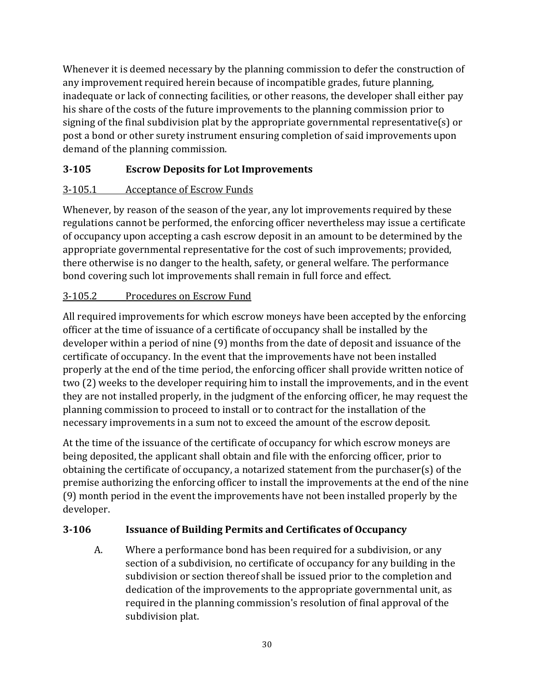Whenever it is deemed necessary by the planning commission to defer the construction of any improvement required herein because of incompatible grades, future planning, inadequate or lack of connecting facilities, or other reasons, the developer shall either pay his share of the costs of the future improvements to the planning commission prior to signing of the final subdivision plat by the appropriate governmental representative(s) or post a bond or other surety instrument ensuring completion of said improvements upon demand of the planning commission.

# <span id="page-29-0"></span>**3-105 Escrow Deposits for Lot Improvements**

# <span id="page-29-1"></span>3-105.1 Acceptance of Escrow Funds

Whenever, by reason of the season of the year, any lot improvements required by these regulations cannot be performed, the enforcing officer nevertheless may issue a certificate of occupancy upon accepting a cash escrow deposit in an amount to be determined by the appropriate governmental representative for the cost of such improvements; provided, there otherwise is no danger to the health, safety, or general welfare. The performance bond covering such lot improvements shall remain in full force and effect.

# <span id="page-29-2"></span>3-105.2 Procedures on Escrow Fund

All required improvements for which escrow moneys have been accepted by the enforcing officer at the time of issuance of a certificate of occupancy shall be installed by the developer within a period of nine (9) months from the date of deposit and issuance of the certificate of occupancy. In the event that the improvements have not been installed properly at the end of the time period, the enforcing officer shall provide written notice of two (2) weeks to the developer requiring him to install the improvements, and in the event they are not installed properly, in the judgment of the enforcing officer, he may request the planning commission to proceed to install or to contract for the installation of the necessary improvements in a sum not to exceed the amount of the escrow deposit.

At the time of the issuance of the certificate of occupancy for which escrow moneys are being deposited, the applicant shall obtain and file with the enforcing officer, prior to obtaining the certificate of occupancy, a notarized statement from the purchaser(s) of the premise authorizing the enforcing officer to install the improvements at the end of the nine (9) month period in the event the improvements have not been installed properly by the developer.

# <span id="page-29-3"></span>**3-106 Issuance of Building Permits and Certificates of Occupancy**

A. Where a performance bond has been required for a subdivision, or any section of a subdivision, no certificate of occupancy for any building in the subdivision or section thereof shall be issued prior to the completion and dedication of the improvements to the appropriate governmental unit, as required in the planning commission's resolution of final approval of the subdivision plat.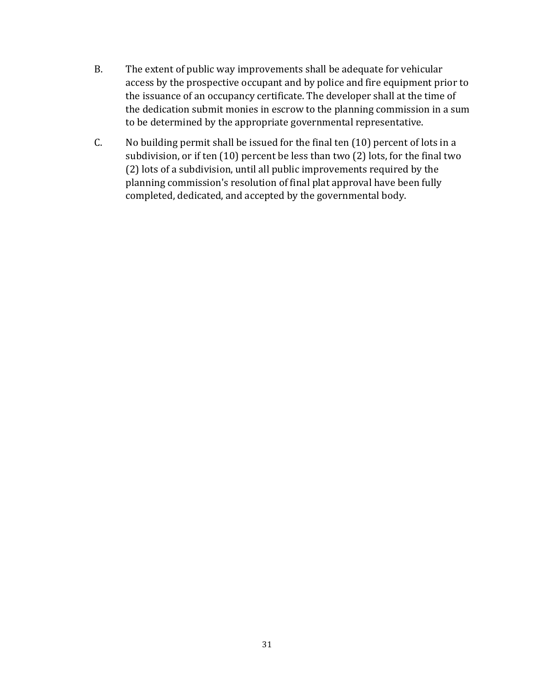- B. The extent of public way improvements shall be adequate for vehicular access by the prospective occupant and by police and fire equipment prior to the issuance of an occupancy certificate. The developer shall at the time of the dedication submit monies in escrow to the planning commission in a sum to be determined by the appropriate governmental representative.
- C. No building permit shall be issued for the final ten (10) percent of lots in a subdivision, or if ten (10) percent be less than two (2) lots, for the final two (2) lots of a subdivision, until all public improvements required by the planning commission's resolution of final plat approval have been fully completed, dedicated, and accepted by the governmental body.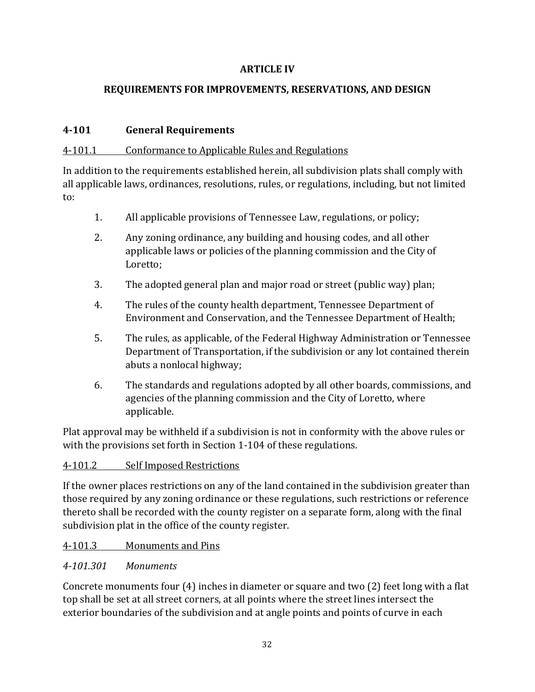#### **ARTICLE IV**

#### <span id="page-31-0"></span>**REQUIREMENTS FOR IMPROVEMENTS, RESERVATIONS, AND DESIGN**

#### <span id="page-31-2"></span><span id="page-31-1"></span>**4-101 General Requirements**

#### <span id="page-31-3"></span>4-101.1 Conformance to Applicable Rules and Regulations

In addition to the requirements established herein, all subdivision plats shall comply with all applicable laws, ordinances, resolutions, rules, or regulations, including, but not limited to:

- 1. All applicable provisions of Tennessee Law, regulations, or policy;
- 2. Any zoning ordinance, any building and housing codes, and all other applicable laws or policies of the planning commission and the City of Loretto;
- 3. The adopted general plan and major road or street (public way) plan;
- 4. The rules of the county health department, Tennessee Department of Environment and Conservation, and the Tennessee Department of Health;
- 5. The rules, as applicable, of the Federal Highway Administration or Tennessee Department of Transportation, if the subdivision or any lot contained therein abuts a nonlocal highway;
- 6. The standards and regulations adopted by all other boards, commissions, and agencies of the planning commission and the City of Loretto, where applicable.

Plat approval may be withheld if a subdivision is not in conformity with the above rules or with the provisions set forth in Section 1-104 of these regulations.

#### <span id="page-31-4"></span>4-101.2 Self Imposed Restrictions

If the owner places restrictions on any of the land contained in the subdivision greater than those required by any zoning ordinance or these regulations, such restrictions or reference thereto shall be recorded with the county register on a separate form, along with the final subdivision plat in the office of the county register.

#### <span id="page-31-5"></span>4-101.3 Monuments and Pins

#### <span id="page-31-6"></span>*4-101.301 Monuments*

Concrete monuments four (4) inches in diameter or square and two (2) feet long with a flat top shall be set at all street corners, at all points where the street lines intersect the exterior boundaries of the subdivision and at angle points and points of curve in each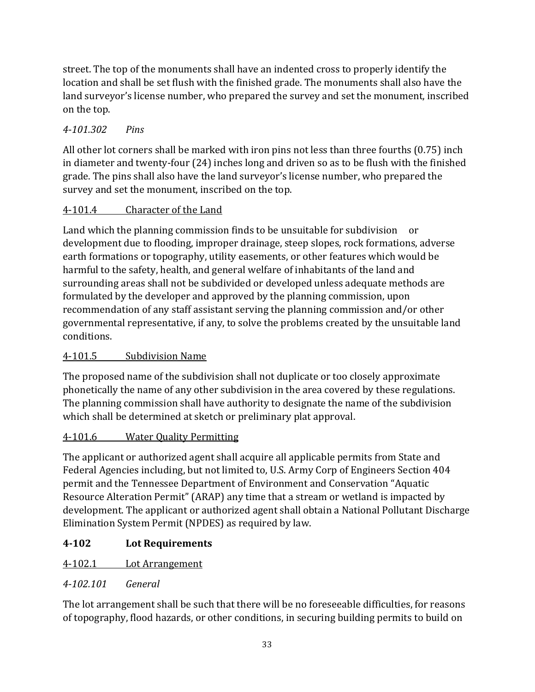street. The top of the monuments shall have an indented cross to properly identify the location and shall be set flush with the finished grade. The monuments shall also have the land surveyor's license number, who prepared the survey and set the monument, inscribed on the top.

# <span id="page-32-0"></span>*4-101.302 Pins*

All other lot corners shall be marked with iron pins not less than three fourths (0.75) inch in diameter and twenty-four (24) inches long and driven so as to be flush with the finished grade. The pins shall also have the land surveyor's license number, who prepared the survey and set the monument, inscribed on the top.

#### <span id="page-32-1"></span>4-101.4 Character of the Land

Land which the planning commission finds to be unsuitable for subdivision or development due to flooding, improper drainage, steep slopes, rock formations, adverse earth formations or topography, utility easements, or other features which would be harmful to the safety, health, and general welfare of inhabitants of the land and surrounding areas shall not be subdivided or developed unless adequate methods are formulated by the developer and approved by the planning commission, upon recommendation of any staff assistant serving the planning commission and/or other governmental representative, if any, to solve the problems created by the unsuitable land conditions.

# <span id="page-32-2"></span>4-101.5 Subdivision Name

The proposed name of the subdivision shall not duplicate or too closely approximate phonetically the name of any other subdivision in the area covered by these regulations. The planning commission shall have authority to designate the name of the subdivision which shall be determined at sketch or preliminary plat approval.

# <span id="page-32-3"></span>4-101.6 Water Quality Permitting

The applicant or authorized agent shall acquire all applicable permits from State and Federal Agencies including, but not limited to, U.S. Army Corp of Engineers Section 404 permit and the Tennessee Department of Environment and Conservation "Aquatic Resource Alteration Permit" (ARAP) any time that a stream or wetland is impacted by development. The applicant or authorized agent shall obtain a National Pollutant Discharge Elimination System Permit (NPDES) as required by law.

# <span id="page-32-4"></span>**4-102 Lot Requirements**

# <span id="page-32-5"></span>4-102.1 Lot Arrangement

#### <span id="page-32-6"></span>*4-102.101 General*

The lot arrangement shall be such that there will be no foreseeable difficulties, for reasons of topography, flood hazards, or other conditions, in securing building permits to build on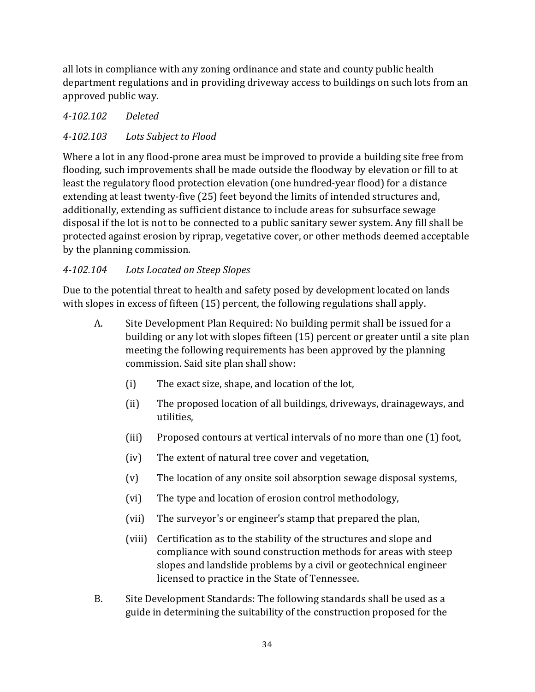all lots in compliance with any zoning ordinance and state and county public health department regulations and in providing driveway access to buildings on such lots from an approved public way.

# <span id="page-33-0"></span>*4-102.102 Deleted*

# <span id="page-33-1"></span>*4-102.103 Lots Subject to Flood*

Where a lot in any flood-prone area must be improved to provide a building site free from flooding, such improvements shall be made outside the floodway by elevation or fill to at least the regulatory flood protection elevation (one hundred-year flood) for a distance extending at least twenty-five (25) feet beyond the limits of intended structures and, additionally, extending as sufficient distance to include areas for subsurface sewage disposal if the lot is not to be connected to a public sanitary sewer system. Any fill shall be protected against erosion by riprap, vegetative cover, or other methods deemed acceptable by the planning commission.

# <span id="page-33-2"></span>*4-102.104 Lots Located on Steep Slopes*

Due to the potential threat to health and safety posed by development located on lands with slopes in excess of fifteen (15) percent, the following regulations shall apply.

- A. Site Development Plan Required: No building permit shall be issued for a building or any lot with slopes fifteen (15) percent or greater until a site plan meeting the following requirements has been approved by the planning commission. Said site plan shall show:
	- (i) The exact size, shape, and location of the lot,
	- (ii) The proposed location of all buildings, driveways, drainageways, and utilities,
	- (iii) Proposed contours at vertical intervals of no more than one (1) foot,
	- (iv) The extent of natural tree cover and vegetation,
	- (v) The location of any onsite soil absorption sewage disposal systems,
	- (vi) The type and location of erosion control methodology,
	- (vii) The surveyor's or engineer's stamp that prepared the plan,
	- (viii) Certification as to the stability of the structures and slope and compliance with sound construction methods for areas with steep slopes and landslide problems by a civil or geotechnical engineer licensed to practice in the State of Tennessee.
- B. Site Development Standards: The following standards shall be used as a guide in determining the suitability of the construction proposed for the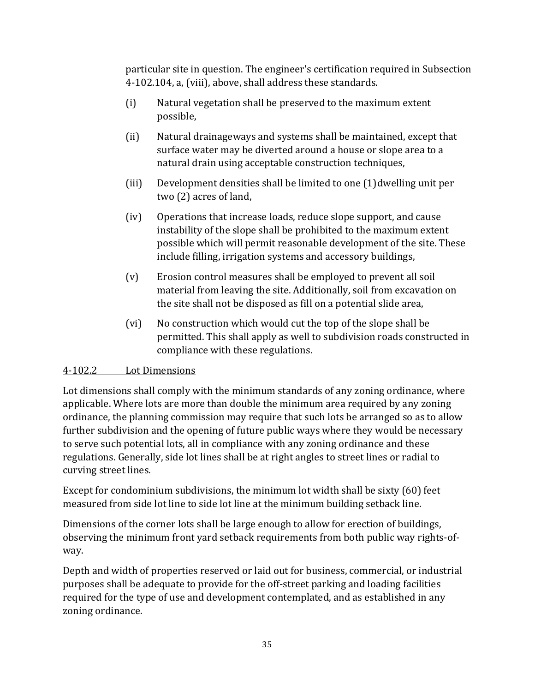particular site in question. The engineer's certification required in Subsection 4-102.104, a, (viii), above, shall address these standards.

- (i) Natural vegetation shall be preserved to the maximum extent possible,
- (ii) Natural drainageways and systems shall be maintained, except that surface water may be diverted around a house or slope area to a natural drain using acceptable construction techniques,
- (iii) Development densities shall be limited to one (1) dwelling unit per two (2) acres of land,
- (iv) Operations that increase loads, reduce slope support, and cause instability of the slope shall be prohibited to the maximum extent possible which will permit reasonable development of the site. These include filling, irrigation systems and accessory buildings,
- (v) Erosion control measures shall be employed to prevent all soil material from leaving the site. Additionally, soil from excavation on the site shall not be disposed as fill on a potential slide area,
- (vi) No construction which would cut the top of the slope shall be permitted. This shall apply as well to subdivision roads constructed in compliance with these regulations.

#### <span id="page-34-0"></span>4-102.2 Lot Dimensions

Lot dimensions shall comply with the minimum standards of any zoning ordinance, where applicable. Where lots are more than double the minimum area required by any zoning ordinance, the planning commission may require that such lots be arranged so as to allow further subdivision and the opening of future public ways where they would be necessary to serve such potential lots, all in compliance with any zoning ordinance and these regulations. Generally, side lot lines shall be at right angles to street lines or radial to curving street lines.

Except for condominium subdivisions, the minimum lot width shall be sixty (60) feet measured from side lot line to side lot line at the minimum building setback line.

Dimensions of the corner lots shall be large enough to allow for erection of buildings, observing the minimum front yard setback requirements from both public way rights-ofway.

Depth and width of properties reserved or laid out for business, commercial, or industrial purposes shall be adequate to provide for the off-street parking and loading facilities required for the type of use and development contemplated, and as established in any zoning ordinance.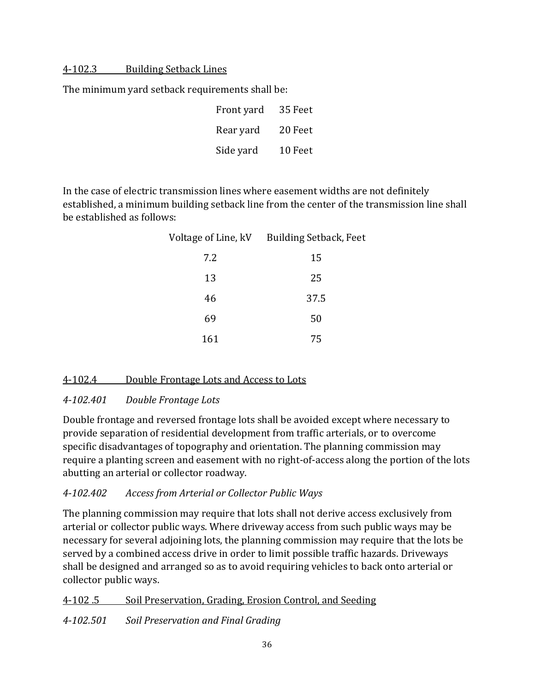#### <span id="page-35-0"></span>4-102.3 Building Setback Lines

The minimum yard setback requirements shall be:

| Front yard | 35 Feet |
|------------|---------|
| Rear yard  | 20 Feet |
| Side yard  | 10 Feet |

In the case of electric transmission lines where easement widths are not definitely established, a minimum building setback line from the center of the transmission line shall be established as follows:

| Voltage of Line, kV | <b>Building Setback, Feet</b> |
|---------------------|-------------------------------|
| 7.2                 | 15                            |
| 13                  | 25                            |
| 46                  | 37.5                          |
| 69                  | 50                            |
| 161                 | 75                            |

#### <span id="page-35-1"></span>4-102.4 Double Frontage Lots and Access to Lots

#### <span id="page-35-2"></span>*4-102.401 Double Frontage Lots*

Double frontage and reversed frontage lots shall be avoided except where necessary to provide separation of residential development from traffic arterials, or to overcome specific disadvantages of topography and orientation. The planning commission may require a planting screen and easement with no right-of-access along the portion of the lots abutting an arterial or collector roadway.

#### <span id="page-35-3"></span>*4-102.402 Access from Arterial or Collector Public Ways*

The planning commission may require that lots shall not derive access exclusively from arterial or collector public ways. Where driveway access from such public ways may be necessary for several adjoining lots, the planning commission may require that the lots be served by a combined access drive in order to limit possible traffic hazards. Driveways shall be designed and arranged so as to avoid requiring vehicles to back onto arterial or collector public ways.

<span id="page-35-4"></span>4-102 .5 Soil Preservation, Grading, Erosion Control, and Seeding

<span id="page-35-5"></span>*4-102.501 Soil Preservation and Final Grading*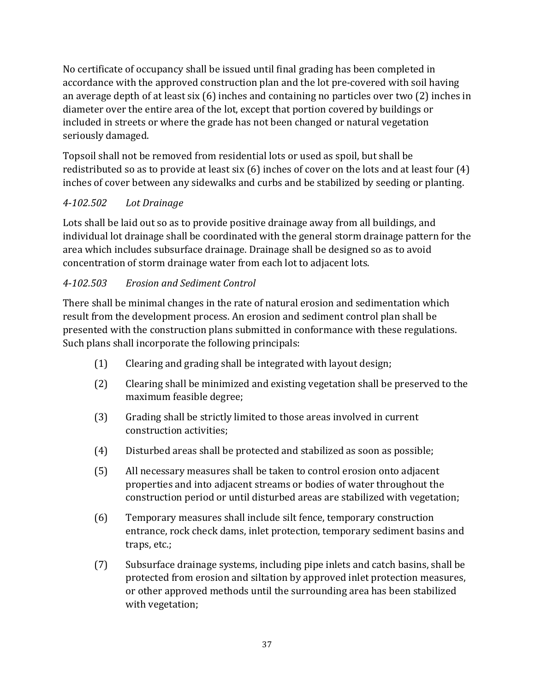No certificate of occupancy shall be issued until final grading has been completed in accordance with the approved construction plan and the lot pre-covered with soil having an average depth of at least six (6) inches and containing no particles over two (2) inches in diameter over the entire area of the lot, except that portion covered by buildings or included in streets or where the grade has not been changed or natural vegetation seriously damaged.

Topsoil shall not be removed from residential lots or used as spoil, but shall be redistributed so as to provide at least six (6) inches of cover on the lots and at least four (4) inches of cover between any sidewalks and curbs and be stabilized by seeding or planting.

# *4-102.502 Lot Drainage*

Lots shall be laid out so as to provide positive drainage away from all buildings, and individual lot drainage shall be coordinated with the general storm drainage pattern for the area which includes subsurface drainage. Drainage shall be designed so as to avoid concentration of storm drainage water from each lot to adjacent lots.

# *4-102.503 Erosion and Sediment Control*

There shall be minimal changes in the rate of natural erosion and sedimentation which result from the development process. An erosion and sediment control plan shall be presented with the construction plans submitted in conformance with these regulations. Such plans shall incorporate the following principals:

- (1) Clearing and grading shall be integrated with layout design;
- (2) Clearing shall be minimized and existing vegetation shall be preserved to the maximum feasible degree;
- (3) Grading shall be strictly limited to those areas involved in current construction activities;
- (4) Disturbed areas shall be protected and stabilized as soon as possible;
- (5) All necessary measures shall be taken to control erosion onto adjacent properties and into adjacent streams or bodies of water throughout the construction period or until disturbed areas are stabilized with vegetation;
- (6) Temporary measures shall include silt fence, temporary construction entrance, rock check dams, inlet protection, temporary sediment basins and traps, etc.;
- (7) Subsurface drainage systems, including pipe inlets and catch basins, shall be protected from erosion and siltation by approved inlet protection measures, or other approved methods until the surrounding area has been stabilized with vegetation;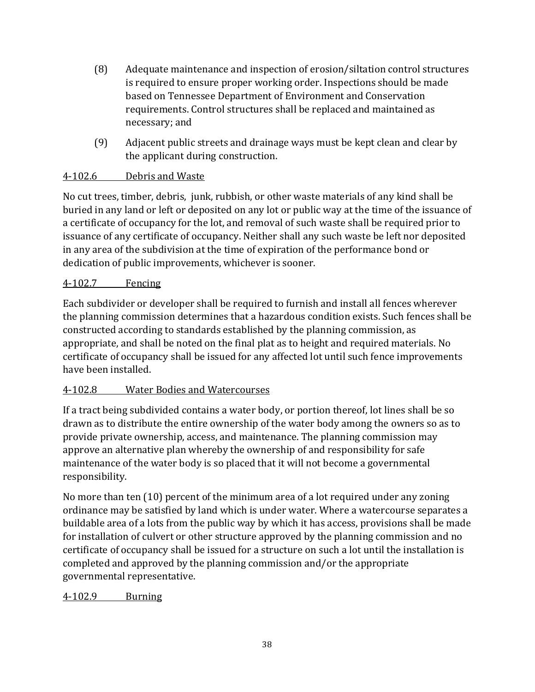- (8) Adequate maintenance and inspection of erosion/siltation control structures is required to ensure proper working order. Inspections should be made based on Tennessee Department of Environment and Conservation requirements. Control structures shall be replaced and maintained as necessary; and
- (9) Adjacent public streets and drainage ways must be kept clean and clear by the applicant during construction.

## 4-102.6 Debris and Waste

No cut trees, timber, debris, junk, rubbish, or other waste materials of any kind shall be buried in any land or left or deposited on any lot or public way at the time of the issuance of a certificate of occupancy for the lot, and removal of such waste shall be required prior to issuance of any certificate of occupancy. Neither shall any such waste be left nor deposited in any area of the subdivision at the time of expiration of the performance bond or dedication of public improvements, whichever is sooner.

## 4-102.7 Fencing

Each subdivider or developer shall be required to furnish and install all fences wherever the planning commission determines that a hazardous condition exists. Such fences shall be constructed according to standards established by the planning commission, as appropriate, and shall be noted on the final plat as to height and required materials. No certificate of occupancy shall be issued for any affected lot until such fence improvements have been installed.

## 4-102.8 Water Bodies and Watercourses

If a tract being subdivided contains a water body, or portion thereof, lot lines shall be so drawn as to distribute the entire ownership of the water body among the owners so as to provide private ownership, access, and maintenance. The planning commission may approve an alternative plan whereby the ownership of and responsibility for safe maintenance of the water body is so placed that it will not become a governmental responsibility.

No more than ten (10) percent of the minimum area of a lot required under any zoning ordinance may be satisfied by land which is under water. Where a watercourse separates a buildable area of a lots from the public way by which it has access, provisions shall be made for installation of culvert or other structure approved by the planning commission and no certificate of occupancy shall be issued for a structure on such a lot until the installation is completed and approved by the planning commission and/or the appropriate governmental representative.

4-102.9 Burning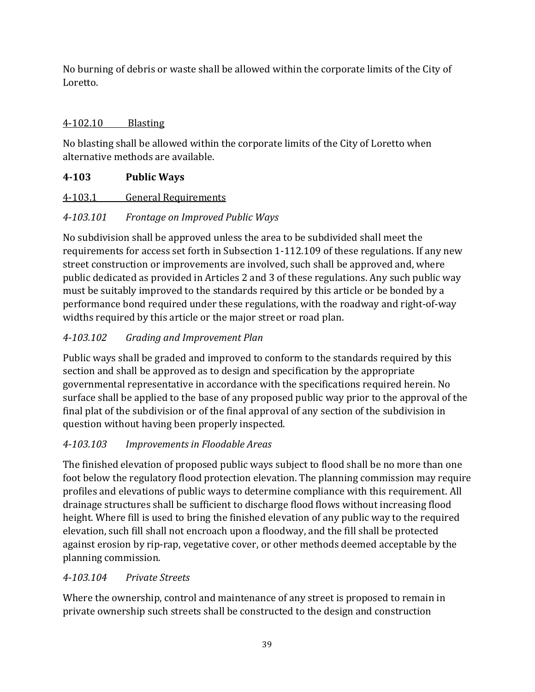No burning of debris or waste shall be allowed within the corporate limits of the City of Loretto.

# 4-102.10 Blasting

No blasting shall be allowed within the corporate limits of the City of Loretto when alternative methods are available.

# **4-103 Public Ways**

4-103.1 General Requirements

# *4-103.101 Frontage on Improved Public Ways*

No subdivision shall be approved unless the area to be subdivided shall meet the requirements for access set forth in Subsection 1-112.109 of these regulations. If any new street construction or improvements are involved, such shall be approved and, where public dedicated as provided in Articles 2 and 3 of these regulations. Any such public way must be suitably improved to the standards required by this article or be bonded by a performance bond required under these regulations, with the roadway and right-of-way widths required by this article or the major street or road plan.

# *4-103.102 Grading and Improvement Plan*

Public ways shall be graded and improved to conform to the standards required by this section and shall be approved as to design and specification by the appropriate governmental representative in accordance with the specifications required herein. No surface shall be applied to the base of any proposed public way prior to the approval of the final plat of the subdivision or of the final approval of any section of the subdivision in question without having been properly inspected.

# *4-103.103 Improvements in Floodable Areas*

The finished elevation of proposed public ways subject to flood shall be no more than one foot below the regulatory flood protection elevation. The planning commission may require profiles and elevations of public ways to determine compliance with this requirement. All drainage structures shall be sufficient to discharge flood flows without increasing flood height. Where fill is used to bring the finished elevation of any public way to the required elevation, such fill shall not encroach upon a floodway, and the fill shall be protected against erosion by rip-rap, vegetative cover, or other methods deemed acceptable by the planning commission.

# *4-103.104 Private Streets*

Where the ownership, control and maintenance of any street is proposed to remain in private ownership such streets shall be constructed to the design and construction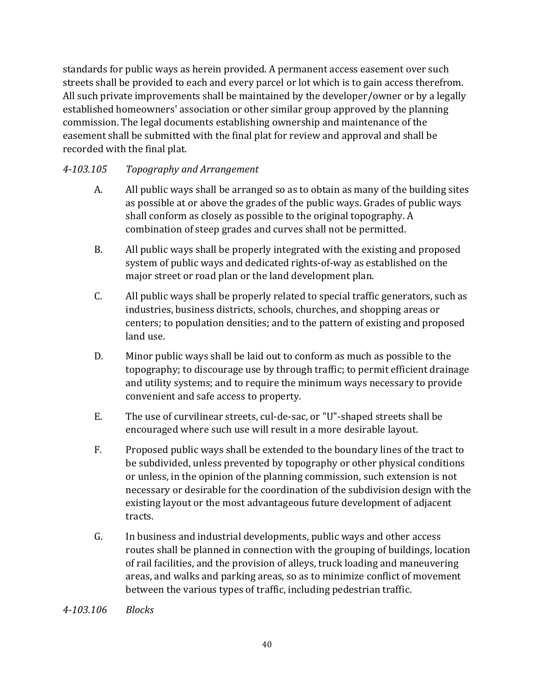standards for public ways as herein provided. A permanent access easement over such streets shall be provided to each and every parcel or lot which is to gain access therefrom. All such private improvements shall be maintained by the developer/owner or by a legally established homeowners' association or other similar group approved by the planning commission. The legal documents establishing ownership and maintenance of the easement shall be submitted with the final plat for review and approval and shall be recorded with the final plat.

## *4-103.105 Topography and Arrangement*

- A. All public ways shall be arranged so as to obtain as many of the building sites as possible at or above the grades of the public ways. Grades of public ways shall conform as closely as possible to the original topography. A combination of steep grades and curves shall not be permitted.
- B. All public ways shall be properly integrated with the existing and proposed system of public ways and dedicated rights-of-way as established on the major street or road plan or the land development plan.
- C. All public ways shall be properly related to special traffic generators, such as industries, business districts, schools, churches, and shopping areas or centers; to population densities; and to the pattern of existing and proposed land use.
- D. Minor public ways shall be laid out to conform as much as possible to the topography; to discourage use by through traffic; to permit efficient drainage and utility systems; and to require the minimum ways necessary to provide convenient and safe access to property.
- E. The use of curvilinear streets, cul-de-sac, or "U"-shaped streets shall be encouraged where such use will result in a more desirable layout.
- F. Proposed public ways shall be extended to the boundary lines of the tract to be subdivided, unless prevented by topography or other physical conditions or unless, in the opinion of the planning commission, such extension is not necessary or desirable for the coordination of the subdivision design with the existing layout or the most advantageous future development of adjacent tracts.
- G. In business and industrial developments, public ways and other access routes shall be planned in connection with the grouping of buildings, location of rail facilities, and the provision of alleys, truck loading and maneuvering areas, and walks and parking areas, so as to minimize conflict of movement between the various types of traffic, including pedestrian traffic.

*4-103.106 Blocks*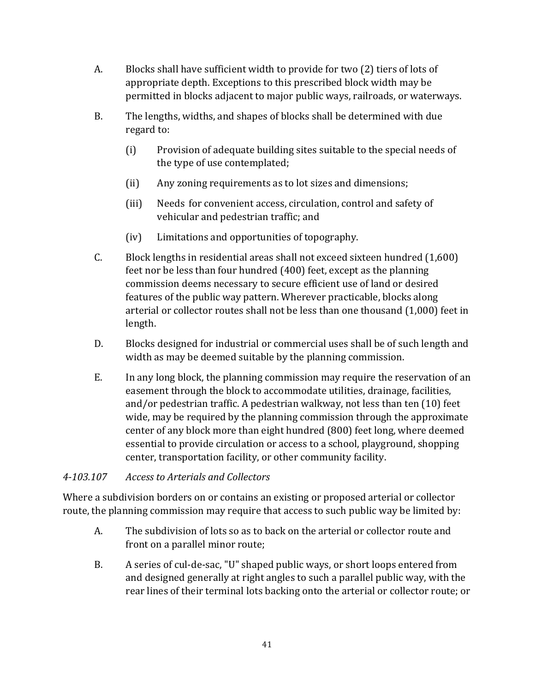- A. Blocks shall have sufficient width to provide for two (2) tiers of lots of appropriate depth. Exceptions to this prescribed block width may be permitted in blocks adjacent to major public ways, railroads, or waterways.
- B. The lengths, widths, and shapes of blocks shall be determined with due regard to:
	- (i) Provision of adequate building sites suitable to the special needs of the type of use contemplated;
	- (ii) Any zoning requirements as to lot sizes and dimensions;
	- (iii) Needs for convenient access, circulation, control and safety of vehicular and pedestrian traffic; and
	- (iv) Limitations and opportunities of topography.
- C. Block lengths in residential areas shall not exceed sixteen hundred (1,600) feet nor be less than four hundred (400) feet, except as the planning commission deems necessary to secure efficient use of land or desired features of the public way pattern. Wherever practicable, blocks along arterial or collector routes shall not be less than one thousand (1,000) feet in length.
- D. Blocks designed for industrial or commercial uses shall be of such length and width as may be deemed suitable by the planning commission.
- E. In any long block, the planning commission may require the reservation of an easement through the block to accommodate utilities, drainage, facilities, and/or pedestrian traffic. A pedestrian walkway, not less than ten (10) feet wide, may be required by the planning commission through the approximate center of any block more than eight hundred (800) feet long, where deemed essential to provide circulation or access to a school, playground, shopping center, transportation facility, or other community facility.

## *4-103.107 Access to Arterials and Collectors*

Where a subdivision borders on or contains an existing or proposed arterial or collector route, the planning commission may require that access to such public way be limited by:

- A. The subdivision of lots so as to back on the arterial or collector route and front on a parallel minor route;
- B. A series of cul-de-sac, "U" shaped public ways, or short loops entered from and designed generally at right angles to such a parallel public way, with the rear lines of their terminal lots backing onto the arterial or collector route; or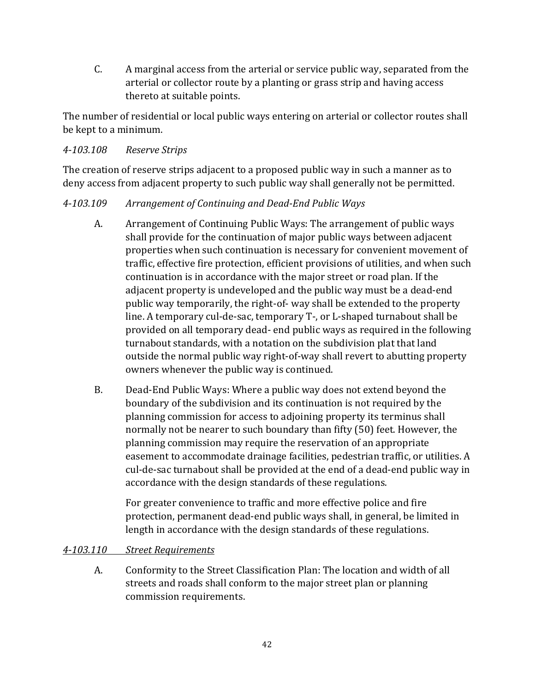C. A marginal access from the arterial or service public way, separated from the arterial or collector route by a planting or grass strip and having access thereto at suitable points.

The number of residential or local public ways entering on arterial or collector routes shall be kept to a minimum.

### *4-103.108 Reserve Strips*

The creation of reserve strips adjacent to a proposed public way in such a manner as to deny access from adjacent property to such public way shall generally not be permitted.

## *4-103.109 Arrangement of Continuing and Dead-End Public Ways*

- A. Arrangement of Continuing Public Ways: The arrangement of public ways shall provide for the continuation of major public ways between adjacent properties when such continuation is necessary for convenient movement of traffic, effective fire protection, efficient provisions of utilities, and when such continuation is in accordance with the major street or road plan. If the adjacent property is undeveloped and the public way must be a dead-end public way temporarily, the right-of- way shall be extended to the property line. A temporary cul-de-sac, temporary T-, or L-shaped turnabout shall be provided on all temporary dead- end public ways as required in the following turnabout standards, with a notation on the subdivision plat that land outside the normal public way right-of-way shall revert to abutting property owners whenever the public way is continued.
- B. Dead-End Public Ways: Where a public way does not extend beyond the boundary of the subdivision and its continuation is not required by the planning commission for access to adjoining property its terminus shall normally not be nearer to such boundary than fifty (50) feet. However, the planning commission may require the reservation of an appropriate easement to accommodate drainage facilities, pedestrian traffic, or utilities. A cul-de-sac turnabout shall be provided at the end of a dead-end public way in accordance with the design standards of these regulations.

For greater convenience to traffic and more effective police and fire protection, permanent dead-end public ways shall, in general, be limited in length in accordance with the design standards of these regulations.

#### *4-103.110 Street Requirements*

A. Conformity to the Street Classification Plan: The location and width of all streets and roads shall conform to the major street plan or planning commission requirements.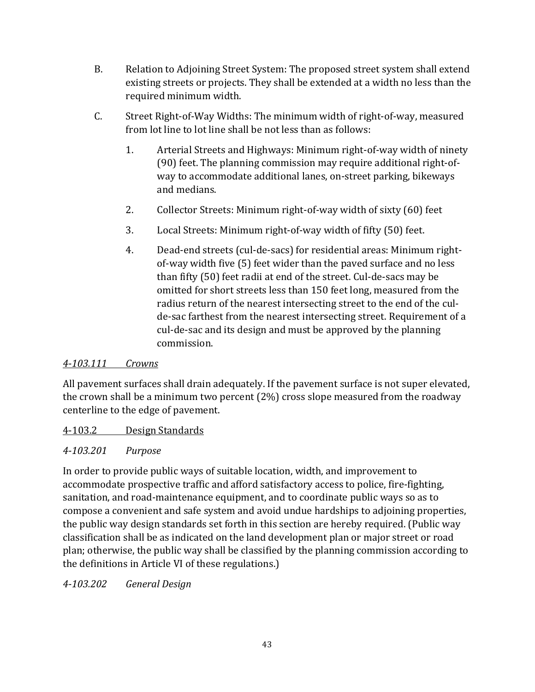- B. Relation to Adjoining Street System: The proposed street system shall extend existing streets or projects. They shall be extended at a width no less than the required minimum width.
- C. Street Right-of-Way Widths: The minimum width of right-of-way, measured from lot line to lot line shall be not less than as follows:
	- 1. Arterial Streets and Highways: Minimum right-of-way width of ninety (90) feet. The planning commission may require additional right-ofway to accommodate additional lanes, on-street parking, bikeways and medians.
	- 2. Collector Streets: Minimum right-of-way width of sixty (60) feet
	- 3. Local Streets: Minimum right-of-way width of fifty (50) feet.
	- 4. Dead-end streets (cul-de-sacs) for residential areas: Minimum rightof-way width five (5) feet wider than the paved surface and no less than fifty (50) feet radii at end of the street. Cul-de-sacs may be omitted for short streets less than 150 feet long, measured from the radius return of the nearest intersecting street to the end of the culde-sac farthest from the nearest intersecting street. Requirement of a cul-de-sac and its design and must be approved by the planning commission.

## *4-103.111 Crowns*

All pavement surfaces shall drain adequately. If the pavement surface is not super elevated, the crown shall be a minimum two percent (2%) cross slope measured from the roadway centerline to the edge of pavement.

## 4-103.2 Design Standards

## *4-103.201 Purpose*

In order to provide public ways of suitable location, width, and improvement to accommodate prospective traffic and afford satisfactory access to police, fire-fighting, sanitation, and road-maintenance equipment, and to coordinate public ways so as to compose a convenient and safe system and avoid undue hardships to adjoining properties, the public way design standards set forth in this section are hereby required. (Public way classification shall be as indicated on the land development plan or major street or road plan; otherwise, the public way shall be classified by the planning commission according to the definitions in Article VI of these regulations.)

*4-103.202 General Design*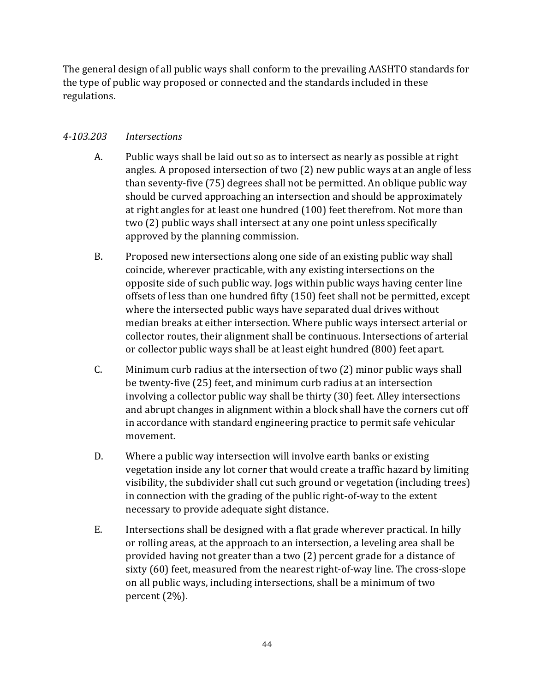The general design of all public ways shall conform to the prevailing AASHTO standards for the type of public way proposed or connected and the standards included in these regulations.

## *4-103.203 Intersections*

- A. Public ways shall be laid out so as to intersect as nearly as possible at right angles. A proposed intersection of two (2) new public ways at an angle of less than seventy-five (75) degrees shall not be permitted. An oblique public way should be curved approaching an intersection and should be approximately at right angles for at least one hundred (100) feet therefrom. Not more than two (2) public ways shall intersect at any one point unless specifically approved by the planning commission.
- B. Proposed new intersections along one side of an existing public way shall coincide, wherever practicable, with any existing intersections on the opposite side of such public way. Jogs within public ways having center line offsets of less than one hundred fifty (150) feet shall not be permitted, except where the intersected public ways have separated dual drives without median breaks at either intersection. Where public ways intersect arterial or collector routes, their alignment shall be continuous. Intersections of arterial or collector public ways shall be at least eight hundred (800) feet apart.
- C. Minimum curb radius at the intersection of two (2) minor public ways shall be twenty-five (25) feet, and minimum curb radius at an intersection involving a collector public way shall be thirty (30) feet. Alley intersections and abrupt changes in alignment within a block shall have the corners cut off in accordance with standard engineering practice to permit safe vehicular movement.
- D. Where a public way intersection will involve earth banks or existing vegetation inside any lot corner that would create a traffic hazard by limiting visibility, the subdivider shall cut such ground or vegetation (including trees) in connection with the grading of the public right-of-way to the extent necessary to provide adequate sight distance.
- E. Intersections shall be designed with a flat grade wherever practical. In hilly or rolling areas, at the approach to an intersection, a leveling area shall be provided having not greater than a two (2) percent grade for a distance of sixty (60) feet, measured from the nearest right-of-way line. The cross-slope on all public ways, including intersections, shall be a minimum of two percent (2%).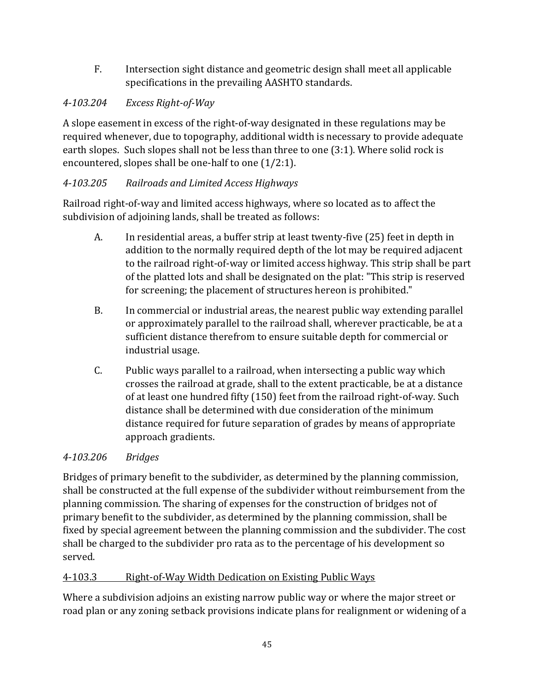F. Intersection sight distance and geometric design shall meet all applicable specifications in the prevailing AASHTO standards.

# *4-103.204 Excess Right-of-Way*

A slope easement in excess of the right-of-way designated in these regulations may be required whenever, due to topography, additional width is necessary to provide adequate earth slopes. Such slopes shall not be less than three to one (3:1). Where solid rock is encountered, slopes shall be one-half to one (1/2:1).

# *4-103.205 Railroads and Limited Access Highways*

Railroad right-of-way and limited access highways, where so located as to affect the subdivision of adjoining lands, shall be treated as follows:

- A. In residential areas, a buffer strip at least twenty-five (25) feet in depth in addition to the normally required depth of the lot may be required adjacent to the railroad right-of-way or limited access highway. This strip shall be part of the platted lots and shall be designated on the plat: "This strip is reserved for screening; the placement of structures hereon is prohibited."
- B. In commercial or industrial areas, the nearest public way extending parallel or approximately parallel to the railroad shall, wherever practicable, be at a sufficient distance therefrom to ensure suitable depth for commercial or industrial usage.
- C. Public ways parallel to a railroad, when intersecting a public way which crosses the railroad at grade, shall to the extent practicable, be at a distance of at least one hundred fifty (150) feet from the railroad right-of-way. Such distance shall be determined with due consideration of the minimum distance required for future separation of grades by means of appropriate approach gradients.

# *4-103.206 Bridges*

Bridges of primary benefit to the subdivider, as determined by the planning commission, shall be constructed at the full expense of the subdivider without reimbursement from the planning commission. The sharing of expenses for the construction of bridges not of primary benefit to the subdivider, as determined by the planning commission, shall be fixed by special agreement between the planning commission and the subdivider. The cost shall be charged to the subdivider pro rata as to the percentage of his development so served.

# 4-103.3 Right-of-Way Width Dedication on Existing Public Ways

Where a subdivision adjoins an existing narrow public way or where the major street or road plan or any zoning setback provisions indicate plans for realignment or widening of a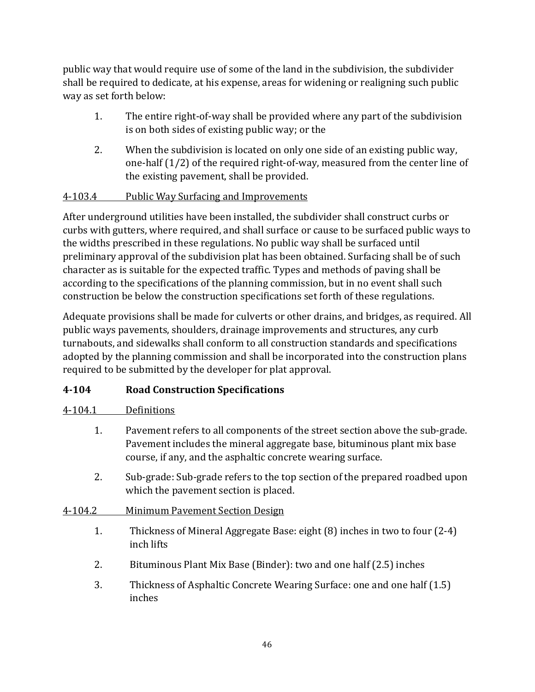public way that would require use of some of the land in the subdivision, the subdivider shall be required to dedicate, at his expense, areas for widening or realigning such public way as set forth below:

- 1. The entire right-of-way shall be provided where any part of the subdivision is on both sides of existing public way; or the
- 2. When the subdivision is located on only one side of an existing public way, one-half (1/2) of the required right-of-way, measured from the center line of the existing pavement, shall be provided.

# 4-103.4 Public Way Surfacing and Improvements

After underground utilities have been installed, the subdivider shall construct curbs or curbs with gutters, where required, and shall surface or cause to be surfaced public ways to the widths prescribed in these regulations. No public way shall be surfaced until preliminary approval of the subdivision plat has been obtained. Surfacing shall be of such character as is suitable for the expected traffic. Types and methods of paving shall be according to the specifications of the planning commission, but in no event shall such construction be below the construction specifications set forth of these regulations.

Adequate provisions shall be made for culverts or other drains, and bridges, as required. All public ways pavements, shoulders, drainage improvements and structures, any curb turnabouts, and sidewalks shall conform to all construction standards and specifications adopted by the planning commission and shall be incorporated into the construction plans required to be submitted by the developer for plat approval.

## **4-104 Road Construction Specifications**

## 4-104.1 Definitions

- 1. Pavement refers to all components of the street section above the sub-grade. Pavement includes the mineral aggregate base, bituminous plant mix base course, if any, and the asphaltic concrete wearing surface.
- 2. Sub-grade: Sub-grade refers to the top section of the prepared roadbed upon which the pavement section is placed.
- 4-104.2 Minimum Pavement Section Design
	- 1. Thickness of Mineral Aggregate Base: eight (8) inches in two to four (2-4) inch lifts
	- 2. Bituminous Plant Mix Base (Binder): two and one half (2.5) inches
	- 3. Thickness of Asphaltic Concrete Wearing Surface: one and one half (1.5) inches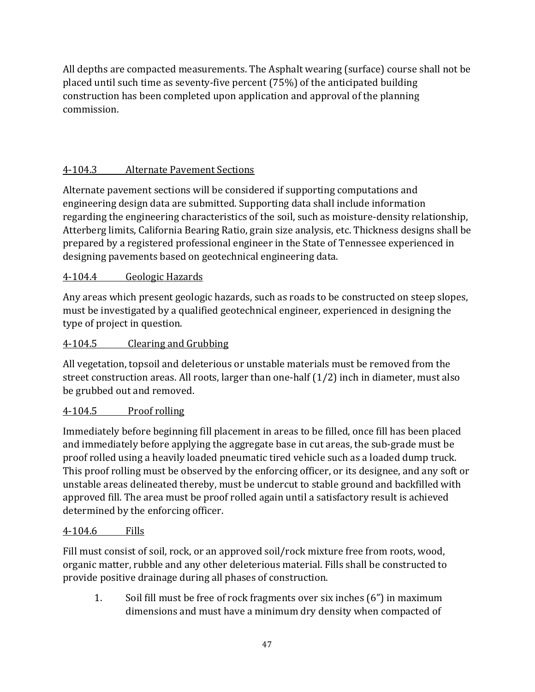All depths are compacted measurements. The Asphalt wearing (surface) course shall not be placed until such time as seventy-five percent (75%) of the anticipated building construction has been completed upon application and approval of the planning commission.

# 4-104.3 Alternate Pavement Sections

Alternate pavement sections will be considered if supporting computations and engineering design data are submitted. Supporting data shall include information regarding the engineering characteristics of the soil, such as moisture-density relationship, Atterberg limits, California Bearing Ratio, grain size analysis, etc. Thickness designs shall be prepared by a registered professional engineer in the State of Tennessee experienced in designing pavements based on geotechnical engineering data.

## 4-104.4 Geologic Hazards

Any areas which present geologic hazards, such as roads to be constructed on steep slopes, must be investigated by a qualified geotechnical engineer, experienced in designing the type of project in question.

## 4-104.5 Clearing and Grubbing

All vegetation, topsoil and deleterious or unstable materials must be removed from the street construction areas. All roots, larger than one-half (1/2) inch in diameter, must also be grubbed out and removed.

# 4-104.5 Proof rolling

Immediately before beginning fill placement in areas to be filled, once fill has been placed and immediately before applying the aggregate base in cut areas, the sub-grade must be proof rolled using a heavily loaded pneumatic tired vehicle such as a loaded dump truck. This proof rolling must be observed by the enforcing officer, or its designee, and any soft or unstable areas delineated thereby, must be undercut to stable ground and backfilled with approved fill. The area must be proof rolled again until a satisfactory result is achieved determined by the enforcing officer.

## 4-104.6 Fills

Fill must consist of soil, rock, or an approved soil/rock mixture free from roots, wood, organic matter, rubble and any other deleterious material. Fills shall be constructed to provide positive drainage during all phases of construction.

1. Soil fill must be free of rock fragments over six inches (6") in maximum dimensions and must have a minimum dry density when compacted of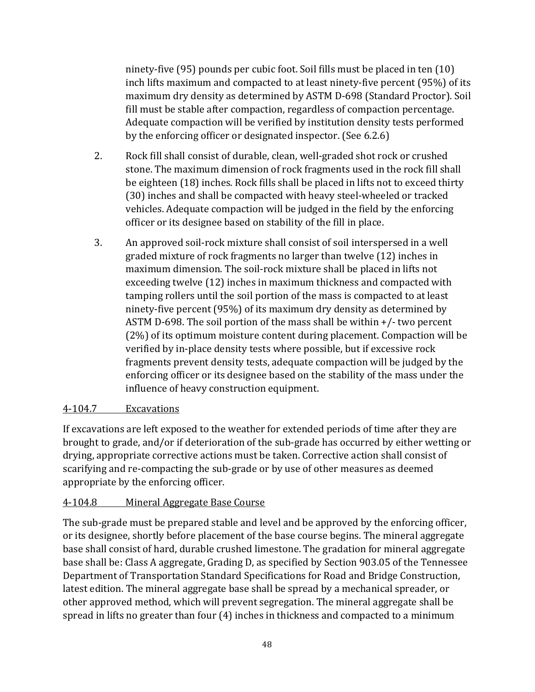ninety-five (95) pounds per cubic foot. Soil fills must be placed in ten (10) inch lifts maximum and compacted to at least ninety-five percent (95%) of its maximum dry density as determined by ASTM D-698 (Standard Proctor). Soil fill must be stable after compaction, regardless of compaction percentage. Adequate compaction will be verified by institution density tests performed by the enforcing officer or designated inspector. (See 6.2.6)

- 2. Rock fill shall consist of durable, clean, well-graded shot rock or crushed stone. The maximum dimension of rock fragments used in the rock fill shall be eighteen (18) inches. Rock fills shall be placed in lifts not to exceed thirty (30) inches and shall be compacted with heavy steel-wheeled or tracked vehicles. Adequate compaction will be judged in the field by the enforcing officer or its designee based on stability of the fill in place.
- 3. An approved soil-rock mixture shall consist of soil interspersed in a well graded mixture of rock fragments no larger than twelve (12) inches in maximum dimension. The soil-rock mixture shall be placed in lifts not exceeding twelve (12) inches in maximum thickness and compacted with tamping rollers until the soil portion of the mass is compacted to at least ninety-five percent (95%) of its maximum dry density as determined by ASTM D-698. The soil portion of the mass shall be within +/- two percent (2%) of its optimum moisture content during placement. Compaction will be verified by in-place density tests where possible, but if excessive rock fragments prevent density tests, adequate compaction will be judged by the enforcing officer or its designee based on the stability of the mass under the influence of heavy construction equipment.

## 4-104.7 Excavations

If excavations are left exposed to the weather for extended periods of time after they are brought to grade, and/or if deterioration of the sub-grade has occurred by either wetting or drying, appropriate corrective actions must be taken. Corrective action shall consist of scarifying and re-compacting the sub-grade or by use of other measures as deemed appropriate by the enforcing officer.

## 4-104.8 Mineral Aggregate Base Course

The sub-grade must be prepared stable and level and be approved by the enforcing officer, or its designee, shortly before placement of the base course begins. The mineral aggregate base shall consist of hard, durable crushed limestone. The gradation for mineral aggregate base shall be: Class A aggregate, Grading D, as specified by Section 903.05 of the Tennessee Department of Transportation Standard Specifications for Road and Bridge Construction, latest edition. The mineral aggregate base shall be spread by a mechanical spreader, or other approved method, which will prevent segregation. The mineral aggregate shall be spread in lifts no greater than four (4) inches in thickness and compacted to a minimum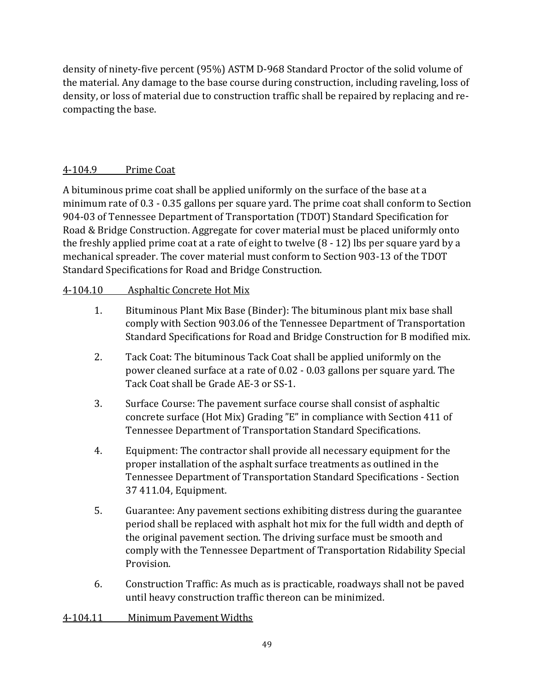density of ninety-five percent (95%) ASTM D-968 Standard Proctor of the solid volume of the material. Any damage to the base course during construction, including raveling, loss of density, or loss of material due to construction traffic shall be repaired by replacing and recompacting the base.

## 4-104.9 Prime Coat

A bituminous prime coat shall be applied uniformly on the surface of the base at a minimum rate of 0.3 - 0.35 gallons per square yard. The prime coat shall conform to Section 904-03 of Tennessee Department of Transportation (TDOT) Standard Specification for Road & Bridge Construction. Aggregate for cover material must be placed uniformly onto the freshly applied prime coat at a rate of eight to twelve (8 - 12) lbs per square yard by a mechanical spreader. The cover material must conform to Section 903-13 of the TDOT Standard Specifications for Road and Bridge Construction.

## 4-104.10 Asphaltic Concrete Hot Mix

- 1. Bituminous Plant Mix Base (Binder): The bituminous plant mix base shall comply with Section 903.06 of the Tennessee Department of Transportation Standard Specifications for Road and Bridge Construction for B modified mix.
- 2. Tack Coat: The bituminous Tack Coat shall be applied uniformly on the power cleaned surface at a rate of 0.02 - 0.03 gallons per square yard. The Tack Coat shall be Grade AE-3 or SS-1.
- 3. Surface Course: The pavement surface course shall consist of asphaltic concrete surface (Hot Mix) Grading "E" in compliance with Section 411 of Tennessee Department of Transportation Standard Specifications.
- 4. Equipment: The contractor shall provide all necessary equipment for the proper installation of the asphalt surface treatments as outlined in the Tennessee Department of Transportation Standard Specifications - Section 37 411.04, Equipment.
- 5. Guarantee: Any pavement sections exhibiting distress during the guarantee period shall be replaced with asphalt hot mix for the full width and depth of the original pavement section. The driving surface must be smooth and comply with the Tennessee Department of Transportation Ridability Special Provision.
- 6. Construction Traffic: As much as is practicable, roadways shall not be paved until heavy construction traffic thereon can be minimized.
- 4-104.11 Minimum Pavement Widths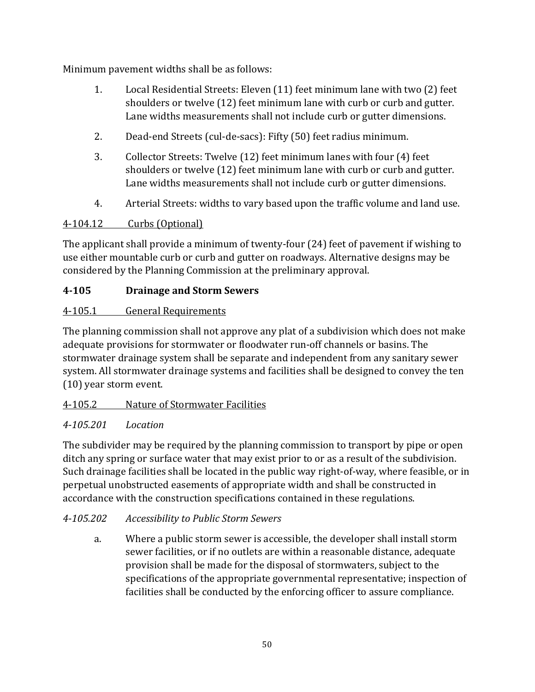Minimum pavement widths shall be as follows:

- 1. Local Residential Streets: Eleven (11) feet minimum lane with two (2) feet shoulders or twelve (12) feet minimum lane with curb or curb and gutter. Lane widths measurements shall not include curb or gutter dimensions.
- 2. Dead-end Streets (cul-de-sacs): Fifty (50) feet radius minimum.
- 3. Collector Streets: Twelve (12) feet minimum lanes with four (4) feet shoulders or twelve (12) feet minimum lane with curb or curb and gutter. Lane widths measurements shall not include curb or gutter dimensions.
- 4. Arterial Streets: widths to vary based upon the traffic volume and land use.

# 4-104.12 Curbs (Optional)

The applicant shall provide a minimum of twenty-four (24) feet of pavement if wishing to use either mountable curb or curb and gutter on roadways. Alternative designs may be considered by the Planning Commission at the preliminary approval.

# **4-105 Drainage and Storm Sewers**

# 4-105.1 General Requirements

The planning commission shall not approve any plat of a subdivision which does not make adequate provisions for stormwater or floodwater run-off channels or basins. The stormwater drainage system shall be separate and independent from any sanitary sewer system. All stormwater drainage systems and facilities shall be designed to convey the ten (10) year storm event.

# 4-105.2 Nature of Stormwater Facilities

# *4-105.201 Location*

The subdivider may be required by the planning commission to transport by pipe or open ditch any spring or surface water that may exist prior to or as a result of the subdivision. Such drainage facilities shall be located in the public way right-of-way, where feasible, or in perpetual unobstructed easements of appropriate width and shall be constructed in accordance with the construction specifications contained in these regulations.

# *4-105.202 Accessibility to Public Storm Sewers*

a. Where a public storm sewer is accessible, the developer shall install storm sewer facilities, or if no outlets are within a reasonable distance, adequate provision shall be made for the disposal of stormwaters, subject to the specifications of the appropriate governmental representative; inspection of facilities shall be conducted by the enforcing officer to assure compliance.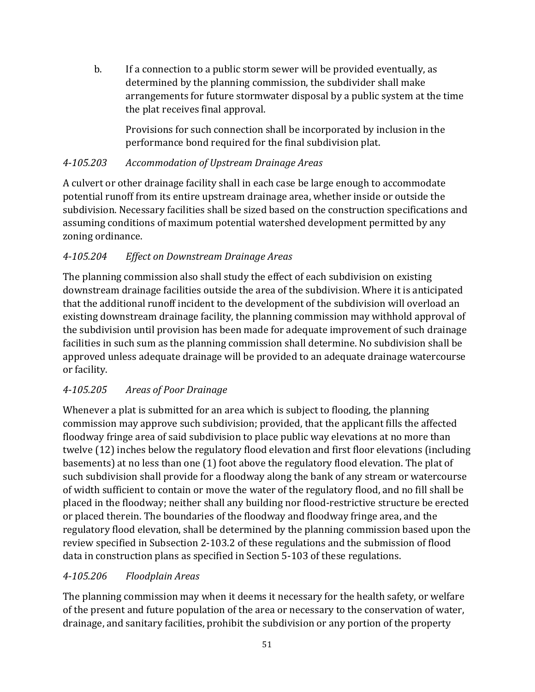b. If a connection to a public storm sewer will be provided eventually, as determined by the planning commission, the subdivider shall make arrangements for future stormwater disposal by a public system at the time the plat receives final approval.

Provisions for such connection shall be incorporated by inclusion in the performance bond required for the final subdivision plat.

## *4-105.203 Accommodation of Upstream Drainage Areas*

A culvert or other drainage facility shall in each case be large enough to accommodate potential runoff from its entire upstream drainage area, whether inside or outside the subdivision. Necessary facilities shall be sized based on the construction specifications and assuming conditions of maximum potential watershed development permitted by any zoning ordinance.

# *4-105.204 Effect on Downstream Drainage Areas*

The planning commission also shall study the effect of each subdivision on existing downstream drainage facilities outside the area of the subdivision. Where it is anticipated that the additional runoff incident to the development of the subdivision will overload an existing downstream drainage facility, the planning commission may withhold approval of the subdivision until provision has been made for adequate improvement of such drainage facilities in such sum as the planning commission shall determine. No subdivision shall be approved unless adequate drainage will be provided to an adequate drainage watercourse or facility.

# *4-105.205 Areas of Poor Drainage*

Whenever a plat is submitted for an area which is subject to flooding, the planning commission may approve such subdivision; provided, that the applicant fills the affected floodway fringe area of said subdivision to place public way elevations at no more than twelve (12) inches below the regulatory flood elevation and first floor elevations (including basements) at no less than one (1) foot above the regulatory flood elevation. The plat of such subdivision shall provide for a floodway along the bank of any stream or watercourse of width sufficient to contain or move the water of the regulatory flood, and no fill shall be placed in the floodway; neither shall any building nor flood-restrictive structure be erected or placed therein. The boundaries of the floodway and floodway fringe area, and the regulatory flood elevation, shall be determined by the planning commission based upon the review specified in Subsection 2-103.2 of these regulations and the submission of flood data in construction plans as specified in Section 5-103 of these regulations.

## *4-105.206 Floodplain Areas*

The planning commission may when it deems it necessary for the health safety, or welfare of the present and future population of the area or necessary to the conservation of water, drainage, and sanitary facilities, prohibit the subdivision or any portion of the property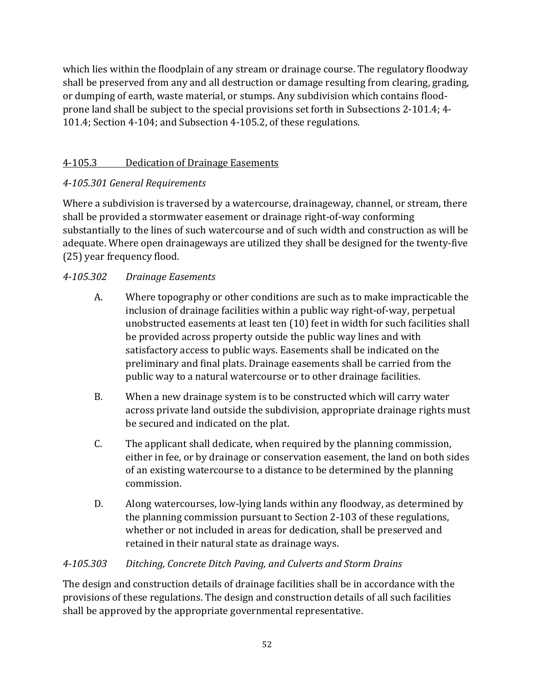which lies within the floodplain of any stream or drainage course. The regulatory floodway shall be preserved from any and all destruction or damage resulting from clearing, grading, or dumping of earth, waste material, or stumps. Any subdivision which contains floodprone land shall be subject to the special provisions set forth in Subsections 2-101.4; 4- 101.4; Section 4-104; and Subsection 4-105.2, of these regulations.

# 4-105.3 Dedication of Drainage Easements

# *4-105.301 General Requirements*

Where a subdivision is traversed by a watercourse, drainageway, channel, or stream, there shall be provided a stormwater easement or drainage right-of-way conforming substantially to the lines of such watercourse and of such width and construction as will be adequate. Where open drainageways are utilized they shall be designed for the twenty-five (25) year frequency flood.

# *4-105.302 Drainage Easements*

- A. Where topography or other conditions are such as to make impracticable the inclusion of drainage facilities within a public way right-of-way, perpetual unobstructed easements at least ten (10) feet in width for such facilities shall be provided across property outside the public way lines and with satisfactory access to public ways. Easements shall be indicated on the preliminary and final plats. Drainage easements shall be carried from the public way to a natural watercourse or to other drainage facilities.
- B. When a new drainage system is to be constructed which will carry water across private land outside the subdivision, appropriate drainage rights must be secured and indicated on the plat.
- C. The applicant shall dedicate, when required by the planning commission, either in fee, or by drainage or conservation easement, the land on both sides of an existing watercourse to a distance to be determined by the planning commission.
- D. Along watercourses, low-lying lands within any floodway, as determined by the planning commission pursuant to Section 2-103 of these regulations, whether or not included in areas for dedication, shall be preserved and retained in their natural state as drainage ways.

## *4-105.303 Ditching, Concrete Ditch Paving, and Culverts and Storm Drains*

The design and construction details of drainage facilities shall be in accordance with the provisions of these regulations. The design and construction details of all such facilities shall be approved by the appropriate governmental representative.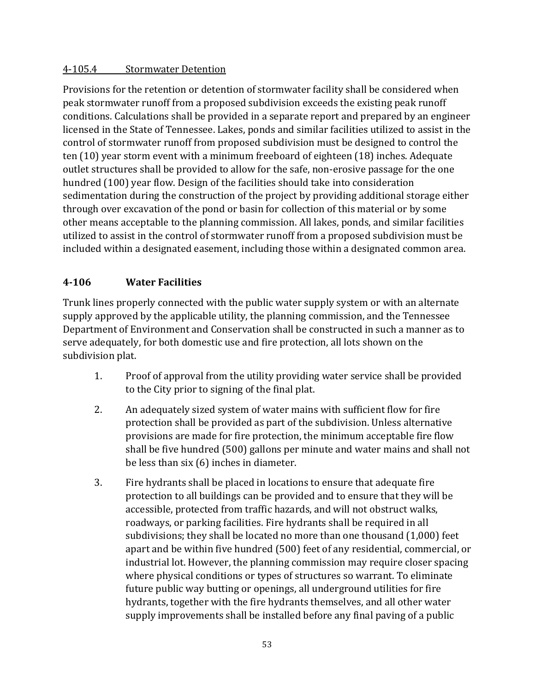### 4-105.4 Stormwater Detention

Provisions for the retention or detention of stormwater facility shall be considered when peak stormwater runoff from a proposed subdivision exceeds the existing peak runoff conditions. Calculations shall be provided in a separate report and prepared by an engineer licensed in the State of Tennessee. Lakes, ponds and similar facilities utilized to assist in the control of stormwater runoff from proposed subdivision must be designed to control the ten (10) year storm event with a minimum freeboard of eighteen (18) inches. Adequate outlet structures shall be provided to allow for the safe, non-erosive passage for the one hundred (100) year flow. Design of the facilities should take into consideration sedimentation during the construction of the project by providing additional storage either through over excavation of the pond or basin for collection of this material or by some other means acceptable to the planning commission. All lakes, ponds, and similar facilities utilized to assist in the control of stormwater runoff from a proposed subdivision must be included within a designated easement, including those within a designated common area.

## **4-106 Water Facilities**

Trunk lines properly connected with the public water supply system or with an alternate supply approved by the applicable utility, the planning commission, and the Tennessee Department of Environment and Conservation shall be constructed in such a manner as to serve adequately, for both domestic use and fire protection, all lots shown on the subdivision plat.

- 1. Proof of approval from the utility providing water service shall be provided to the City prior to signing of the final plat.
- 2. An adequately sized system of water mains with sufficient flow for fire protection shall be provided as part of the subdivision. Unless alternative provisions are made for fire protection, the minimum acceptable fire flow shall be five hundred (500) gallons per minute and water mains and shall not be less than six (6) inches in diameter.
- 3. Fire hydrants shall be placed in locations to ensure that adequate fire protection to all buildings can be provided and to ensure that they will be accessible, protected from traffic hazards, and will not obstruct walks, roadways, or parking facilities. Fire hydrants shall be required in all subdivisions; they shall be located no more than one thousand (1,000) feet apart and be within five hundred (500) feet of any residential, commercial, or industrial lot. However, the planning commission may require closer spacing where physical conditions or types of structures so warrant. To eliminate future public way butting or openings, all underground utilities for fire hydrants, together with the fire hydrants themselves, and all other water supply improvements shall be installed before any final paving of a public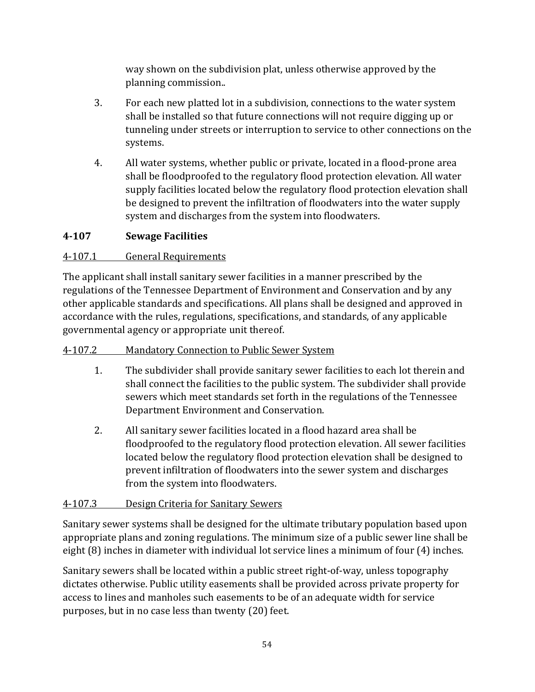way shown on the subdivision plat, unless otherwise approved by the planning commission..

- 3. For each new platted lot in a subdivision, connections to the water system shall be installed so that future connections will not require digging up or tunneling under streets or interruption to service to other connections on the systems.
- 4. All water systems, whether public or private, located in a flood-prone area shall be floodproofed to the regulatory flood protection elevation. All water supply facilities located below the regulatory flood protection elevation shall be designed to prevent the infiltration of floodwaters into the water supply system and discharges from the system into floodwaters.

# **4-107 Sewage Facilities**

## 4-107.1 General Requirements

The applicant shall install sanitary sewer facilities in a manner prescribed by the regulations of the Tennessee Department of Environment and Conservation and by any other applicable standards and specifications. All plans shall be designed and approved in accordance with the rules, regulations, specifications, and standards, of any applicable governmental agency or appropriate unit thereof.

## 4-107.2 Mandatory Connection to Public Sewer System

- 1. The subdivider shall provide sanitary sewer facilities to each lot therein and shall connect the facilities to the public system. The subdivider shall provide sewers which meet standards set forth in the regulations of the Tennessee Department Environment and Conservation.
- 2. All sanitary sewer facilities located in a flood hazard area shall be floodproofed to the regulatory flood protection elevation. All sewer facilities located below the regulatory flood protection elevation shall be designed to prevent infiltration of floodwaters into the sewer system and discharges from the system into floodwaters.

# 4-107.3 Design Criteria for Sanitary Sewers

Sanitary sewer systems shall be designed for the ultimate tributary population based upon appropriate plans and zoning regulations. The minimum size of a public sewer line shall be eight (8) inches in diameter with individual lot service lines a minimum of four (4) inches.

Sanitary sewers shall be located within a public street right-of-way, unless topography dictates otherwise. Public utility easements shall be provided across private property for access to lines and manholes such easements to be of an adequate width for service purposes, but in no case less than twenty (20) feet.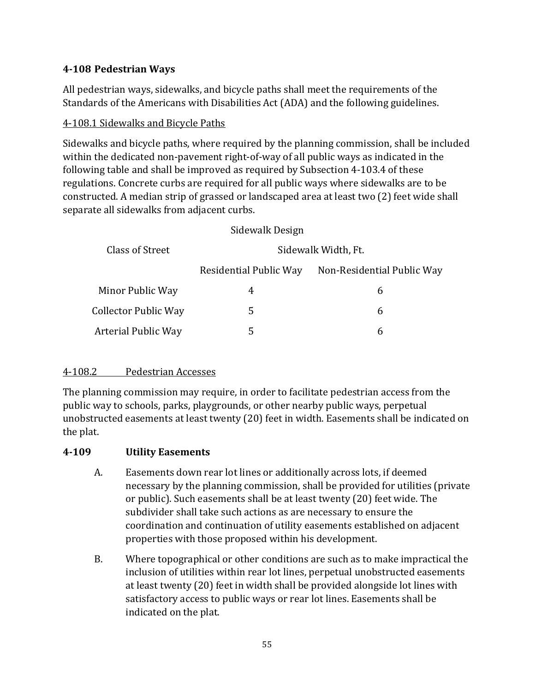## **4-108 Pedestrian Ways**

All pedestrian ways, sidewalks, and bicycle paths shall meet the requirements of the Standards of the Americans with Disabilities Act (ADA) and the following guidelines.

### 4-108.1 Sidewalks and Bicycle Paths

Sidewalks and bicycle paths, where required by the planning commission, shall be included within the dedicated non-pavement right-of-way of all public ways as indicated in the following table and shall be improved as required by Subsection 4-103.4 of these regulations. Concrete curbs are required for all public ways where sidewalks are to be constructed. A median strip of grassed or landscaped area at least two (2) feet wide shall separate all sidewalks from adjacent curbs.

| Sidewalk Design             |                        |                            |  |  |
|-----------------------------|------------------------|----------------------------|--|--|
| Class of Street             |                        | Sidewalk Width, Ft.        |  |  |
|                             | Residential Public Way | Non-Residential Public Way |  |  |
| Minor Public Way            | 4                      | 6                          |  |  |
| <b>Collector Public Way</b> | 5                      | 6                          |  |  |
| <b>Arterial Public Way</b>  | 5                      | 6                          |  |  |

## 4-108.2 Pedestrian Accesses

The planning commission may require, in order to facilitate pedestrian access from the public way to schools, parks, playgrounds, or other nearby public ways, perpetual unobstructed easements at least twenty (20) feet in width. Easements shall be indicated on the plat.

#### **4-109 Utility Easements**

- A. Easements down rear lot lines or additionally across lots, if deemed necessary by the planning commission, shall be provided for utilities (private or public). Such easements shall be at least twenty (20) feet wide. The subdivider shall take such actions as are necessary to ensure the coordination and continuation of utility easements established on adjacent properties with those proposed within his development.
- B. Where topographical or other conditions are such as to make impractical the inclusion of utilities within rear lot lines, perpetual unobstructed easements at least twenty (20) feet in width shall be provided alongside lot lines with satisfactory access to public ways or rear lot lines. Easements shall be indicated on the plat.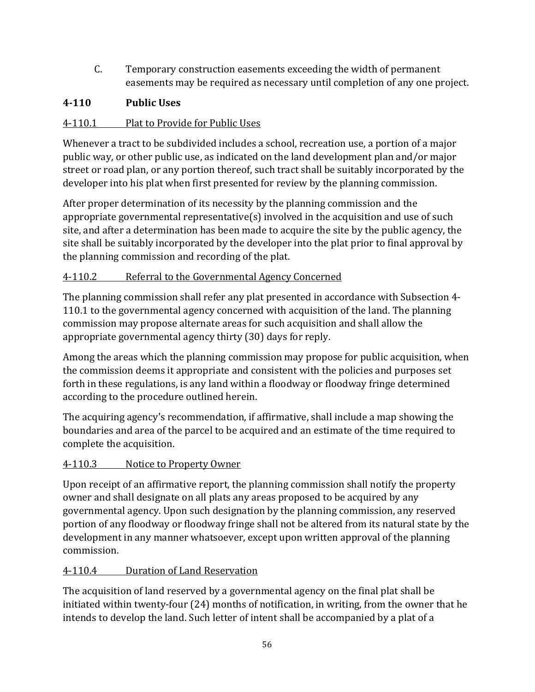C. Temporary construction easements exceeding the width of permanent easements may be required as necessary until completion of any one project.

# **4-110 Public Uses**

# 4-110.1 Plat to Provide for Public Uses

Whenever a tract to be subdivided includes a school, recreation use, a portion of a major public way, or other public use, as indicated on the land development plan and/or major street or road plan, or any portion thereof, such tract shall be suitably incorporated by the developer into his plat when first presented for review by the planning commission.

After proper determination of its necessity by the planning commission and the appropriate governmental representative(s) involved in the acquisition and use of such site, and after a determination has been made to acquire the site by the public agency, the site shall be suitably incorporated by the developer into the plat prior to final approval by the planning commission and recording of the plat.

## 4-110.2 Referral to the Governmental Agency Concerned

The planning commission shall refer any plat presented in accordance with Subsection 4- 110.1 to the governmental agency concerned with acquisition of the land. The planning commission may propose alternate areas for such acquisition and shall allow the appropriate governmental agency thirty (30) days for reply.

Among the areas which the planning commission may propose for public acquisition, when the commission deems it appropriate and consistent with the policies and purposes set forth in these regulations, is any land within a floodway or floodway fringe determined according to the procedure outlined herein.

The acquiring agency's recommendation, if affirmative, shall include a map showing the boundaries and area of the parcel to be acquired and an estimate of the time required to complete the acquisition.

# 4-110.3 Notice to Property Owner

Upon receipt of an affirmative report, the planning commission shall notify the property owner and shall designate on all plats any areas proposed to be acquired by any governmental agency. Upon such designation by the planning commission, any reserved portion of any floodway or floodway fringe shall not be altered from its natural state by the development in any manner whatsoever, except upon written approval of the planning commission.

## 4-110.4 Duration of Land Reservation

The acquisition of land reserved by a governmental agency on the final plat shall be initiated within twenty-four (24) months of notification, in writing, from the owner that he intends to develop the land. Such letter of intent shall be accompanied by a plat of a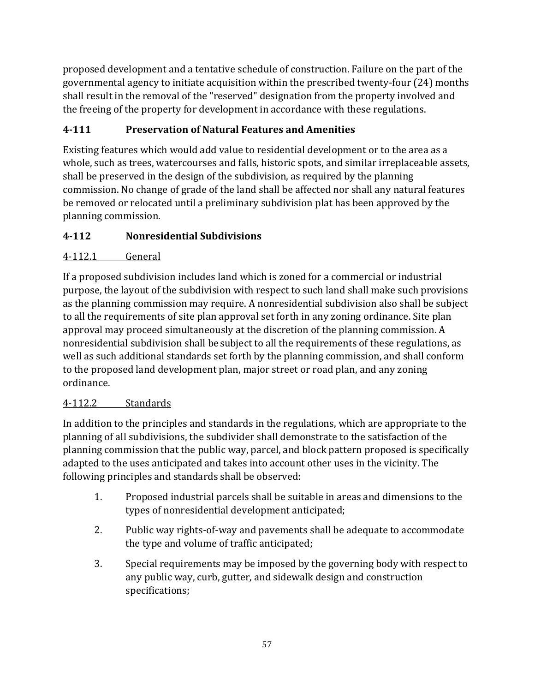proposed development and a tentative schedule of construction. Failure on the part of the governmental agency to initiate acquisition within the prescribed twenty-four (24) months shall result in the removal of the "reserved" designation from the property involved and the freeing of the property for development in accordance with these regulations.

# **4-111 Preservation of Natural Features and Amenities**

Existing features which would add value to residential development or to the area as a whole, such as trees, watercourses and falls, historic spots, and similar irreplaceable assets, shall be preserved in the design of the subdivision, as required by the planning commission. No change of grade of the land shall be affected nor shall any natural features be removed or relocated until a preliminary subdivision plat has been approved by the planning commission.

# **4-112 Nonresidential Subdivisions**

# 4-112.1 General

If a proposed subdivision includes land which is zoned for a commercial or industrial purpose, the layout of the subdivision with respect to such land shall make such provisions as the planning commission may require. A nonresidential subdivision also shall be subject to all the requirements of site plan approval set forth in any zoning ordinance. Site plan approval may proceed simultaneously at the discretion of the planning commission. A nonresidential subdivision shall be subject to all the requirements of these regulations, as well as such additional standards set forth by the planning commission, and shall conform to the proposed land development plan, major street or road plan, and any zoning ordinance.

# 4-112.2 Standards

In addition to the principles and standards in the regulations, which are appropriate to the planning of all subdivisions, the subdivider shall demonstrate to the satisfaction of the planning commission that the public way, parcel, and block pattern proposed is specifically adapted to the uses anticipated and takes into account other uses in the vicinity. The following principles and standards shall be observed:

- 1. Proposed industrial parcels shall be suitable in areas and dimensions to the types of nonresidential development anticipated;
- 2. Public way rights-of-way and pavements shall be adequate to accommodate the type and volume of traffic anticipated;
- 3. Special requirements may be imposed by the governing body with respect to any public way, curb, gutter, and sidewalk design and construction specifications;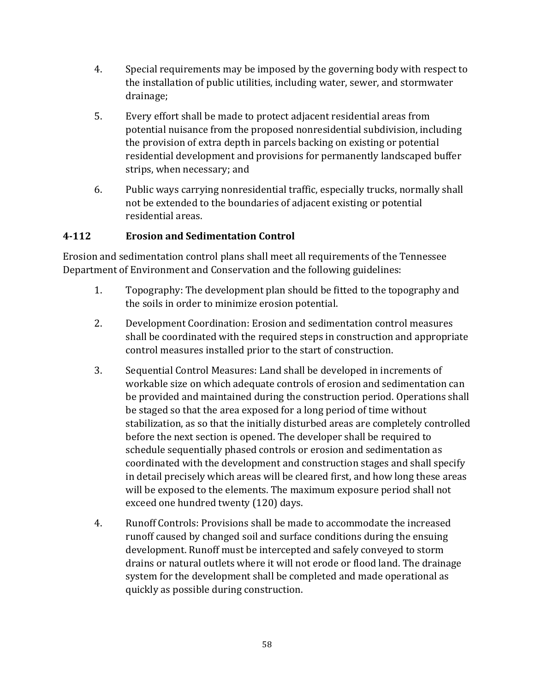- 4. Special requirements may be imposed by the governing body with respect to the installation of public utilities, including water, sewer, and stormwater drainage;
- 5. Every effort shall be made to protect adjacent residential areas from potential nuisance from the proposed nonresidential subdivision, including the provision of extra depth in parcels backing on existing or potential residential development and provisions for permanently landscaped buffer strips, when necessary; and
- 6. Public ways carrying nonresidential traffic, especially trucks, normally shall not be extended to the boundaries of adjacent existing or potential residential areas.

## **4-112 Erosion and Sedimentation Control**

Erosion and sedimentation control plans shall meet all requirements of the Tennessee Department of Environment and Conservation and the following guidelines:

- 1. Topography: The development plan should be fitted to the topography and the soils in order to minimize erosion potential.
- 2. Development Coordination: Erosion and sedimentation control measures shall be coordinated with the required steps in construction and appropriate control measures installed prior to the start of construction.
- 3. Sequential Control Measures: Land shall be developed in increments of workable size on which adequate controls of erosion and sedimentation can be provided and maintained during the construction period. Operations shall be staged so that the area exposed for a long period of time without stabilization, as so that the initially disturbed areas are completely controlled before the next section is opened. The developer shall be required to schedule sequentially phased controls or erosion and sedimentation as coordinated with the development and construction stages and shall specify in detail precisely which areas will be cleared first, and how long these areas will be exposed to the elements. The maximum exposure period shall not exceed one hundred twenty (120) days.
- 4. Runoff Controls: Provisions shall be made to accommodate the increased runoff caused by changed soil and surface conditions during the ensuing development. Runoff must be intercepted and safely conveyed to storm drains or natural outlets where it will not erode or flood land. The drainage system for the development shall be completed and made operational as quickly as possible during construction.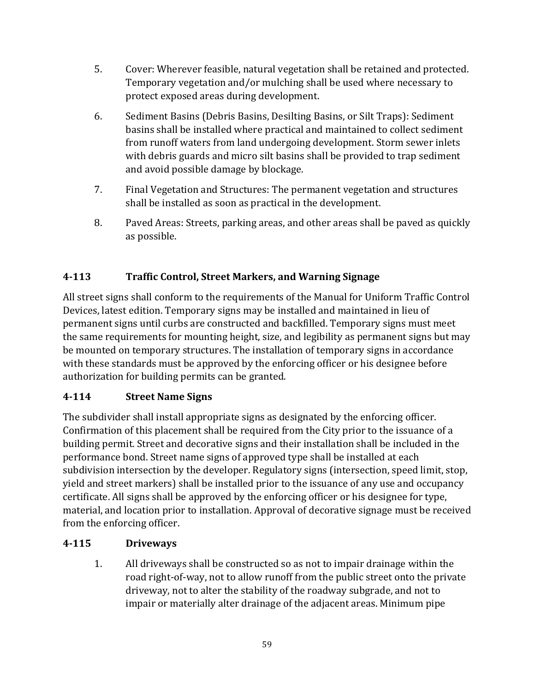- 5. Cover: Wherever feasible, natural vegetation shall be retained and protected. Temporary vegetation and/or mulching shall be used where necessary to protect exposed areas during development.
- 6. Sediment Basins (Debris Basins, Desilting Basins, or Silt Traps): Sediment basins shall be installed where practical and maintained to collect sediment from runoff waters from land undergoing development. Storm sewer inlets with debris guards and micro silt basins shall be provided to trap sediment and avoid possible damage by blockage.
- 7. Final Vegetation and Structures: The permanent vegetation and structures shall be installed as soon as practical in the development.
- 8. Paved Areas: Streets, parking areas, and other areas shall be paved as quickly as possible.

# **4-113 Traffic Control, Street Markers, and Warning Signage**

All street signs shall conform to the requirements of the Manual for Uniform Traffic Control Devices, latest edition. Temporary signs may be installed and maintained in lieu of permanent signs until curbs are constructed and backfilled. Temporary signs must meet the same requirements for mounting height, size, and legibility as permanent signs but may be mounted on temporary structures. The installation of temporary signs in accordance with these standards must be approved by the enforcing officer or his designee before authorization for building permits can be granted.

# **4-114 Street Name Signs**

The subdivider shall install appropriate signs as designated by the enforcing officer. Confirmation of this placement shall be required from the City prior to the issuance of a building permit. Street and decorative signs and their installation shall be included in the performance bond. Street name signs of approved type shall be installed at each subdivision intersection by the developer. Regulatory signs (intersection, speed limit, stop, yield and street markers) shall be installed prior to the issuance of any use and occupancy certificate. All signs shall be approved by the enforcing officer or his designee for type, material, and location prior to installation. Approval of decorative signage must be received from the enforcing officer.

## **4-115 Driveways**

1. All driveways shall be constructed so as not to impair drainage within the road right-of-way, not to allow runoff from the public street onto the private driveway, not to alter the stability of the roadway subgrade, and not to impair or materially alter drainage of the adjacent areas. Minimum pipe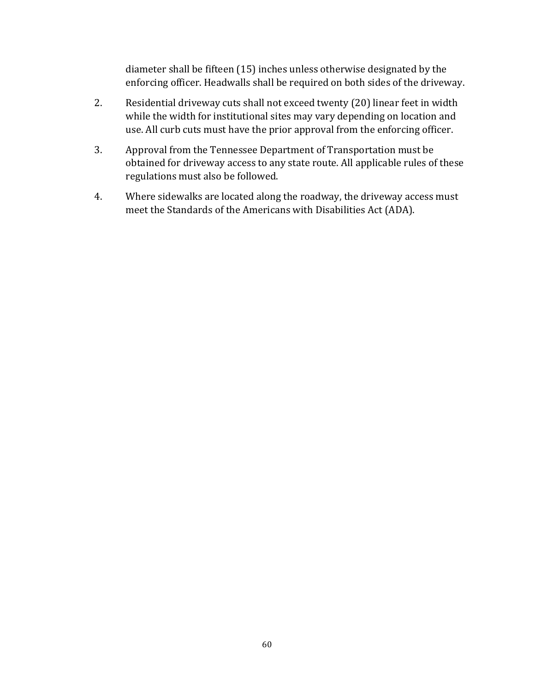diameter shall be fifteen (15) inches unless otherwise designated by the enforcing officer. Headwalls shall be required on both sides of the driveway.

- 2. Residential driveway cuts shall not exceed twenty (20) linear feet in width while the width for institutional sites may vary depending on location and use. All curb cuts must have the prior approval from the enforcing officer.
- 3. Approval from the Tennessee Department of Transportation must be obtained for driveway access to any state route. All applicable rules of these regulations must also be followed.
- 4. Where sidewalks are located along the roadway, the driveway access must meet the Standards of the Americans with Disabilities Act (ADA).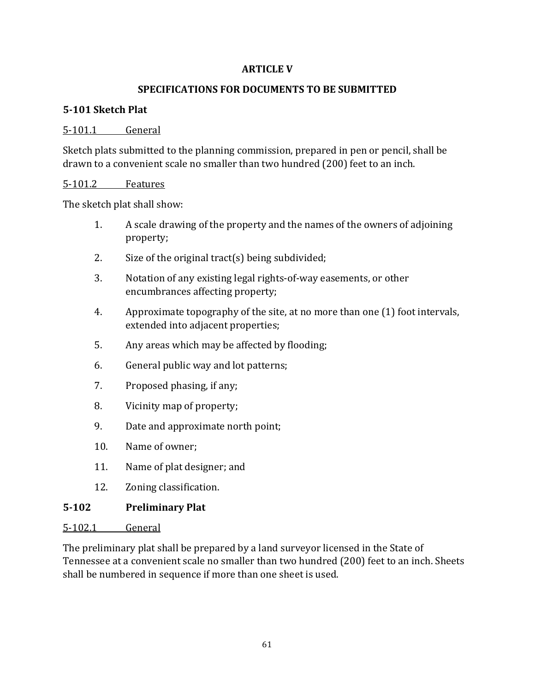#### **ARTICLE V**

### **SPECIFICATIONS FOR DOCUMENTS TO BE SUBMITTED**

### **5-101 Sketch Plat**

#### 5-101.1 General

Sketch plats submitted to the planning commission, prepared in pen or pencil, shall be drawn to a convenient scale no smaller than two hundred (200) feet to an inch.

#### 5-101.2 Features

The sketch plat shall show:

- 1. A scale drawing of the property and the names of the owners of adjoining property;
- 2. Size of the original tract(s) being subdivided;
- 3. Notation of any existing legal rights-of-way easements, or other encumbrances affecting property;
- 4. Approximate topography of the site, at no more than one (1) foot intervals, extended into adjacent properties;
- 5. Any areas which may be affected by flooding;
- 6. General public way and lot patterns;
- 7. Proposed phasing, if any;
- 8. Vicinity map of property;
- 9. Date and approximate north point;
- 10. Name of owner;
- 11. Name of plat designer; and
- 12. Zoning classification.

## **5-102 Preliminary Plat**

#### 5-102.1 General

The preliminary plat shall be prepared by a land surveyor licensed in the State of Tennessee at a convenient scale no smaller than two hundred (200) feet to an inch. Sheets shall be numbered in sequence if more than one sheet is used.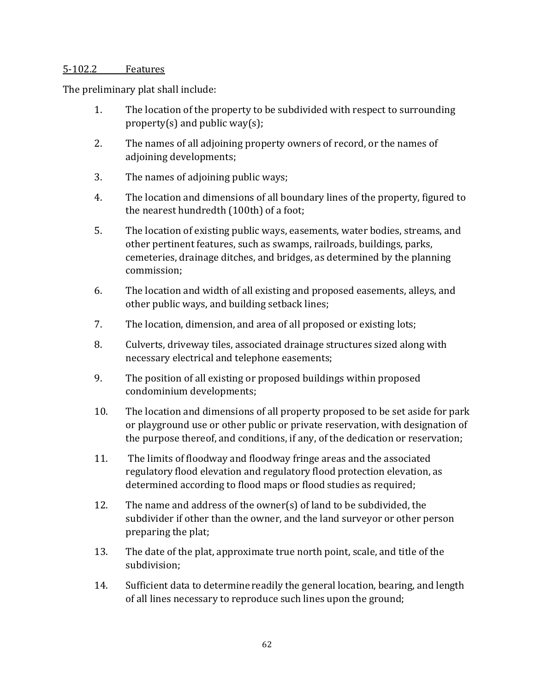#### 5-102.2 Features

The preliminary plat shall include:

- 1. The location of the property to be subdivided with respect to surrounding property(s) and public way(s);
- 2. The names of all adjoining property owners of record, or the names of adjoining developments;
- 3. The names of adjoining public ways;
- 4. The location and dimensions of all boundary lines of the property, figured to the nearest hundredth (100th) of a foot;
- 5. The location of existing public ways, easements, water bodies, streams, and other pertinent features, such as swamps, railroads, buildings, parks, cemeteries, drainage ditches, and bridges, as determined by the planning commission;
- 6. The location and width of all existing and proposed easements, alleys, and other public ways, and building setback lines;
- 7. The location, dimension, and area of all proposed or existing lots;
- 8. Culverts, driveway tiles, associated drainage structures sized along with necessary electrical and telephone easements;
- 9. The position of all existing or proposed buildings within proposed condominium developments;
- 10. The location and dimensions of all property proposed to be set aside for park or playground use or other public or private reservation, with designation of the purpose thereof, and conditions, if any, of the dedication or reservation;
- 11. The limits of floodway and floodway fringe areas and the associated regulatory flood elevation and regulatory flood protection elevation, as determined according to flood maps or flood studies as required;
- 12. The name and address of the owner(s) of land to be subdivided, the subdivider if other than the owner, and the land surveyor or other person preparing the plat;
- 13. The date of the plat, approximate true north point, scale, and title of the subdivision;
- 14. Sufficient data to determine readily the general location, bearing, and length of all lines necessary to reproduce such lines upon the ground;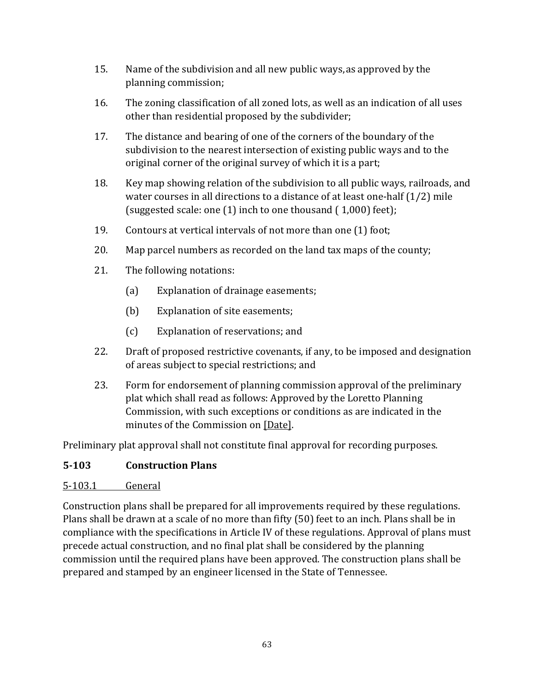- 15. Name of the subdivision and all new public ways, as approved by the planning commission;
- 16. The zoning classification of all zoned lots, as well as an indication of all uses other than residential proposed by the subdivider;
- 17. The distance and bearing of one of the corners of the boundary of the subdivision to the nearest intersection of existing public ways and to the original corner of the original survey of which it is a part;
- 18. Key map showing relation of the subdivision to all public ways, railroads, and water courses in all directions to a distance of at least one-half (1/2) mile (suggested scale: one (1) inch to one thousand ( 1,000) feet);
- 19. Contours at vertical intervals of not more than one (1) foot;
- 20. Map parcel numbers as recorded on the land tax maps of the county;
- 21. The following notations:
	- (a) Explanation of drainage easements;
	- (b) Explanation of site easements;
	- (c) Explanation of reservations; and
- 22. Draft of proposed restrictive covenants, if any, to be imposed and designation of areas subject to special restrictions; and
- 23. Form for endorsement of planning commission approval of the preliminary plat which shall read as follows: Approved by the Loretto Planning Commission, with such exceptions or conditions as are indicated in the minutes of the Commission on [Date].

Preliminary plat approval shall not constitute final approval for recording purposes.

### **5-103 Construction Plans**

#### 5-103.1 General

Construction plans shall be prepared for all improvements required by these regulations. Plans shall be drawn at a scale of no more than fifty (50) feet to an inch. Plans shall be in compliance with the specifications in Article IV of these regulations. Approval of plans must precede actual construction, and no final plat shall be considered by the planning commission until the required plans have been approved. The construction plans shall be prepared and stamped by an engineer licensed in the State of Tennessee.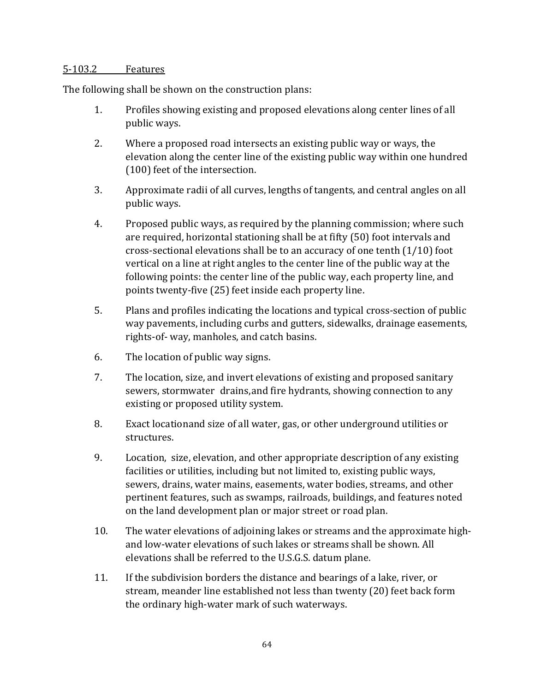#### 5-103.2 Features

The following shall be shown on the construction plans:

- 1. Profiles showing existing and proposed elevations along center lines of all public ways.
- 2. Where a proposed road intersects an existing public way or ways, the elevation along the center line of the existing public way within one hundred (100) feet of the intersection.
- 3. Approximate radii of all curves, lengths of tangents, and central angles on all public ways.
- 4. Proposed public ways, as required by the planning commission; where such are required, horizontal stationing shall be at fifty (50) foot intervals and cross-sectional elevations shall be to an accuracy of one tenth (1/10) foot vertical on a line at right angles to the center line of the public way at the following points: the center line of the public way, each property line, and points twenty-five (25) feet inside each property line.
- 5. Plans and profiles indicating the locations and typical cross-section of public way pavements, including curbs and gutters, sidewalks, drainage easements, rights-of- way, manholes, and catch basins.
- 6. The location of public way signs.
- 7. The location, size, and invert elevations of existing and proposed sanitary sewers, stormwater drains, and fire hydrants, showing connection to any existing or proposed utility system.
- 8. Exact locationand size of all water, gas, or other underground utilities or structures.
- 9. Location, size, elevation, and other appropriate description of any existing facilities or utilities, including but not limited to, existing public ways, sewers, drains, water mains, easements, water bodies, streams, and other pertinent features, such as swamps, railroads, buildings, and features noted on the land development plan or major street or road plan.
- 10. The water elevations of adjoining lakes or streams and the approximate highand low-water elevations of such lakes or streams shall be shown. All elevations shall be referred to the U.S.G.S. datum plane.
- 11. If the subdivision borders the distance and bearings of a lake, river, or stream, meander line established not less than twenty (20) feet back form the ordinary high-water mark of such waterways.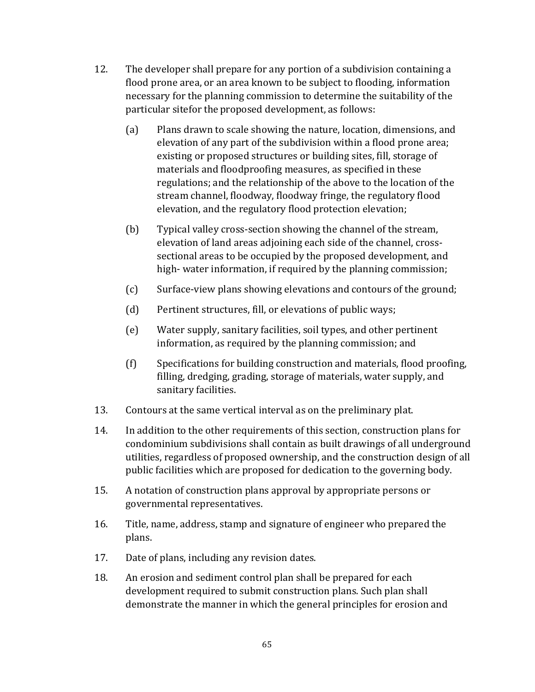- 12. The developer shall prepare for any portion of a subdivision containing a flood prone area, or an area known to be subject to flooding, information necessary for the planning commission to determine the suitability of the particular sitefor the proposed development, as follows:
	- (a) Plans drawn to scale showing the nature, location, dimensions, and elevation of any part of the subdivision within a flood prone area; existing or proposed structures or building sites, fill, storage of materials and floodproofing measures, as specified in these regulations; and the relationship of the above to the location of the stream channel, floodway, floodway fringe, the regulatory flood elevation, and the regulatory flood protection elevation;
	- (b) Typical valley cross-section showing the channel of the stream, elevation of land areas adjoining each side of the channel, crosssectional areas to be occupied by the proposed development, and high- water information, if required by the planning commission;
	- (c) Surface-view plans showing elevations and contours of the ground;
	- (d) Pertinent structures, fill, or elevations of public ways;
	- (e) Water supply, sanitary facilities, soil types, and other pertinent information, as required by the planning commission; and
	- (f) Specifications for building construction and materials, flood proofing, filling, dredging, grading, storage of materials, water supply, and sanitary facilities.
- 13. Contours at the same vertical interval as on the preliminary plat.
- 14. In addition to the other requirements of this section, construction plans for condominium subdivisions shall contain as built drawings of all underground utilities, regardless of proposed ownership, and the construction design of all public facilities which are proposed for dedication to the governing body.
- 15. A notation of construction plans approval by appropriate persons or governmental representatives.
- 16. Title, name, address, stamp and signature of engineer who prepared the plans.
- 17. Date of plans, including any revision dates.
- 18. An erosion and sediment control plan shall be prepared for each development required to submit construction plans. Such plan shall demonstrate the manner in which the general principles for erosion and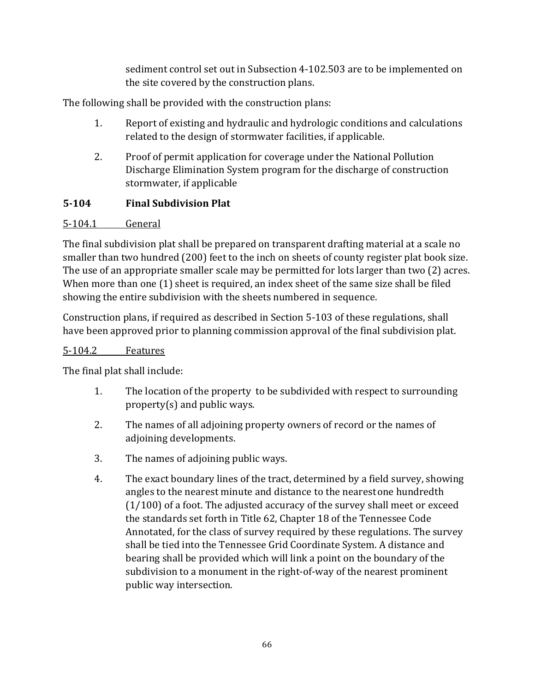sediment control set out in Subsection 4-102.503 are to be implemented on the site covered by the construction plans.

The following shall be provided with the construction plans:

- 1. Report of existing and hydraulic and hydrologic conditions and calculations related to the design of stormwater facilities, if applicable.
- 2. Proof of permit application for coverage under the National Pollution Discharge Elimination System program for the discharge of construction stormwater, if applicable

# **5-104 Final Subdivision Plat**

## 5-104.1 General

The final subdivision plat shall be prepared on transparent drafting material at a scale no smaller than two hundred (200) feet to the inch on sheets of county register plat book size. The use of an appropriate smaller scale may be permitted for lots larger than two (2) acres. When more than one (1) sheet is required, an index sheet of the same size shall be filed showing the entire subdivision with the sheets numbered in sequence.

Construction plans, if required as described in Section 5-103 of these regulations, shall have been approved prior to planning commission approval of the final subdivision plat.

## 5-104.2 Features

The final plat shall include:

- 1. The location of the property to be subdivided with respect to surrounding property(s) and public ways.
- 2. The names of all adjoining property owners of record or the names of adjoining developments.
- 3. The names of adjoining public ways.
- 4. The exact boundary lines of the tract, determined by a field survey, showing angles to the nearest minute and distance to the nearestone hundredth (1/100) of a foot. The adjusted accuracy of the survey shall meet or exceed the standards set forth in Title 62, Chapter 18 of the Tennessee Code Annotated, for the class of survey required by these regulations. The survey shall be tied into the Tennessee Grid Coordinate System. A distance and bearing shall be provided which will link a point on the boundary of the subdivision to a monument in the right-of-way of the nearest prominent public way intersection.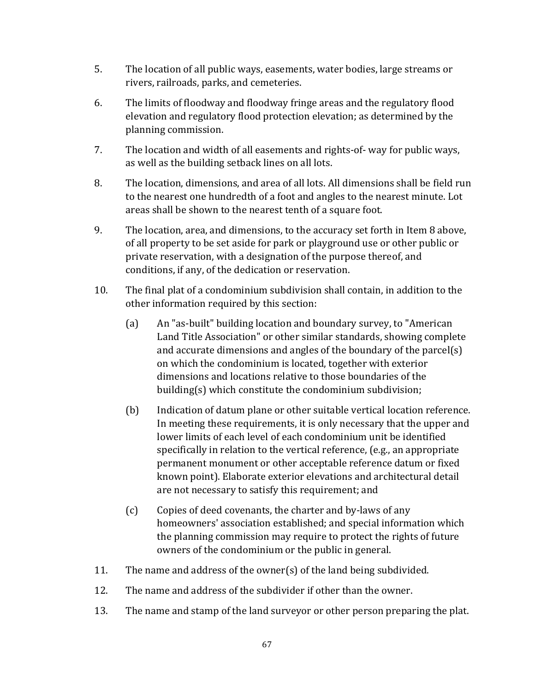- 5. The location of all public ways, easements, water bodies, large streams or rivers, railroads, parks, and cemeteries.
- 6. The limits of floodway and floodway fringe areas and the regulatory flood elevation and regulatory flood protection elevation; as determined by the planning commission.
- 7. The location and width of all easements and rights-of- way for public ways, as well as the building setback lines on all lots.
- 8. The location, dimensions, and area of all lots. All dimensions shall be field run to the nearest one hundredth of a foot and angles to the nearest minute. Lot areas shall be shown to the nearest tenth of a square foot.
- 9. The location, area, and dimensions, to the accuracy set forth in Item 8 above, of all property to be set aside for park or playground use or other public or private reservation, with a designation of the purpose thereof, and conditions, if any, of the dedication or reservation.
- 10. The final plat of a condominium subdivision shall contain, in addition to the other information required by this section:
	- (a) An "as-built" building location and boundary survey, to "American Land Title Association" or other similar standards, showing complete and accurate dimensions and angles of the boundary of the parcel(s) on which the condominium is located, together with exterior dimensions and locations relative to those boundaries of the building(s) which constitute the condominium subdivision;
	- (b) Indication of datum plane or other suitable vertical location reference. In meeting these requirements, it is only necessary that the upper and lower limits of each level of each condominium unit be identified specifically in relation to the vertical reference, (e.g., an appropriate permanent monument or other acceptable reference datum or fixed known point). Elaborate exterior elevations and architectural detail are not necessary to satisfy this requirement; and
	- (c) Copies of deed covenants, the charter and by-laws of any homeowners' association established; and special information which the planning commission may require to protect the rights of future owners of the condominium or the public in general.
- 11. The name and address of the owner(s) of the land being subdivided.
- 12. The name and address of the subdivider if other than the owner.
- 13. The name and stamp of the land surveyor or other person preparing the plat.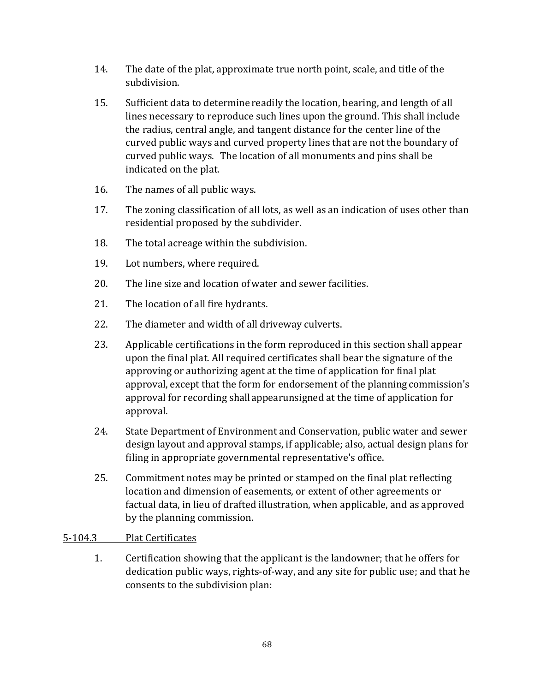- 14. The date of the plat, approximate true north point, scale, and title of the subdivision.
- 15. Sufficient data to determine readily the location, bearing, and length of all lines necessary to reproduce such lines upon the ground. This shall include the radius, central angle, and tangent distance for the center line of the curved public ways and curved property lines that are not the boundary of curved public ways. The location of all monuments and pins shall be indicated on the plat.
- 16. The names of all public ways.
- 17. The zoning classification of all lots, as well as an indication of uses other than residential proposed by the subdivider.
- 18. The total acreage within the subdivision.
- 19. Lot numbers, where required.
- 20. The line size and location ofwater and sewer facilities.
- 21. The location of all fire hydrants.
- 22. The diameter and width of all driveway culverts.
- 23. Applicable certifications in the form reproduced in this section shall appear upon the final plat. All required certificates shall bear the signature of the approving or authorizing agent at the time of application for final plat approval, except that the form for endorsement of the planning commission's approval for recording shallappearunsigned at the time of application for approval.
- 24. State Department of Environment and Conservation, public water and sewer design layout and approval stamps, if applicable; also, actual design plans for filing in appropriate governmental representative's office.
- 25. Commitment notes may be printed or stamped on the final plat reflecting location and dimension of easements, or extent of other agreements or factual data, in lieu of drafted illustration, when applicable, and as approved by the planning commission.

#### 5-104.3 Plat Certificates

1. Certification showing that the applicant is the landowner; that he offers for dedication public ways, rights-of-way, and any site for public use; and that he consents to the subdivision plan: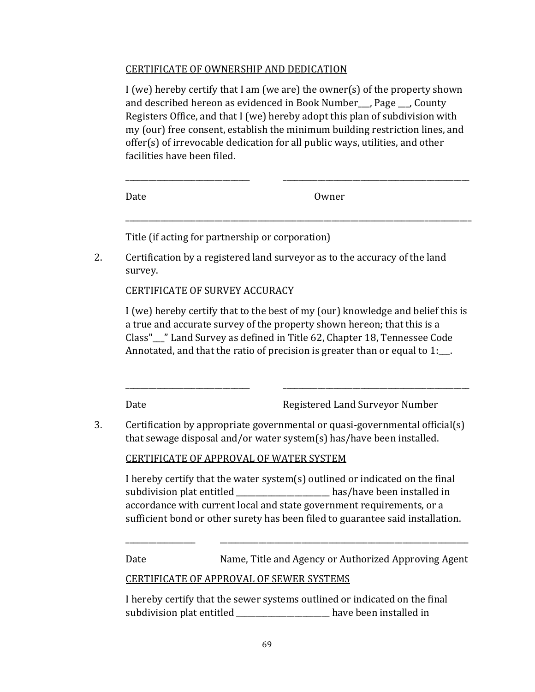#### CERTIFICATE OF OWNERSHIP AND DEDICATION

I (we) hereby certify that I am (we are) the owner(s) of the property shown and described hereon as evidenced in Book Number , Page , County Registers Office, and that I (we) hereby adopt this plan of subdivision with my (our) free consent, establish the minimum building restriction lines, and offer(s) of irrevocable dedication for all public ways, utilities, and other facilities have been filed.

\_\_\_\_\_\_\_\_\_\_\_\_\_\_\_\_\_\_\_\_\_\_\_\_\_\_\_\_\_\_\_\_\_\_\_\_\_\_\_\_\_\_\_\_\_\_\_\_\_\_\_\_\_\_\_\_\_\_\_\_\_\_\_\_\_\_\_\_\_\_\_\_\_\_\_\_\_\_\_\_\_\_\_\_\_\_\_\_\_

| Date | Owner |  |
|------|-------|--|

Title (if acting for partnership or corporation)

2. Certification by a registered land surveyor as to the accuracy of the land survey.

CERTIFICATE OF SURVEY ACCURACY

I (we) hereby certify that to the best of my (our) knowledge and belief this is a true and accurate survey of the property shown hereon; that this is a Class"\_\_\_" Land Survey as defined in Title 62, Chapter 18, Tennessee Code Annotated, and that the ratio of precision is greater than or equal to 1:\_\_.

\_\_\_\_\_\_\_\_\_\_\_\_\_\_\_\_\_\_\_\_\_\_\_\_\_\_\_\_\_\_\_\_ \_\_\_\_\_\_\_\_\_\_\_\_\_\_\_\_\_\_\_\_\_\_\_\_\_\_\_\_\_\_\_\_\_\_\_\_\_\_\_\_\_\_\_\_\_\_\_\_

Date **Registered Land Surveyor Number** 

3. Certification by appropriate governmental or quasi-governmental official(s) that sewage disposal and/or water system(s) has/have been installed.

CERTIFICATE OF APPROVAL OF WATER SYSTEM

I hereby certify that the water system(s) outlined or indicated on the final subdivision plat entitled by the has/have been installed in accordance with current local and state government requirements, or a sufficient bond or other surety has been filed to guarantee said installation.

\_\_\_\_\_\_\_\_\_\_\_\_\_\_\_\_\_\_ \_\_\_\_\_\_\_\_\_\_\_\_\_\_\_\_\_\_\_\_\_\_\_\_\_\_\_\_\_\_\_\_\_\_\_\_\_\_\_\_\_\_\_\_\_\_\_\_\_\_\_\_\_\_\_\_\_\_\_\_\_\_\_\_ Date Mame, Title and Agency or Authorized Approving Agent

## CERTIFICATE OF APPROVAL OF SEWER SYSTEMS

I hereby certify that the sewer systems outlined or indicated on the final subdivision plat entitled subdivision plate entitled in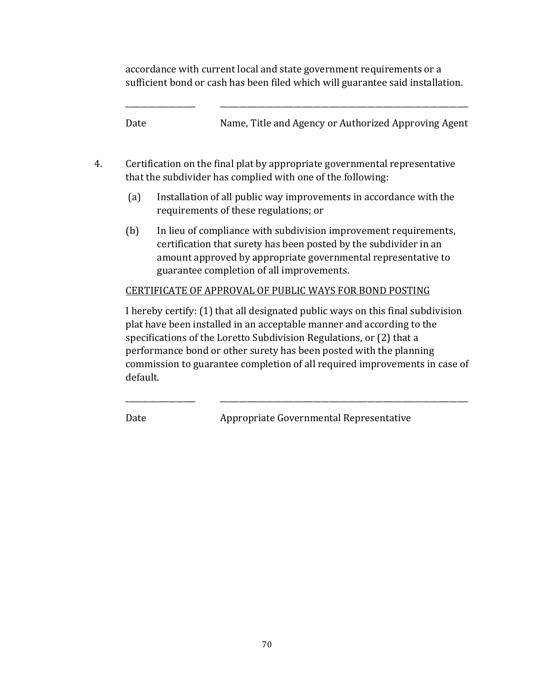accordance with current local and state government requirements or a sufficient bond or cash has been filed which will guarantee said installation.

\_\_\_\_\_\_\_\_\_\_\_\_\_\_\_\_\_\_ \_\_\_\_\_\_\_\_\_\_\_\_\_\_\_\_\_\_\_\_\_\_\_\_\_\_\_\_\_\_\_\_\_\_\_\_\_\_\_\_\_\_\_\_\_\_\_\_\_\_\_\_\_\_\_\_\_\_\_\_\_\_\_\_ Date Name, Title and Agency or Authorized Approving Agent

- 4. Certification on the final plat by appropriate governmental representative that the subdivider has complied with one of the following:
	- (a) Installation of all public way improvements in accordance with the requirements of these regulations; or
	- (b) In lieu of compliance with subdivision improvement requirements, certification that surety has been posted by the subdivider in an amount approved by appropriate governmental representative to guarantee completion of all improvements.

## CERTIFICATE OF APPROVAL OF PUBLIC WAYS FOR BOND POSTING

I hereby certify: (1) that all designated public ways on this final subdivision plat have been installed in an acceptable manner and according to the specifications of the Loretto Subdivision Regulations, or (2) that a performance bond or other surety has been posted with the planning commission to guarantee completion of all required improvements in case of default.

\_\_\_\_\_\_\_\_\_\_\_\_\_\_\_\_\_\_ \_\_\_\_\_\_\_\_\_\_\_\_\_\_\_\_\_\_\_\_\_\_\_\_\_\_\_\_\_\_\_\_\_\_\_\_\_\_\_\_\_\_\_\_\_\_\_\_\_\_\_\_\_\_\_\_\_\_\_\_\_\_\_\_

Date **Appropriate Governmental Representative**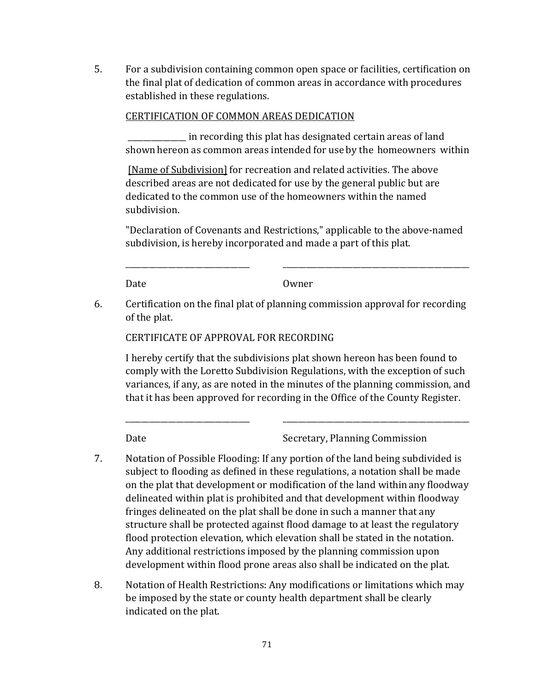5. For a subdivision containing common open space or facilities, certification on the final plat of dedication of common areas in accordance with procedures established in these regulations.

### CERTIFICATION OF COMMON AREAS DEDICATION

\_\_\_\_\_\_\_\_\_\_\_\_\_\_\_ in recording this plat has designated certain areas of land shown hereon as common areas intended for use by the homeowners within

[Name of Subdivision] for recreation and related activities. The above described areas are not dedicated for use by the general public but are dedicated to the common use of the homeowners within the named subdivision.

"Declaration of Covenants and Restrictions," applicable to the above-named subdivision, is hereby incorporated and made a part of this plat.

Date Owner

\_\_\_\_\_\_\_\_\_\_\_\_\_\_\_\_\_\_\_\_\_\_\_\_\_\_\_\_\_\_\_\_ \_\_\_\_\_\_\_\_\_\_\_\_\_\_\_\_\_\_\_\_\_\_\_\_\_\_\_\_\_\_\_\_\_\_\_\_\_\_\_\_\_\_\_\_\_\_\_\_

6. Certification on the final plat of planning commission approval for recording of the plat.

CERTIFICATE OF APPROVAL FOR RECORDING

I hereby certify that the subdivisions plat shown hereon has been found to comply with the Loretto Subdivision Regulations, with the exception of such variances, if any, as are noted in the minutes of the planning commission, and that it has been approved for recording in the Office of the County Register.

\_\_\_\_\_\_\_\_\_\_\_\_\_\_\_\_\_\_\_\_\_\_\_\_\_\_\_\_\_\_\_\_ \_\_\_\_\_\_\_\_\_\_\_\_\_\_\_\_\_\_\_\_\_\_\_\_\_\_\_\_\_\_\_\_\_\_\_\_\_\_\_\_\_\_\_\_\_\_\_\_

Date Secretary, Planning Commission

- 7. Notation of Possible Flooding: If any portion of the land being subdivided is subject to flooding as defined in these regulations, a notation shall be made on the plat that development or modification of the land withinany floodway delineated within plat is prohibited and that development within floodway fringes delineated on the plat shall be done in such a manner that any structure shall be protected against flood damage to at least the regulatory flood protection elevation, which elevation shall be stated in the notation. Any additional restrictions imposed by the planning commission upon development within flood prone areas also shall be indicated on the plat.
- 8. Notation of Health Restrictions: Any modifications or limitations which may be imposed by the state or county health department shall be clearly indicated on the plat.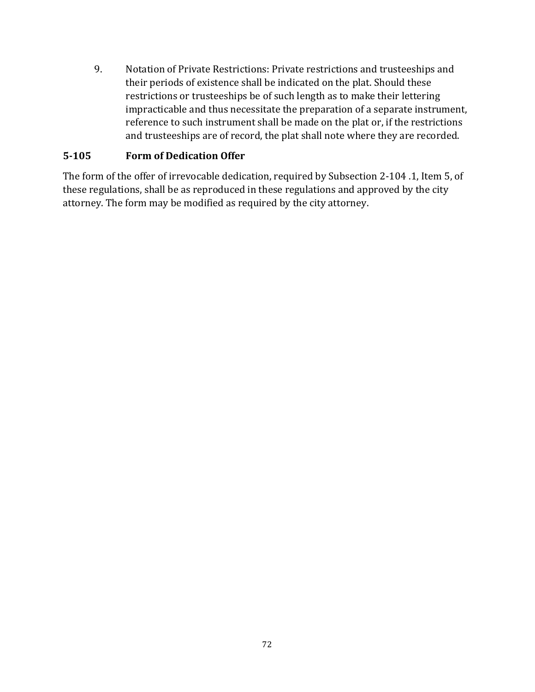9. Notation of Private Restrictions: Private restrictions and trusteeships and their periods of existence shall be indicated on the plat. Should these restrictions or trusteeships be of such length as to make their lettering impracticable and thus necessitate the preparation of a separate instrument, reference to such instrument shall be made on the plat or, if the restrictions and trusteeships are of record, the plat shall note where they are recorded.

## **5-105 Form of Dedication Offer**

The form of the offer of irrevocable dedication, required by Subsection 2-104 .1, Item 5, of these regulations, shall be as reproduced in these regulations and approved by the city attorney. The form may be modified as required by the city attorney.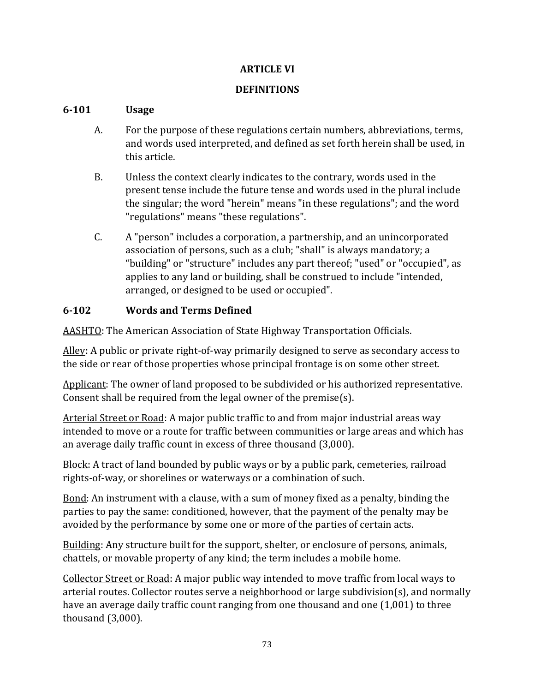## **ARTICLE VI**

## **DEFINITIONS**

## **6-101 Usage**

- A. For the purpose of these regulations certain numbers, abbreviations, terms, and words used interpreted, and defined as set forth herein shall be used, in this article.
- B. Unless the context clearly indicates to the contrary, words used in the present tense include the future tense and words used in the plural include the singular; the word "herein" means "in these regulations"; and the word "regulations" means "these regulations".
- C. A "person" includes a corporation, a partnership, and an unincorporated association of persons, such as a club; "shall" is always mandatory; a "building" or "structure" includes any part thereof; "used" or "occupied", as applies to any land or building, shall be construed to include "intended, arranged, or designed to be used or occupied".

# **6-102 Words and Terms Defined**

AASHTO: The American Association of State Highway Transportation Officials.

Alley: A public or private right-of-way primarily designed to serve as secondary access to the side or rear of those properties whose principal frontage is on some other street.

Applicant: The owner of land proposed to be subdivided or his authorized representative. Consent shall be required from the legal owner of the premise(s).

Arterial Street or Road: A major public traffic to and from major industrial areas way intended to move or a route for traffic between communities or large areas and which has an average daily traffic count in excess of three thousand (3,000).

Block: A tract of land bounded by public ways or by a public park, cemeteries, railroad rights-of-way, or shorelines or waterways or a combination of such.

Bond: An instrument with a clause, with a sum of money fixed as a penalty, binding the parties to pay the same: conditioned, however, that the payment of the penalty may be avoided by the performance by some one or more of the parties of certain acts.

Building: Any structure built for the support, shelter, or enclosure of persons, animals, chattels, or movable property of any kind; the term includes a mobile home.

Collector Street or Road: A major public way intended to move traffic from local ways to arterial routes. Collector routes serve a neighborhood or large subdivision(s), and normally have an average daily traffic count ranging from one thousand and one (1,001) to three thousand (3,000).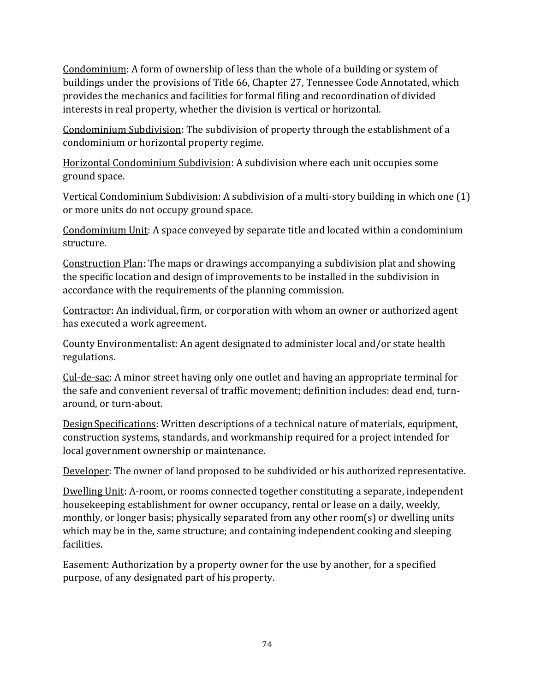Condominium: A form of ownership of less than the whole of a building or system of buildings under the provisions of Title 66, Chapter 27, Tennessee Code Annotated, which provides the mechanics and facilities for formal filing and recoordination of divided interests in real property, whether the division is vertical or horizontal.

Condominium Subdivision: The subdivision of property through the establishment of a condominium or horizontal property regime.

Horizontal Condominium Subdivision: A subdivision where each unit occupies some ground space.

Vertical Condominium Subdivision: A subdivision of a multi-story building in which one (1) or more units do not occupy ground space.

Condominium Unit: A space conveyed by separate title and located within a condominium structure.

Construction Plan: The maps or drawings accompanying a subdivision plat and showing the specific location and design of improvements to be installed in the subdivision in accordance with the requirements of the planning commission.

Contractor: An individual, firm, or corporation with whom an owner or authorized agent has executed a work agreement.

County Environmentalist: An agent designated to administer local and/or state health regulations.

Cul-de-sac: A minor street having only one outlet and having an appropriate terminal for the safe and convenient reversal of traffic movement; definition includes: dead end, turnaround, or turn-about.

DesignSpecifications: Written descriptions of a technical nature of materials, equipment, construction systems, standards, and workmanship required for a project intended for local government ownership or maintenance.

Developer: The owner of land proposed to be subdivided or his authorized representative.

Dwelling Unit: A-room, or rooms connected together constituting a separate, independent housekeeping establishment for owner occupancy, rental or lease on a daily, weekly, monthly, or longer basis; physically separated from any other room(s) or dwelling units which may be in the, same structure; and containing independent cooking and sleeping facilities.

Easement: Authorization by a property owner for the use by another, for a specified purpose, of any designated part of his property.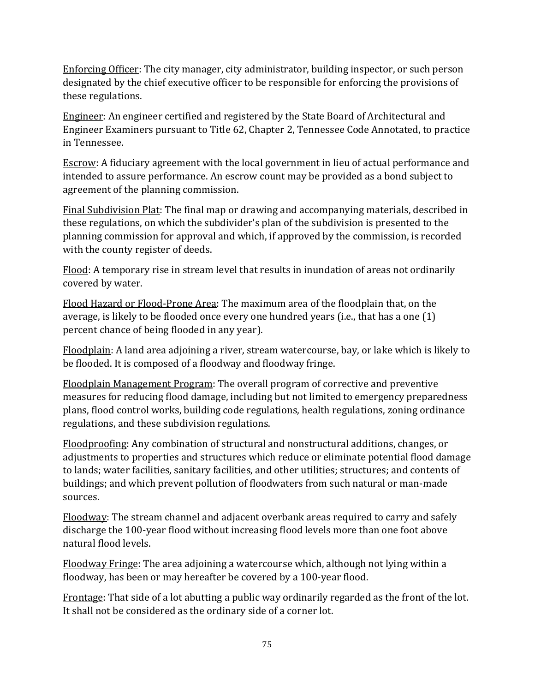Enforcing Officer: The city manager, city administrator, building inspector, or such person designated by the chief executive officer to be responsible for enforcing the provisions of these regulations.

Engineer: An engineer certified and registered by the State Board of Architectural and Engineer Examiners pursuant to Title 62, Chapter 2, Tennessee Code Annotated, to practice in Tennessee.

Escrow: A fiduciary agreement with the local government in lieu of actual performance and intended to assure performance. An escrow count may be provided as a bond subject to agreement of the planning commission.

Final Subdivision Plat: The final map or drawing and accompanying materials, described in these regulations, on which the subdivider's plan of the subdivision is presented to the planning commission for approval and which, if approved by the commission, is recorded with the county register of deeds.

Flood: A temporary rise in stream level that results in inundation of areas not ordinarily covered by water.

Flood Hazard or Flood-Prone Area: The maximum area of the floodplain that, on the average, is likely to be flooded once every one hundred years (i.e., that has a one (1) percent chance of being flooded in any year).

Floodplain: A land area adjoining a river, stream watercourse, bay, or lake which is likely to be flooded. It is composed of a floodway and floodway fringe.

Floodplain Management Program: The overall program of corrective and preventive measures for reducing flood damage, including but not limited to emergency preparedness plans, flood control works, building code regulations, health regulations, zoning ordinance regulations, and these subdivision regulations.

Floodproofing: Any combination of structural and nonstructural additions, changes, or adjustments to properties and structures which reduce or eliminate potential flood damage to lands; water facilities, sanitary facilities, and other utilities; structures; and contents of buildings; and which prevent pollution of floodwaters from such natural or man-made sources.

Floodway: The stream channel and adjacent overbank areas required to carry and safely discharge the 100-year flood without increasing flood levels more than one foot above natural flood levels.

Floodway Fringe: The area adjoining a watercourse which, although not lying within a floodway, has been or may hereafter be covered by a 100-year flood.

Frontage: That side of a lot abutting a public way ordinarily regarded as the front of the lot. It shall not be considered as the ordinary side of a corner lot.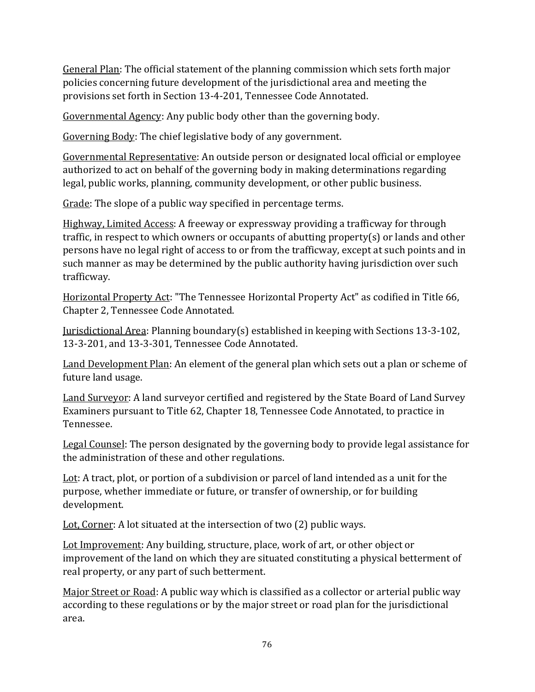General Plan: The official statement of the planning commission which sets forth major policies concerning future development of the jurisdictional area and meeting the provisions set forth in Section 13-4-201, Tennessee Code Annotated.

Governmental Agency: Any public body other than the governing body.

Governing Body: The chief legislative body of any government.

Governmental Representative: An outside person or designated local official or employee authorized to act on behalf of the governing body in making determinations regarding legal, public works, planning, community development, or other public business.

Grade: The slope of a public way specified in percentage terms.

Highway, Limited Access: A freeway or expressway providing a trafficway for through traffic, in respect to which owners or occupants of abutting property(s) or lands and other persons have no legal right of access to or from the trafficway, except at such points and in such manner as may be determined by the public authority having jurisdiction over such trafficway.

Horizontal Property Act: "The Tennessee Horizontal Property Act" as codified in Title 66, Chapter 2, Tennessee Code Annotated.

Jurisdictional Area: Planning boundary(s) established in keeping with Sections 13-3-102, 13-3-201, and 13-3-301, Tennessee Code Annotated.

Land Development Plan: An element of the general plan which sets out a plan or scheme of future land usage.

Land Surveyor: A land surveyor certified and registered by the State Board of Land Survey Examiners pursuant to Title 62, Chapter 18, Tennessee Code Annotated, to practice in Tennessee.

Legal Counsel: The person designated by the governing body to provide legal assistance for the administration of these and other regulations.

Lot: A tract, plot, or portion of a subdivision or parcel of land intended as a unit for the purpose, whether immediate or future, or transfer of ownership, or for building development.

Lot, Corner: A lot situated at the intersection of two (2) public ways.

Lot Improvement: Any building, structure, place, work of art, or other object or improvement of the land on which they are situated constituting a physical betterment of real property, or any part of such betterment.

Major Street or Road: A public way which is classified as a collector or arterial public way according to these regulations or by the major street or road plan for the jurisdictional area.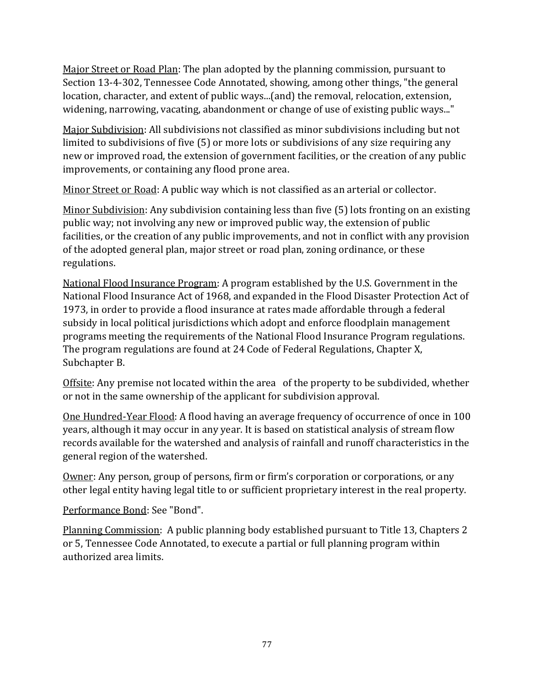Major Street or Road Plan: The plan adopted by the planning commission, pursuant to Section 13-4-302, Tennessee Code Annotated, showing, among other things, "the general location, character, and extent of public ways...(and) the removal, relocation, extension, widening, narrowing, vacating, abandonment or change of use of existing public ways..."

Major Subdivision: All subdivisions not classified as minor subdivisions including but not limited to subdivisions of five (5) or more lots or subdivisions of any size requiring any new or improved road, the extension of government facilities, or the creation of any public improvements, or containing any flood prone area.

Minor Street or Road: A public way which is not classified as an arterial or collector.

Minor Subdivision: Any subdivision containing less than five (5) lots fronting on an existing public way; not involving any new or improved public way, the extension of public facilities, or the creation of any public improvements, and not in conflict with any provision of the adopted general plan, major street or road plan, zoning ordinance, or these regulations.

National Flood Insurance Program: A program established by the U.S. Government in the National Flood Insurance Act of 1968, and expanded in the Flood Disaster Protection Act of 1973, in order to provide a flood insurance at rates made affordable through a federal subsidy in local political jurisdictions which adopt and enforce floodplain management programs meeting the requirements of the National Flood Insurance Program regulations. The program regulations are found at 24 Code of Federal Regulations, Chapter X, Subchapter B.

Offsite: Any premise not located within the area of the property to be subdivided, whether or not in the same ownership of the applicant for subdivision approval.

One Hundred-Year Flood: A flood having an average frequency of occurrence of once in 100 years, although it may occur in any year. It is based on statistical analysis of stream flow records available for the watershed and analysis of rainfall and runoff characteristics in the general region of the watershed.

Owner: Any person, group of persons, firm or firm's corporation or corporations, or any other legal entity having legal title to or sufficient proprietary interest in the real property.

Performance Bond: See "Bond".

Planning Commission: A public planning body established pursuant to Title 13, Chapters 2 or 5, Tennessee Code Annotated, to execute a partial or full planning program within authorized area limits.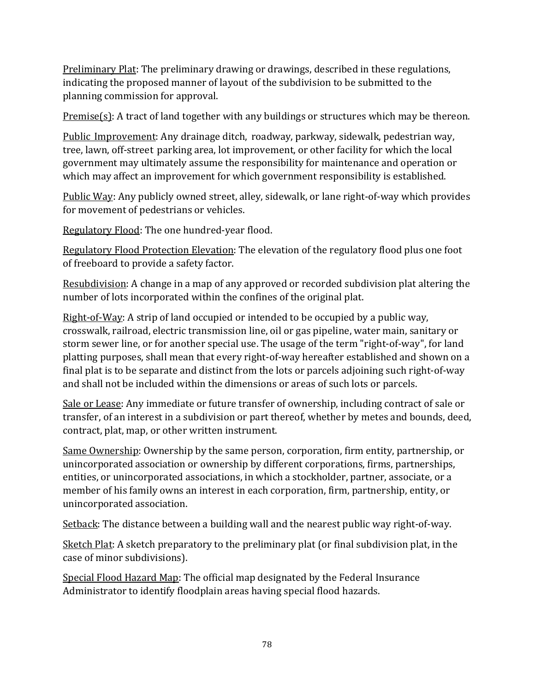Preliminary Plat: The preliminary drawing or drawings, described in these regulations, indicating the proposed manner of layout of the subdivision to be submitted to the planning commission for approval.

Premise(s): A tract of land together with any buildings or structures which may be thereon.

Public Improvement: Any drainage ditch, roadway, parkway, sidewalk, pedestrian way, tree, lawn, off-street parking area, lot improvement, or other facility for which the local government may ultimately assume the responsibility for maintenance and operation or which may affect an improvement for which government responsibility is established.

Public Way: Any publicly owned street, alley, sidewalk, or lane right-of-way which provides for movement of pedestrians or vehicles.

Regulatory Flood: The one hundred-year flood.

Regulatory Flood Protection Elevation: The elevation of the regulatory flood plus one foot of freeboard to provide a safety factor.

Resubdivision: A change in a map of any approved or recorded subdivision plat altering the number of lots incorporated within the confines of the original plat.

Right-of-Way: A strip of land occupied or intended to be occupied by a public way, crosswalk, railroad, electric transmission line, oil or gas pipeline, water main, sanitary or storm sewer line, or for another special use. The usage of the term "right-of-way", for land platting purposes, shall mean that every right-of-way hereafter established and shown on a final plat is to be separate and distinct from the lots or parcels adjoining such right-of-way and shall not be included within the dimensions or areas of such lots or parcels.

Sale or Lease: Any immediate or future transfer of ownership, including contract of sale or transfer, of an interest in a subdivision or part thereof, whether by metes and bounds, deed, contract, plat, map, or other written instrument.

Same Ownership: Ownership by the same person, corporation, firm entity, partnership, or unincorporated association or ownership by different corporations, firms, partnerships, entities, or unincorporated associations, in which a stockholder, partner, associate, or a member of his family owns an interest in each corporation, firm, partnership, entity, or unincorporated association.

Setback: The distance between a building wall and the nearest public way right-of-way.

Sketch Plat: A sketch preparatory to the preliminary plat (or final subdivision plat, in the case of minor subdivisions).

Special Flood Hazard Map: The official map designated by the Federal Insurance Administrator to identify floodplain areas having special flood hazards.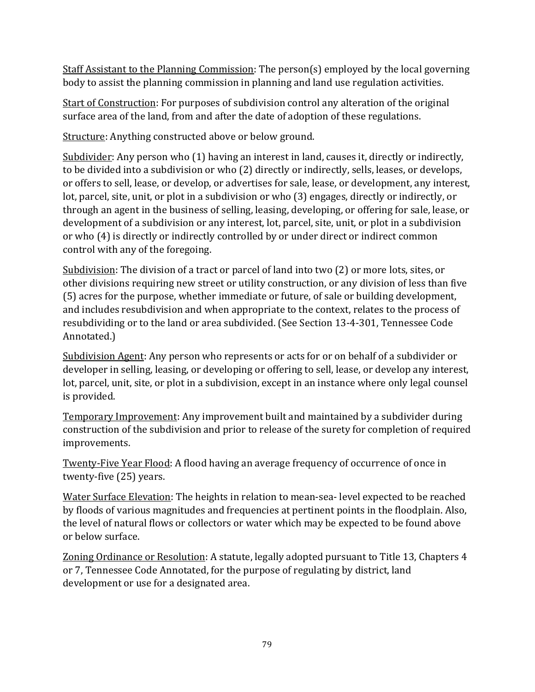Staff Assistant to the Planning Commission: The person(s) employed by the local governing body to assist the planning commission in planning and land use regulation activities.

Start of Construction: For purposes of subdivision control any alteration of the original surface area of the land, from and after the date of adoption of these regulations.

Structure: Anything constructed above or below ground.

Subdivider: Any person who (1) having an interest in land, causes it, directly or indirectly, to be divided into a subdivision or who (2) directly or indirectly, sells, leases, or develops, or offers to sell, lease, or develop, or advertises for sale, lease, or development, any interest, lot, parcel, site, unit, or plot in a subdivision or who (3) engages, directly or indirectly, or through an agent in the business of selling, leasing, developing, or offering for sale, lease, or development of a subdivision or any interest, lot, parcel, site, unit, or plot in a subdivision or who (4) is directly or indirectly controlled by or under direct or indirect common control with any of the foregoing.

Subdivision: The division of a tract or parcel of land into two (2) or more lots, sites, or other divisions requiring new street or utility construction, or any division of less than five (5) acres for the purpose, whether immediate or future, of sale or building development, and includes resubdivision and when appropriate to the context, relates to the process of resubdividing or to the land or area subdivided. (See Section 13-4-301, Tennessee Code Annotated.)

Subdivision Agent: Any person who represents or acts for or on behalf of a subdivider or developer in selling, leasing, or developing or offering to sell, lease, or develop any interest, lot, parcel, unit, site, or plot in a subdivision, except in an instance where only legal counsel is provided.

Temporary Improvement: Any improvement built and maintained by a subdivider during construction of the subdivision and prior to release of the surety for completion of required improvements.

Twenty-Five Year Flood: A flood having an average frequency of occurrence of once in twenty-five (25) years.

Water Surface Elevation: The heights in relation to mean-sea-level expected to be reached by floods of various magnitudes and frequencies at pertinent points in the floodplain. Also, the level of natural flows or collectors or water which may be expected to be found above or below surface.

Zoning Ordinance or Resolution: A statute, legally adopted pursuant to Title 13, Chapters 4 or 7, Tennessee Code Annotated, for the purpose of regulating by district, land development or use for a designated area.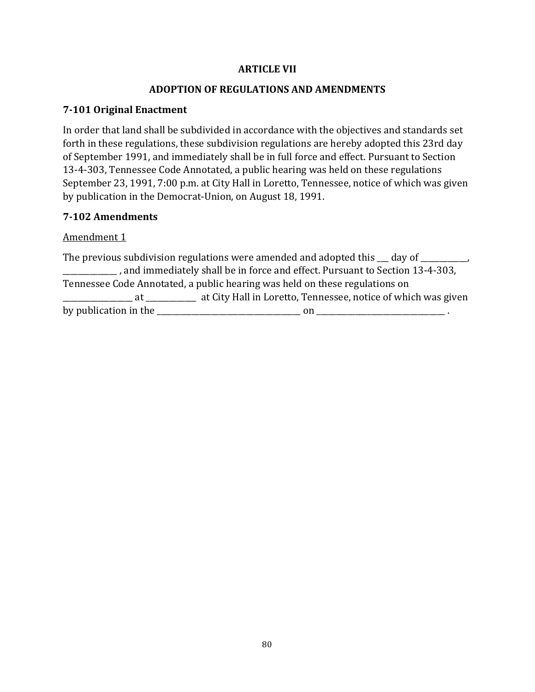#### **ARTICLE VII**

#### **ADOPTION OF REGULATIONS AND AMENDMENTS**

#### **7-101 Original Enactment**

In order that land shall be subdivided in accordance with the objectives and standards set forth in these regulations, these subdivision regulations are hereby adopted this 23rd day of September 1991, and immediately shall be in full force and effect. Pursuant to Section 13-4-303, Tennessee Code Annotated, a public hearing was held on these regulations September 23, 1991, 7:00 p.m. at City Hall in Loretto, Tennessee, notice of which was given by publication in the Democrat-Union, on August 18, 1991.

#### **7-102 Amendments**

Amendment 1

The previous subdivision regulations were amended and adopted this  $\_\_$  day of  $\_\_$ \_\_\_\_\_\_\_\_\_\_\_\_\_\_ , and immediately shall be in force and effect. Pursuant to Section 13-4-303, Tennessee Code Annotated, a public hearing was held on these regulations on \_\_\_\_\_\_\_\_\_\_\_\_\_\_\_\_\_\_ at \_\_\_\_\_\_\_\_\_\_\_\_\_ at City Hall in Loretto, Tennessee, notice of which was given by publication in the \_\_\_\_\_\_\_\_\_\_\_\_\_\_\_\_\_\_\_\_\_\_\_\_\_\_\_\_\_\_\_\_\_\_\_\_\_ on \_\_\_\_\_\_\_\_\_\_\_\_\_\_\_\_\_\_\_\_\_\_\_\_\_\_\_\_\_\_\_\_\_ .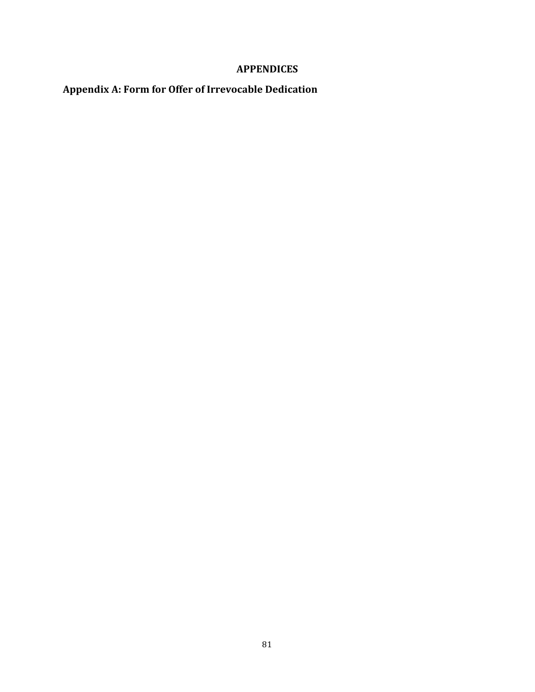## **APPENDICES**

# **Appendix A: Form for Offer of Irrevocable Dedication**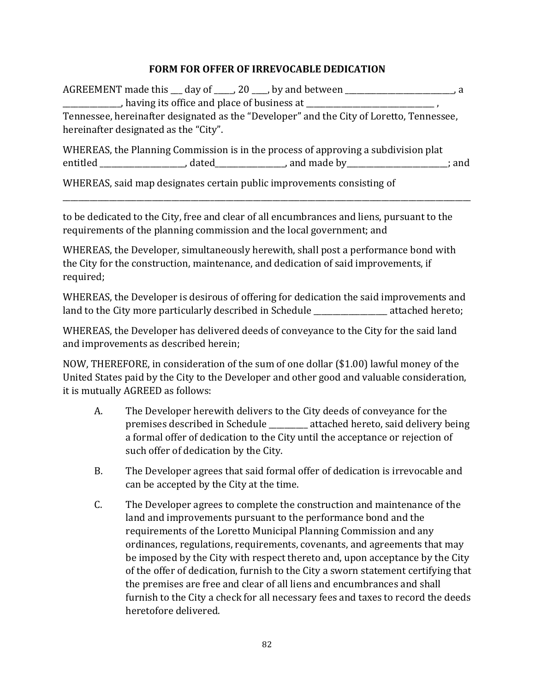#### **FORM FOR OFFER OF IRREVOCABLE DEDICATION**

AGREEMENT made this \_\_\_ day of \_\_\_\_\_, 20 \_\_\_\_, by and between \_\_\_\_\_\_\_\_\_\_\_\_\_\_\_\_\_\_\_\_\_\_\_\_\_\_\_\_, a  $\blacksquare$ , having its office and place of business at  $\blacksquare$ Tennessee, hereinafter designated as the "Developer" and the City of Loretto, Tennessee, hereinafter designated as the "City".

WHEREAS, the Planning Commission is in the process of approving a subdivision plat entitled entitled containing a containing a containing a containing a containing a containing a containing a containing a containing a containing a containing a containing a containing a containing a containing a containin

\_\_\_\_\_\_\_\_\_\_\_\_\_\_\_\_\_\_\_\_\_\_\_\_\_\_\_\_\_\_\_\_\_\_\_\_\_\_\_\_\_\_\_\_\_\_\_\_\_\_\_\_\_\_\_\_\_\_\_\_\_\_\_\_\_\_\_\_\_\_\_\_\_\_\_\_\_\_\_\_\_\_\_\_\_\_\_\_\_\_\_\_\_\_\_\_\_\_\_\_\_\_\_\_\_

WHEREAS, said map designates certain public improvements consisting of

to be dedicated to the City, free and clear of all encumbrances and liens, pursuant to the requirements of the planning commission and the local government; and

WHEREAS, the Developer, simultaneously herewith, shall post a performance bond with the City for the construction, maintenance, and dedication of said improvements, if required;

WHEREAS, the Developer is desirous of offering for dedication the said improvements and land to the City more particularly described in Schedule attached hereto;

WHEREAS, the Developer has delivered deeds of conveyance to the City for the said land and improvements as described herein;

NOW, THEREFORE, in consideration of the sum of one dollar (\$1.00) lawful money of the United States paid by the City to the Developer and other good and valuable consideration, it is mutually AGREED as follows:

- A. The Developer herewith delivers to the City deeds of conveyance for the premises described in Schedule \_\_\_\_\_\_\_\_\_\_ attached hereto, said delivery being a formal offer of dedication to the City until the acceptance or rejection of such offer of dedication by the City.
- B. The Developer agrees that said formal offer of dedication is irrevocable and can be accepted by the City at the time.
- C. The Developer agrees to complete the construction and maintenance of the land and improvements pursuant to the performance bond and the requirements of the Loretto Municipal Planning Commission and any ordinances, regulations, requirements, covenants, and agreements that may be imposed by the City with respect thereto and, upon acceptance by the City of the offer of dedication, furnish to the City a sworn statement certifying that the premises are free and clear of all liens and encumbrances and shall furnish to the City a check for all necessary fees and taxes to record the deeds heretofore delivered.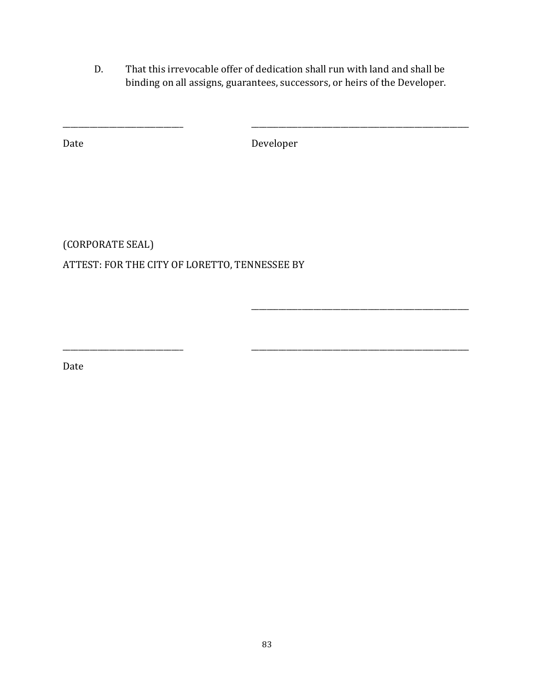D. That this irrevocable offer of dedication shall run with land and shall be binding on all assigns, guarantees, successors, or heirs of the Developer.

Date Developer

\_\_\_\_\_\_\_\_\_\_\_\_\_\_\_\_\_\_\_\_\_\_\_\_\_\_\_\_\_\_\_ \_\_\_\_\_\_\_\_\_\_\_\_\_\_\_\_\_\_\_\_\_\_\_\_\_\_\_\_\_\_\_\_\_\_\_\_\_\_\_\_\_\_\_\_\_\_\_\_\_\_\_\_\_\_\_\_

 $\overline{\phantom{a}}$  ,  $\overline{\phantom{a}}$  ,  $\overline{\phantom{a}}$  ,  $\overline{\phantom{a}}$  ,  $\overline{\phantom{a}}$  ,  $\overline{\phantom{a}}$  ,  $\overline{\phantom{a}}$  ,  $\overline{\phantom{a}}$  ,  $\overline{\phantom{a}}$  ,  $\overline{\phantom{a}}$  ,  $\overline{\phantom{a}}$  ,  $\overline{\phantom{a}}$  ,  $\overline{\phantom{a}}$  ,  $\overline{\phantom{a}}$  ,  $\overline{\phantom{a}}$  ,  $\overline{\phantom{a}}$ 

\_\_\_\_\_\_\_\_\_\_\_\_\_\_\_\_\_\_\_\_\_\_\_\_\_\_\_\_\_\_\_ \_\_\_\_\_\_\_\_\_\_\_\_\_\_\_\_\_\_\_\_\_\_\_\_\_\_\_\_\_\_\_\_\_\_\_\_\_\_\_\_\_\_\_\_\_\_\_\_\_\_\_\_\_\_\_\_

(CORPORATE SEAL)

ATTEST: FOR THE CITY OF LORETTO, TENNESSEE BY

Date